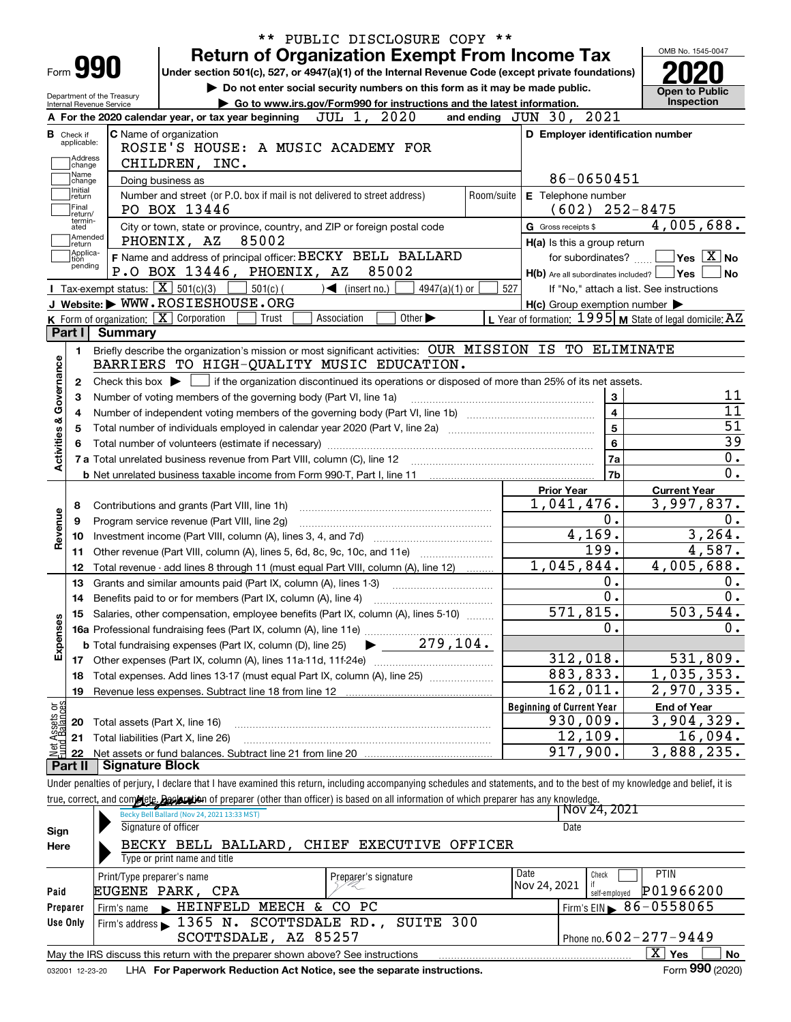|                           |                                  |                                                        |                                                                                               | ** PUBLIC DISCLOSURE COPY **                                                                                                                                               |            |                                                             |                                        |
|---------------------------|----------------------------------|--------------------------------------------------------|-----------------------------------------------------------------------------------------------|----------------------------------------------------------------------------------------------------------------------------------------------------------------------------|------------|-------------------------------------------------------------|----------------------------------------|
|                           |                                  |                                                        |                                                                                               | <b>Return of Organization Exempt From Income Tax</b>                                                                                                                       |            |                                                             | OMB No. 1545-0047                      |
|                           | Form 990                         |                                                        |                                                                                               | Under section 501(c), 527, or 4947(a)(1) of the Internal Revenue Code (except private foundations)                                                                         |            |                                                             |                                        |
|                           |                                  |                                                        |                                                                                               | Do not enter social security numbers on this form as it may be made public.                                                                                                |            |                                                             | <b>Open to Public</b>                  |
|                           |                                  | Department of the Treasury<br>Internal Revenue Service |                                                                                               | Go to www.irs.gov/Form990 for instructions and the latest information.                                                                                                     |            | <b>Inspection</b>                                           |                                        |
|                           |                                  |                                                        | A For the 2020 calendar year, or tax year beginning                                           | JUL 1, 2020                                                                                                                                                                |            | and ending JUN 30, 2021                                     |                                        |
|                           | <b>B</b> Check if<br>applicable: |                                                        | C Name of organization                                                                        |                                                                                                                                                                            |            | D Employer identification number                            |                                        |
|                           | Address                          |                                                        |                                                                                               | ROSIE'S HOUSE: A MUSIC ACADEMY FOR                                                                                                                                         |            |                                                             |                                        |
|                           | change<br>Name                   |                                                        | CHILDREN, INC.                                                                                |                                                                                                                                                                            |            |                                                             |                                        |
|                           | change<br>Initial                |                                                        | Doing business as                                                                             |                                                                                                                                                                            |            | 86-0650451                                                  |                                        |
|                           | return                           |                                                        |                                                                                               | Number and street (or P.O. box if mail is not delivered to street address)                                                                                                 | Room/suite | E Telephone number                                          |                                        |
|                           | Final<br>return/<br>termin-      |                                                        | PO BOX 13446                                                                                  |                                                                                                                                                                            |            | $(602)$ 252-8475                                            |                                        |
|                           | ated<br> Amended                 |                                                        |                                                                                               | City or town, state or province, country, and ZIP or foreign postal code                                                                                                   |            | G Gross receipts \$                                         | 4,005,688.                             |
|                           | return                           |                                                        | PHOENIX, AZ<br>85002                                                                          |                                                                                                                                                                            |            | H(a) Is this a group return                                 |                                        |
|                           | Applica-<br>tion<br>pending      |                                                        |                                                                                               | F Name and address of principal officer: BECKY BELL BALLARD                                                                                                                |            | for subordinates?                                           | $\sqrt{}$ Yes $\sqrt{}$ X $\sqrt{}$ No |
|                           |                                  |                                                        | P.O BOX 13446, PHOENIX, AZ                                                                    | 85002                                                                                                                                                                      |            | $H(b)$ Are all subordinates included? $\Box$ Yes            | ∣No                                    |
|                           |                                  |                                                        | Tax-exempt status: $X \overline{X}$ 501(c)(3)<br>$501(c)$ (                                   | $\sqrt{\frac{1}{1}}$ (insert no.)<br>$4947(a)(1)$ or                                                                                                                       | 527        | If "No," attach a list. See instructions                    |                                        |
|                           |                                  |                                                        | J Website: WWW.ROSIESHOUSE.ORG                                                                |                                                                                                                                                                            |            | $H(c)$ Group exemption number $\blacktriangleright$         |                                        |
|                           |                                  |                                                        | $K$ Form of organization: $X$ Corporation<br>Trust                                            | Association<br>Other $\blacktriangleright$                                                                                                                                 |            | L Year of formation: $1995$ M State of legal domicile: $AZ$ |                                        |
|                           | Part I                           | Summary                                                |                                                                                               |                                                                                                                                                                            |            |                                                             |                                        |
|                           | 1.                               |                                                        |                                                                                               | Briefly describe the organization's mission or most significant activities: OUR MISSION IS TO ELIMINATE                                                                    |            |                                                             |                                        |
|                           |                                  |                                                        |                                                                                               | BARRIERS TO HIGH-QUALITY MUSIC EDUCATION.                                                                                                                                  |            |                                                             |                                        |
|                           | 2                                |                                                        |                                                                                               | Check this box $\blacktriangleright$ $\blacksquare$ if the organization discontinued its operations or disposed of more than 25% of its net assets.                        |            |                                                             | 11                                     |
| Activities & Governance   | з                                |                                                        | Number of voting members of the governing body (Part VI, line 1a)                             |                                                                                                                                                                            |            | 3<br>$\overline{\mathbf{4}}$                                | 11                                     |
|                           | 4                                |                                                        |                                                                                               |                                                                                                                                                                            |            | 5                                                           | 51                                     |
|                           | 5                                |                                                        |                                                                                               |                                                                                                                                                                            |            | 6                                                           | $\overline{39}$                        |
|                           |                                  |                                                        | 7a                                                                                            | 0.                                                                                                                                                                         |            |                                                             |                                        |
|                           |                                  |                                                        |                                                                                               |                                                                                                                                                                            |            | 7b                                                          | $\overline{0}$ .                       |
|                           |                                  |                                                        |                                                                                               |                                                                                                                                                                            |            |                                                             |                                        |
|                           |                                  |                                                        |                                                                                               |                                                                                                                                                                            |            | <b>Prior Year</b><br>1,041,476.                             | <b>Current Year</b><br>3,997,837.      |
| Revenue                   | 8<br>9                           |                                                        | Contributions and grants (Part VIII, line 1h)<br>Program service revenue (Part VIII, line 2g) |                                                                                                                                                                            |            | 0.                                                          | 0.                                     |
|                           | 10                               |                                                        |                                                                                               |                                                                                                                                                                            |            | 4, 169.                                                     | 3, 264.                                |
|                           | 11                               |                                                        |                                                                                               | Other revenue (Part VIII, column (A), lines 5, 6d, 8c, 9c, 10c, and 11e)                                                                                                   |            | 199.                                                        | 4,587.                                 |
|                           | 12                               |                                                        |                                                                                               | Total revenue - add lines 8 through 11 (must equal Part VIII, column (A), line 12)                                                                                         |            | 1,045,844.                                                  | 4,005,688.                             |
|                           | 13                               |                                                        |                                                                                               | Grants and similar amounts paid (Part IX, column (A), lines 1-3)                                                                                                           |            | 0.                                                          | 0.                                     |
|                           |                                  |                                                        |                                                                                               |                                                                                                                                                                            |            | 0.                                                          | 0.                                     |
|                           |                                  |                                                        |                                                                                               | 15 Salaries, other compensation, employee benefits (Part IX, column (A), lines 5-10)                                                                                       |            | 571,815.                                                    | 503, 544.                              |
| Expenses                  |                                  |                                                        |                                                                                               |                                                                                                                                                                            |            | 0.                                                          | $0$ .                                  |
|                           |                                  |                                                        | <b>b</b> Total fundraising expenses (Part IX, column (D), line 25)                            | $\blacktriangleright$ 279,104.                                                                                                                                             |            |                                                             |                                        |
|                           |                                  |                                                        |                                                                                               |                                                                                                                                                                            |            | 312,018.                                                    | 531,809.                               |
|                           |                                  |                                                        |                                                                                               | 18 Total expenses. Add lines 13-17 (must equal Part IX, column (A), line 25) <i>manumum</i>                                                                                |            | 883,833.                                                    | 1,035,353.                             |
|                           | 19                               |                                                        |                                                                                               |                                                                                                                                                                            |            | 162,011.                                                    | 2,970,335.                             |
|                           |                                  |                                                        |                                                                                               |                                                                                                                                                                            |            | <b>Beginning of Current Year</b>                            | <b>End of Year</b>                     |
|                           | 20                               |                                                        | Total assets (Part X, line 16)                                                                |                                                                                                                                                                            |            | 930,009.                                                    | 3,904,329.                             |
| : Assets or<br>d Balances | 21                               |                                                        | Total liabilities (Part X, line 26)                                                           |                                                                                                                                                                            |            | 12,109.                                                     | 16,094.                                |
| 혏                         | 22                               |                                                        |                                                                                               |                                                                                                                                                                            |            | 917,900.                                                    | 3,888,235.                             |
|                           | Part II                          | <b>Signature Block</b>                                 |                                                                                               |                                                                                                                                                                            |            |                                                             |                                        |
|                           |                                  |                                                        |                                                                                               | Under penalties of perjury, I declare that I have examined this return, including accompanying schedules and statements, and to the best of my knowledge and belief, it is |            |                                                             |                                        |
|                           |                                  |                                                        |                                                                                               | true, correct, and complete. <b>Beckration</b> of preparer (other than officer) is based on all information of which preparer has any knowledge.                           |            |                                                             |                                        |
|                           |                                  |                                                        | Becky Bell Ballard (Nov 24, 2021 13:33 MST)                                                   |                                                                                                                                                                            |            | Nov 24, 2021                                                |                                        |
| Sign                      |                                  |                                                        | Signature of officer                                                                          |                                                                                                                                                                            |            | Date                                                        |                                        |
| Here                      |                                  |                                                        |                                                                                               | BECKY BELL BALLARD, CHIEF EXECUTIVE OFFICER                                                                                                                                |            |                                                             |                                        |
|                           |                                  |                                                        | Type or print name and title                                                                  |                                                                                                                                                                            |            |                                                             |                                        |
|                           |                                  | Print/Type preparer's name                             |                                                                                               | Preparer's signature                                                                                                                                                       |            | Date<br>Check                                               | PTIN                                   |
| Paid                      |                                  |                                                        | EUGENE PARK, CPA                                                                              |                                                                                                                                                                            |            | Nov 24, 2021<br>self-employed                               | P01966200                              |
|                           | Preparer                         | Firm's name                                            | HEINFELD MEECH & CO PC                                                                        |                                                                                                                                                                            |            |                                                             | Firm's EIN $\triangleright$ 86-0558065 |
|                           | Use Only                         |                                                        |                                                                                               | Firm's address 1365 N. SCOTTSDALE RD., SUITE 300                                                                                                                           |            |                                                             |                                        |
|                           |                                  |                                                        | SCOTTSDALE, AZ 85257                                                                          |                                                                                                                                                                            |            |                                                             | Phone no. 602-277-9449                 |

|         | .<br>.<br><b>DUALE</b><br>$\Delta L$                                           | Phone<br>no. | ---           |  |
|---------|--------------------------------------------------------------------------------|--------------|---------------|--|
| Mav the | IRS و<br>discuss this return with the preparer shown above? See instructions د |              | <br>r es<br>▵ |  |

032001 12-23-20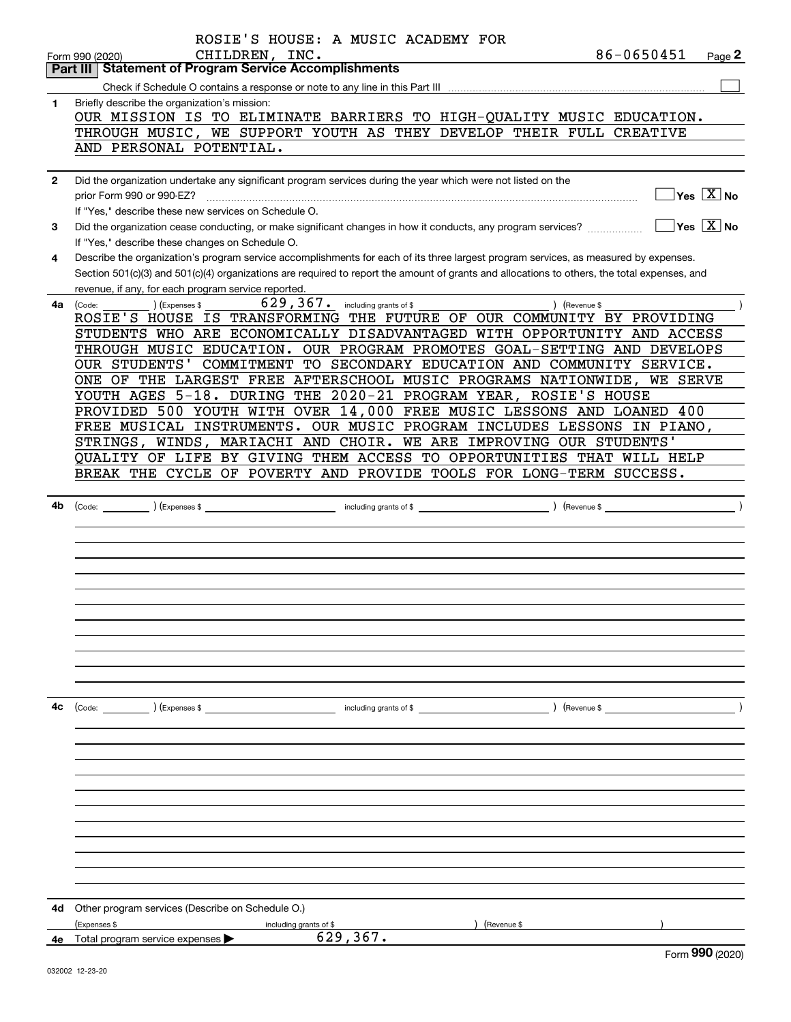|              | ROSIE'S HOUSE: A MUSIC ACADEMY FOR                                                                                                                                                      |
|--------------|-----------------------------------------------------------------------------------------------------------------------------------------------------------------------------------------|
|              | 86-0650451<br>CHILDREN, INC.<br>Page 2<br>Form 990 (2020)                                                                                                                               |
|              | <b>Statement of Program Service Accomplishments</b><br>Part III                                                                                                                         |
|              |                                                                                                                                                                                         |
| 1            | Briefly describe the organization's mission:<br>OUR MISSION IS TO ELIMINATE BARRIERS TO HIGH-QUALITY MUSIC EDUCATION.                                                                   |
|              | THROUGH MUSIC, WE SUPPORT YOUTH AS THEY DEVELOP THEIR FULL CREATIVE                                                                                                                     |
|              | AND PERSONAL POTENTIAL.                                                                                                                                                                 |
|              |                                                                                                                                                                                         |
| $\mathbf{2}$ | Did the organization undertake any significant program services during the year which were not listed on the                                                                            |
|              | $Yes \ \boxed{X}$ No<br>prior Form 990 or 990-EZ?                                                                                                                                       |
|              | If "Yes," describe these new services on Schedule O.                                                                                                                                    |
| 3            | $\sqrt{}$ Yes $\sqrt{}$ X $\sqrt{}$ No<br>Did the organization cease conducting, or make significant changes in how it conducts, any program services?                                  |
| 4            | If "Yes," describe these changes on Schedule O.<br>Describe the organization's program service accomplishments for each of its three largest program services, as measured by expenses. |
|              | Section 501(c)(3) and 501(c)(4) organizations are required to report the amount of grants and allocations to others, the total expenses, and                                            |
|              | revenue, if any, for each program service reported.                                                                                                                                     |
| 4а           | $629$ , $367$ $\cdot$ including grants of \$<br>) (Revenue \$<br>) (Expenses \$<br>(Code:                                                                                               |
|              | ROSIE'S HOUSE IS TRANSFORMING THE FUTURE OF OUR COMMUNITY BY PROVIDING                                                                                                                  |
|              | STUDENTS WHO ARE ECONOMICALLY DISADVANTAGED WITH OPPORTUNITY AND ACCESS                                                                                                                 |
|              | THROUGH MUSIC EDUCATION. OUR PROGRAM PROMOTES GOAL-SETTING AND DEVELOPS                                                                                                                 |
|              | OUR STUDENTS'<br>COMMITMENT TO SECONDARY EDUCATION AND COMMUNITY SERVICE.                                                                                                               |
|              | ONE OF THE LARGEST FREE AFTERSCHOOL MUSIC PROGRAMS NATIONWIDE, WE SERVE                                                                                                                 |
|              | YOUTH AGES 5-18. DURING THE 2020-21 PROGRAM YEAR, ROSIE'S HOUSE                                                                                                                         |
|              | PROVIDED 500 YOUTH WITH OVER 14,000 FREE MUSIC LESSONS AND LOANED 400                                                                                                                   |
|              | FREE MUSICAL INSTRUMENTS. OUR MUSIC PROGRAM INCLUDES LESSONS IN PIANO,                                                                                                                  |
|              | STRINGS, WINDS, MARIACHI AND CHOIR. WE ARE IMPROVING OUR STUDENTS'                                                                                                                      |
|              | QUALITY OF LIFE BY GIVING THEM ACCESS TO OPPORTUNITIES THAT WILL HELP                                                                                                                   |
|              | BREAK THE CYCLE OF POVERTY AND PROVIDE TOOLS FOR LONG-TERM SUCCESS.                                                                                                                     |
| 4b           |                                                                                                                                                                                         |
|              |                                                                                                                                                                                         |
|              |                                                                                                                                                                                         |
|              |                                                                                                                                                                                         |
|              |                                                                                                                                                                                         |
|              |                                                                                                                                                                                         |
|              |                                                                                                                                                                                         |
|              |                                                                                                                                                                                         |
|              |                                                                                                                                                                                         |
|              |                                                                                                                                                                                         |
|              |                                                                                                                                                                                         |
|              |                                                                                                                                                                                         |
| 4с           |                                                                                                                                                                                         |
|              |                                                                                                                                                                                         |
|              |                                                                                                                                                                                         |
|              |                                                                                                                                                                                         |
|              |                                                                                                                                                                                         |
|              |                                                                                                                                                                                         |
|              |                                                                                                                                                                                         |
|              |                                                                                                                                                                                         |
|              |                                                                                                                                                                                         |
|              |                                                                                                                                                                                         |
|              |                                                                                                                                                                                         |
|              |                                                                                                                                                                                         |
| 4d           | Other program services (Describe on Schedule O.)                                                                                                                                        |
|              | (Expenses \$<br>) (Revenue \$<br>including grants of \$                                                                                                                                 |
|              | 629,367.<br>4e Total program service expenses >                                                                                                                                         |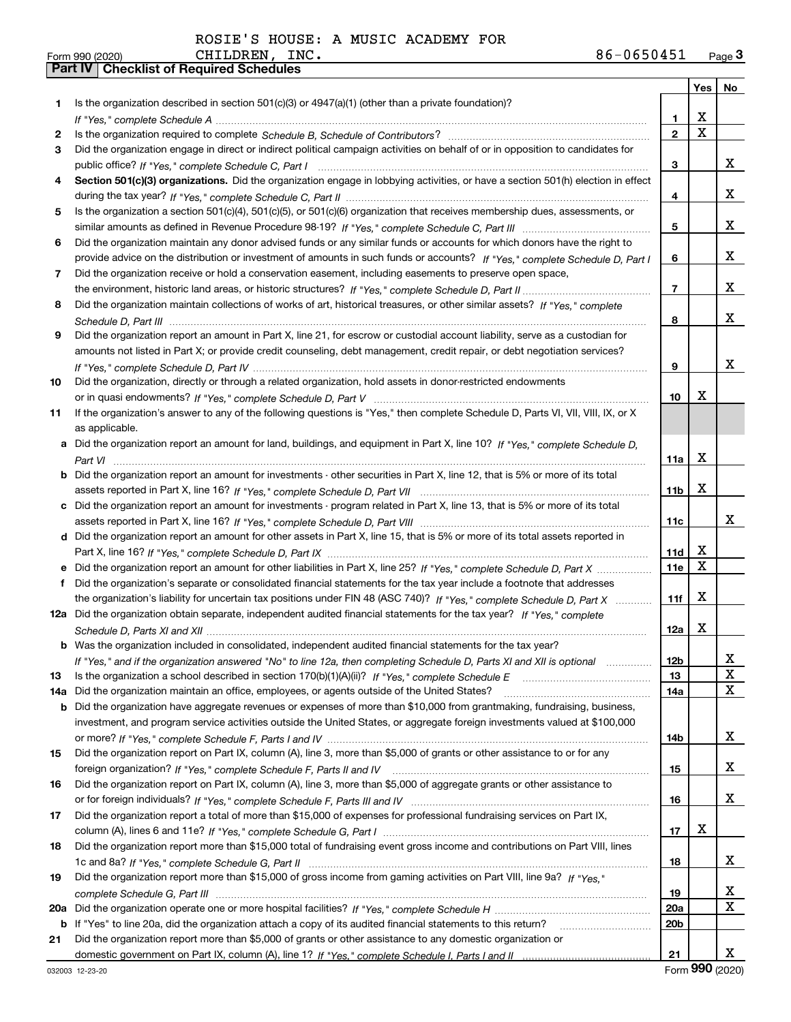| Form 990 (2020) |                                                  | CHILDREN | INC. | 86-0650451 | Page $3$ |
|-----------------|--------------------------------------------------|----------|------|------------|----------|
|                 | <b>Part IV   Checklist of Required Schedules</b> |          |      |            |          |

|     |                                                                                                                                  |                 |             | Yes   No |
|-----|----------------------------------------------------------------------------------------------------------------------------------|-----------------|-------------|----------|
| 1   | Is the organization described in section $501(c)(3)$ or $4947(a)(1)$ (other than a private foundation)?                          |                 |             |          |
|     |                                                                                                                                  | 1.              | x           |          |
| 2   |                                                                                                                                  | $\overline{2}$  | $\mathbf X$ |          |
| 3   | Did the organization engage in direct or indirect political campaign activities on behalf of or in opposition to candidates for  |                 |             |          |
|     |                                                                                                                                  | 3               |             | x        |
| 4   | Section 501(c)(3) organizations. Did the organization engage in lobbying activities, or have a section 501(h) election in effect |                 |             |          |
|     |                                                                                                                                  | 4               |             | x        |
| 5   | Is the organization a section 501(c)(4), 501(c)(5), or 501(c)(6) organization that receives membership dues, assessments, or     |                 |             |          |
|     |                                                                                                                                  | 5               |             | x        |
| 6   | Did the organization maintain any donor advised funds or any similar funds or accounts for which donors have the right to        |                 |             |          |
|     | provide advice on the distribution or investment of amounts in such funds or accounts? If "Yes," complete Schedule D, Part I     | 6               |             | x        |
| 7   | Did the organization receive or hold a conservation easement, including easements to preserve open space,                        |                 |             |          |
|     |                                                                                                                                  | $\overline{7}$  |             | x        |
| 8   | Did the organization maintain collections of works of art, historical treasures, or other similar assets? If "Yes," complete     |                 |             |          |
|     |                                                                                                                                  | 8               |             | x        |
| 9   | Did the organization report an amount in Part X, line 21, for escrow or custodial account liability, serve as a custodian for    |                 |             |          |
|     | amounts not listed in Part X; or provide credit counseling, debt management, credit repair, or debt negotiation services?        |                 |             |          |
|     |                                                                                                                                  | 9               |             | x        |
| 10  | Did the organization, directly or through a related organization, hold assets in donor-restricted endowments                     |                 |             |          |
|     |                                                                                                                                  | 10              | X           |          |
| 11  | If the organization's answer to any of the following questions is "Yes," then complete Schedule D, Parts VI, VII, VIII, IX, or X |                 |             |          |
|     | as applicable.                                                                                                                   |                 |             |          |
|     | a Did the organization report an amount for land, buildings, and equipment in Part X, line 10? If "Yes," complete Schedule D.    |                 |             |          |
|     |                                                                                                                                  | 11a             | X           |          |
|     | Did the organization report an amount for investments - other securities in Part X, line 12, that is 5% or more of its total     |                 |             |          |
|     |                                                                                                                                  | 11 <sub>b</sub> | X           |          |
|     | c Did the organization report an amount for investments - program related in Part X, line 13, that is 5% or more of its total    |                 |             | x        |
|     |                                                                                                                                  | 11c             |             |          |
|     | d Did the organization report an amount for other assets in Part X, line 15, that is 5% or more of its total assets reported in  | 11d             | X           |          |
|     |                                                                                                                                  | 11e             | X           |          |
| f   | Did the organization's separate or consolidated financial statements for the tax year include a footnote that addresses          |                 |             |          |
|     | the organization's liability for uncertain tax positions under FIN 48 (ASC 740)? If "Yes," complete Schedule D, Part X           | 11f             | X           |          |
|     | 12a Did the organization obtain separate, independent audited financial statements for the tax year? If "Yes," complete          |                 |             |          |
|     |                                                                                                                                  | 12a             | X           |          |
|     | <b>b</b> Was the organization included in consolidated, independent audited financial statements for the tax year?               |                 |             |          |
|     | If "Yes," and if the organization answered "No" to line 12a, then completing Schedule D, Parts XI and XII is optional            | 12 <sub>b</sub> |             |          |
| 13  |                                                                                                                                  | 13              |             | 47<br>X  |
| 14a | Did the organization maintain an office, employees, or agents outside of the United States?                                      | 14a             |             | X        |
| b   | Did the organization have aggregate revenues or expenses of more than \$10,000 from grantmaking, fundraising, business,          |                 |             |          |
|     | investment, and program service activities outside the United States, or aggregate foreign investments valued at \$100,000       |                 |             |          |
|     |                                                                                                                                  | 14b             |             | x        |
| 15  | Did the organization report on Part IX, column (A), line 3, more than \$5,000 of grants or other assistance to or for any        |                 |             |          |
|     |                                                                                                                                  | 15              |             | x        |
| 16  | Did the organization report on Part IX, column (A), line 3, more than \$5,000 of aggregate grants or other assistance to         |                 |             |          |
|     |                                                                                                                                  | 16              |             | x        |
| 17  | Did the organization report a total of more than \$15,000 of expenses for professional fundraising services on Part IX,          |                 |             |          |
|     |                                                                                                                                  | 17              | X           |          |
| 18  | Did the organization report more than \$15,000 total of fundraising event gross income and contributions on Part VIII, lines     |                 |             |          |
|     |                                                                                                                                  | 18              |             | x        |
| 19  | Did the organization report more than \$15,000 of gross income from gaming activities on Part VIII, line 9a? If "Yes."           |                 |             |          |
|     |                                                                                                                                  | 19              |             | x        |
| 20a |                                                                                                                                  | <b>20a</b>      |             | X        |
| b   | If "Yes" to line 20a, did the organization attach a copy of its audited financial statements to this return?                     | 20 <sub>b</sub> |             |          |
| 21  | Did the organization report more than \$5,000 of grants or other assistance to any domestic organization or                      |                 |             |          |
|     |                                                                                                                                  | 21              |             | x        |
|     |                                                                                                                                  |                 |             | QQQ      |

Form (2020) **990**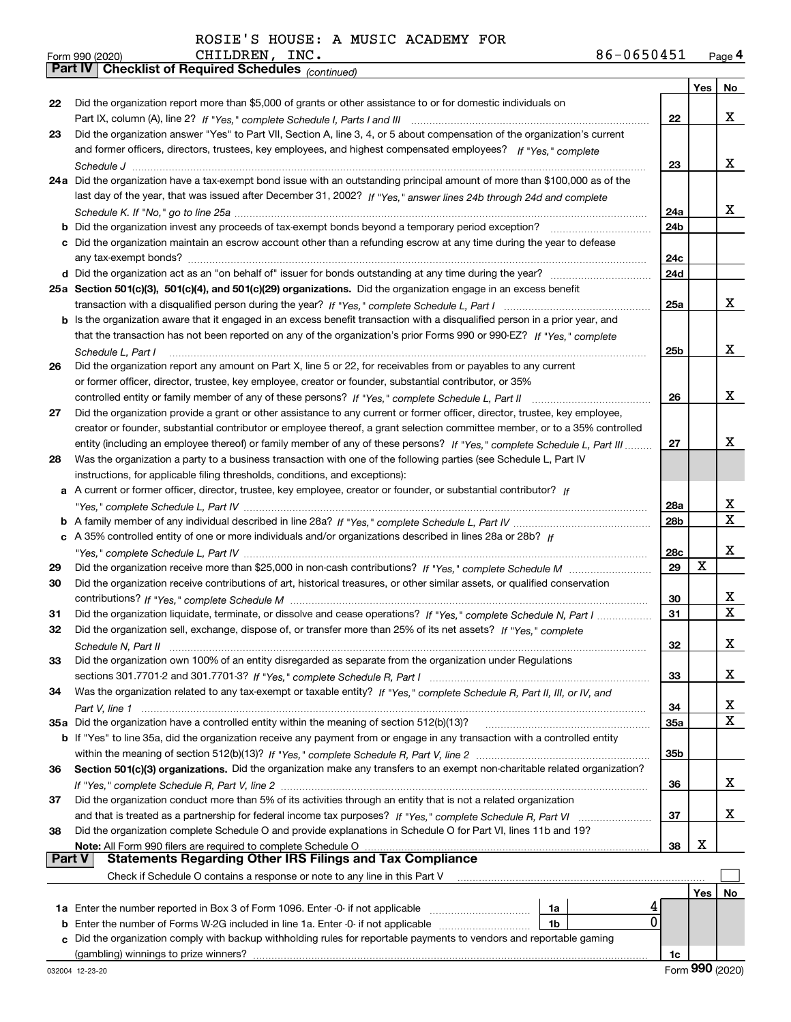|               | 86-0650451<br>CHILDREN,<br>INC.<br>Form 990 (2020)                                                                           |            |     | Page 4            |
|---------------|------------------------------------------------------------------------------------------------------------------------------|------------|-----|-------------------|
|               | Part IV   Checklist of Required Schedules (continued)                                                                        |            |     |                   |
|               |                                                                                                                              |            | Yes | No                |
| 22            | Did the organization report more than \$5,000 of grants or other assistance to or for domestic individuals on                |            |     |                   |
|               |                                                                                                                              | 22         |     | x                 |
| 23            | Did the organization answer "Yes" to Part VII, Section A, line 3, 4, or 5 about compensation of the organization's current   |            |     |                   |
|               | and former officers, directors, trustees, key employees, and highest compensated employees? If "Yes," complete               |            |     |                   |
|               |                                                                                                                              | 23         |     | x                 |
|               | 24a Did the organization have a tax-exempt bond issue with an outstanding principal amount of more than \$100,000 as of the  |            |     |                   |
|               | last day of the year, that was issued after December 31, 2002? If "Yes," answer lines 24b through 24d and complete           |            |     |                   |
|               |                                                                                                                              | 24a        |     | X.                |
|               |                                                                                                                              | 24b        |     |                   |
|               | c Did the organization maintain an escrow account other than a refunding escrow at any time during the year to defease       |            |     |                   |
|               |                                                                                                                              | 24c        |     |                   |
|               |                                                                                                                              | 24d        |     |                   |
|               | 25a Section 501(c)(3), 501(c)(4), and 501(c)(29) organizations. Did the organization engage in an excess benefit             |            |     |                   |
|               |                                                                                                                              | 25a        |     | x                 |
|               | b Is the organization aware that it engaged in an excess benefit transaction with a disqualified person in a prior year, and |            |     |                   |
|               | that the transaction has not been reported on any of the organization's prior Forms 990 or 990-EZ? If "Yes," complete        |            |     |                   |
|               | Schedule L, Part I                                                                                                           | 25b        |     | x                 |
| 26            | Did the organization report any amount on Part X, line 5 or 22, for receivables from or payables to any current              |            |     |                   |
|               | or former officer, director, trustee, key employee, creator or founder, substantial contributor, or 35%                      |            |     |                   |
|               |                                                                                                                              | 26         |     | x                 |
| 27            | Did the organization provide a grant or other assistance to any current or former officer, director, trustee, key employee,  |            |     |                   |
|               | creator or founder, substantial contributor or employee thereof, a grant selection committee member, or to a 35% controlled  |            |     |                   |
|               |                                                                                                                              | 27         |     | x                 |
|               | entity (including an employee thereof) or family member of any of these persons? If "Yes," complete Schedule L, Part III     |            |     |                   |
| 28            | Was the organization a party to a business transaction with one of the following parties (see Schedule L, Part IV            |            |     |                   |
|               | instructions, for applicable filing thresholds, conditions, and exceptions):                                                 |            |     |                   |
|               | a A current or former officer, director, trustee, key employee, creator or founder, or substantial contributor? If           |            |     |                   |
|               |                                                                                                                              | 28a        |     | x<br>$\mathbf{X}$ |
|               |                                                                                                                              | 28b        |     |                   |
|               | c A 35% controlled entity of one or more individuals and/or organizations described in lines 28a or 28b? If                  |            |     |                   |
|               |                                                                                                                              | 28c        |     | x                 |
| 29            |                                                                                                                              | 29         | X   |                   |
| 30            | Did the organization receive contributions of art, historical treasures, or other similar assets, or qualified conservation  |            |     |                   |
|               |                                                                                                                              | 30         |     | X                 |
| 31            | Did the organization liquidate, terminate, or dissolve and cease operations? If "Yes," complete Schedule N, Part I           | 31         |     | X                 |
| 32            | Did the organization sell, exchange, dispose of, or transfer more than 25% of its net assets? If "Yes," complete             |            |     |                   |
|               |                                                                                                                              | 32         |     | x                 |
| 33            | Did the organization own 100% of an entity disregarded as separate from the organization under Regulations                   |            |     |                   |
|               |                                                                                                                              | 33         |     | x                 |
| 34            | Was the organization related to any tax-exempt or taxable entity? If "Yes," complete Schedule R, Part II, III, or IV, and    |            |     |                   |
|               |                                                                                                                              | 34         |     | x                 |
|               | 35a Did the organization have a controlled entity within the meaning of section 512(b)(13)?                                  | <b>35a</b> |     | X                 |
|               | b If "Yes" to line 35a, did the organization receive any payment from or engage in any transaction with a controlled entity  |            |     |                   |
|               |                                                                                                                              | 35b        |     |                   |
| 36            | Section 501(c)(3) organizations. Did the organization make any transfers to an exempt non-charitable related organization?   |            |     |                   |
|               |                                                                                                                              | 36         |     | x                 |
| 37            | Did the organization conduct more than 5% of its activities through an entity that is not a related organization             |            |     |                   |
|               |                                                                                                                              | 37         |     | x                 |
| 38            | Did the organization complete Schedule O and provide explanations in Schedule O for Part VI, lines 11b and 19?               |            |     |                   |
|               |                                                                                                                              | 38         | X   |                   |
| <b>Part V</b> | <b>Statements Regarding Other IRS Filings and Tax Compliance</b>                                                             |            |     |                   |
|               | Check if Schedule O contains a response or note to any line in this Part V                                                   |            |     |                   |
|               |                                                                                                                              |            | Yes | No                |
|               | 4<br>1a                                                                                                                      |            |     |                   |
|               | 0<br><b>b</b> Enter the number of Forms W-2G included in line 1a. Enter -0- if not applicable<br>1b                          |            |     |                   |
|               | c Did the organization comply with backup withholding rules for reportable payments to vendors and reportable gaming         |            |     |                   |
|               |                                                                                                                              | 1c         |     |                   |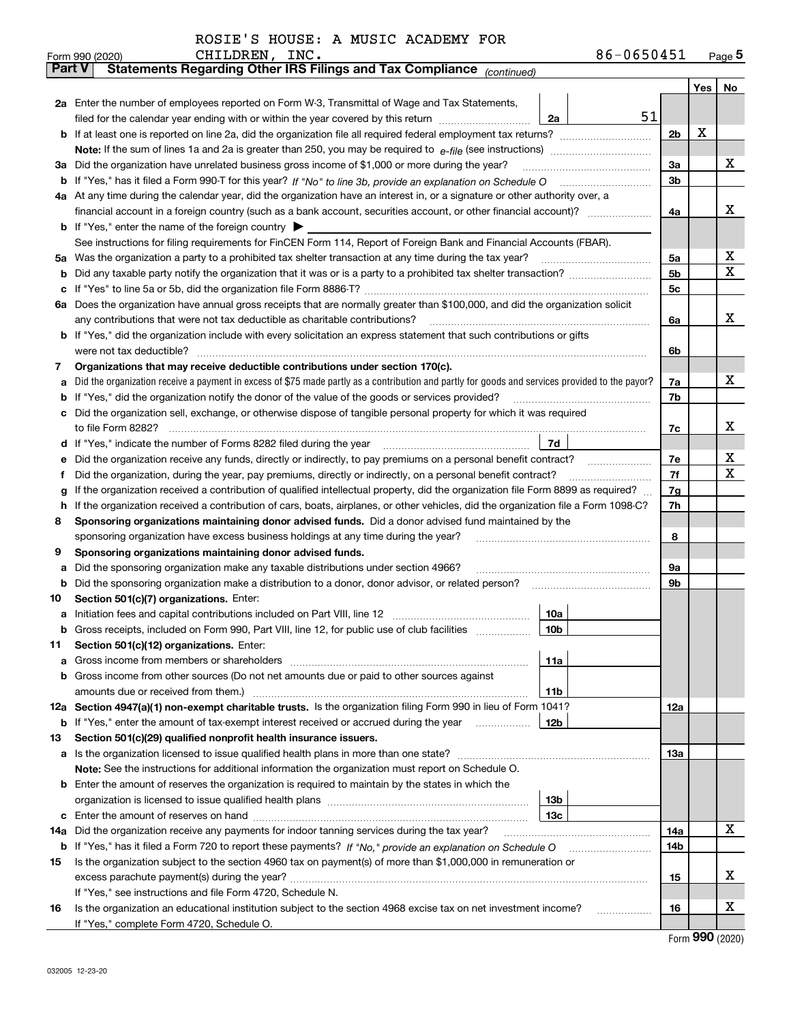| ROSIE'S HOUSE: A MUSIC ACADEMY FOR |  |  |  |  |  |  |
|------------------------------------|--|--|--|--|--|--|
|------------------------------------|--|--|--|--|--|--|

|               |                                                                                                                      | CHILDREN, INC.<br>Form 990 (2020)                                                                                                                                                                                                                                      |                 | 86-0650451 |                |     | $_{\text{Page}}$ 5 |  |
|---------------|----------------------------------------------------------------------------------------------------------------------|------------------------------------------------------------------------------------------------------------------------------------------------------------------------------------------------------------------------------------------------------------------------|-----------------|------------|----------------|-----|--------------------|--|
| <b>Part V</b> |                                                                                                                      | Statements Regarding Other IRS Filings and Tax Compliance (continued)                                                                                                                                                                                                  |                 |            |                |     |                    |  |
|               |                                                                                                                      |                                                                                                                                                                                                                                                                        |                 |            |                | Yes | No                 |  |
|               |                                                                                                                      | 2a Enter the number of employees reported on Form W-3, Transmittal of Wage and Tax Statements,                                                                                                                                                                         |                 |            |                |     |                    |  |
|               |                                                                                                                      | filed for the calendar year ending with or within the year covered by this return <i>manumumumum</i>                                                                                                                                                                   | 2a              | 51         |                |     |                    |  |
|               |                                                                                                                      |                                                                                                                                                                                                                                                                        |                 |            | 2 <sub>b</sub> | х   |                    |  |
|               |                                                                                                                      |                                                                                                                                                                                                                                                                        |                 |            |                |     |                    |  |
| За            |                                                                                                                      | Did the organization have unrelated business gross income of \$1,000 or more during the year?                                                                                                                                                                          |                 |            | 3a             |     | х                  |  |
|               |                                                                                                                      |                                                                                                                                                                                                                                                                        |                 |            | 3b             |     |                    |  |
|               |                                                                                                                      | 4a At any time during the calendar year, did the organization have an interest in, or a signature or other authority over, a                                                                                                                                           |                 |            |                |     |                    |  |
|               |                                                                                                                      |                                                                                                                                                                                                                                                                        |                 |            | 4a             |     | x                  |  |
|               |                                                                                                                      | <b>b</b> If "Yes," enter the name of the foreign country $\blacktriangleright$                                                                                                                                                                                         |                 |            |                |     |                    |  |
|               |                                                                                                                      | See instructions for filing requirements for FinCEN Form 114, Report of Foreign Bank and Financial Accounts (FBAR).                                                                                                                                                    |                 |            |                |     |                    |  |
| 5a            |                                                                                                                      | Was the organization a party to a prohibited tax shelter transaction at any time during the tax year?                                                                                                                                                                  |                 |            | 5a             |     | х                  |  |
| b             |                                                                                                                      |                                                                                                                                                                                                                                                                        |                 |            | 5 <sub>b</sub> |     | X                  |  |
| c             |                                                                                                                      |                                                                                                                                                                                                                                                                        |                 |            | 5c             |     |                    |  |
|               |                                                                                                                      | 6a Does the organization have annual gross receipts that are normally greater than \$100,000, and did the organization solicit                                                                                                                                         |                 |            |                |     |                    |  |
|               |                                                                                                                      | any contributions that were not tax deductible as charitable contributions?                                                                                                                                                                                            |                 |            | 6a             |     | x                  |  |
|               |                                                                                                                      | b If "Yes," did the organization include with every solicitation an express statement that such contributions or gifts                                                                                                                                                 |                 |            |                |     |                    |  |
|               |                                                                                                                      | were not tax deductible?                                                                                                                                                                                                                                               |                 |            | 6b             |     |                    |  |
| 7             |                                                                                                                      | Organizations that may receive deductible contributions under section 170(c).                                                                                                                                                                                          |                 |            |                |     |                    |  |
| a             |                                                                                                                      | Did the organization receive a payment in excess of \$75 made partly as a contribution and partly for goods and services provided to the payor?                                                                                                                        |                 |            | 7a             |     | x                  |  |
| b             |                                                                                                                      | If "Yes," did the organization notify the donor of the value of the goods or services provided?                                                                                                                                                                        |                 |            | 7b             |     |                    |  |
|               |                                                                                                                      | Did the organization sell, exchange, or otherwise dispose of tangible personal property for which it was required                                                                                                                                                      |                 |            |                |     | x                  |  |
|               |                                                                                                                      |                                                                                                                                                                                                                                                                        |                 |            | 7c             |     |                    |  |
| d             | 7d                                                                                                                   |                                                                                                                                                                                                                                                                        |                 |            |                |     |                    |  |
|               | Did the organization receive any funds, directly or indirectly, to pay premiums on a personal benefit contract?<br>е |                                                                                                                                                                                                                                                                        |                 |            |                |     |                    |  |
| f             |                                                                                                                      | Did the organization, during the year, pay premiums, directly or indirectly, on a personal benefit contract?                                                                                                                                                           |                 |            | 7f             |     | X                  |  |
| g<br>h.       |                                                                                                                      | If the organization received a contribution of qualified intellectual property, did the organization file Form 8899 as required?<br>If the organization received a contribution of cars, boats, airplanes, or other vehicles, did the organization file a Form 1098-C? |                 |            | 7g<br>7h       |     |                    |  |
| 8             |                                                                                                                      | Sponsoring organizations maintaining donor advised funds. Did a donor advised fund maintained by the                                                                                                                                                                   |                 |            |                |     |                    |  |
|               |                                                                                                                      | sponsoring organization have excess business holdings at any time during the year?                                                                                                                                                                                     |                 |            | 8              |     |                    |  |
| 9             |                                                                                                                      | Sponsoring organizations maintaining donor advised funds.                                                                                                                                                                                                              |                 |            |                |     |                    |  |
| a             |                                                                                                                      | Did the sponsoring organization make any taxable distributions under section 4966?                                                                                                                                                                                     |                 |            | 9а             |     |                    |  |
| b             |                                                                                                                      | Did the sponsoring organization make a distribution to a donor, donor advisor, or related person?                                                                                                                                                                      |                 |            | 9b             |     |                    |  |
| 10            |                                                                                                                      | Section 501(c)(7) organizations. Enter:                                                                                                                                                                                                                                |                 |            |                |     |                    |  |
|               |                                                                                                                      | a Initiation fees and capital contributions included on Part VIII, line 12 [11] [12] [11] [12] [11] [12] [11] [12] [11] [12] [11] [12] [11] [12] [11] [12] [11] [12] [11] [12] [11] [12] [11] [12] [11] [12] [11] [12] [11] [1                                         | 10a             |            |                |     |                    |  |
|               |                                                                                                                      | Gross receipts, included on Form 990, Part VIII, line 12, for public use of club facilities                                                                                                                                                                            | 10b             |            |                |     |                    |  |
| 11            |                                                                                                                      | Section 501(c)(12) organizations. Enter:                                                                                                                                                                                                                               |                 |            |                |     |                    |  |
| a             |                                                                                                                      | Gross income from members or shareholders                                                                                                                                                                                                                              | 11a             |            |                |     |                    |  |
|               |                                                                                                                      | b Gross income from other sources (Do not net amounts due or paid to other sources against                                                                                                                                                                             |                 |            |                |     |                    |  |
|               |                                                                                                                      |                                                                                                                                                                                                                                                                        | 11 <sub>b</sub> |            |                |     |                    |  |
|               |                                                                                                                      | 12a Section 4947(a)(1) non-exempt charitable trusts. Is the organization filing Form 990 in lieu of Form 1041?                                                                                                                                                         |                 |            | <b>12a</b>     |     |                    |  |
|               |                                                                                                                      | <b>b</b> If "Yes," enter the amount of tax-exempt interest received or accrued during the year <b>contained</b>                                                                                                                                                        | 12b             |            |                |     |                    |  |
| 13            |                                                                                                                      | Section 501(c)(29) qualified nonprofit health insurance issuers.                                                                                                                                                                                                       |                 |            |                |     |                    |  |
|               |                                                                                                                      | <b>a</b> Is the organization licensed to issue qualified health plans in more than one state?                                                                                                                                                                          |                 |            | <b>13a</b>     |     |                    |  |
|               |                                                                                                                      | Note: See the instructions for additional information the organization must report on Schedule O.                                                                                                                                                                      |                 |            |                |     |                    |  |
|               |                                                                                                                      | <b>b</b> Enter the amount of reserves the organization is required to maintain by the states in which the                                                                                                                                                              |                 |            |                |     |                    |  |
|               |                                                                                                                      |                                                                                                                                                                                                                                                                        | 13 <sub>b</sub> |            |                |     |                    |  |
|               |                                                                                                                      |                                                                                                                                                                                                                                                                        | 13 <sub>c</sub> |            |                |     |                    |  |
| 14a           |                                                                                                                      | Did the organization receive any payments for indoor tanning services during the tax year?                                                                                                                                                                             |                 |            | 14a            |     | x                  |  |
|               |                                                                                                                      |                                                                                                                                                                                                                                                                        |                 |            | 14b            |     |                    |  |
| 15            |                                                                                                                      | Is the organization subject to the section 4960 tax on payment(s) of more than \$1,000,000 in remuneration or                                                                                                                                                          |                 |            |                |     |                    |  |
|               |                                                                                                                      |                                                                                                                                                                                                                                                                        |                 |            | 15             |     | х                  |  |
|               |                                                                                                                      | If "Yes," see instructions and file Form 4720, Schedule N.                                                                                                                                                                                                             |                 |            |                |     |                    |  |
| 16            |                                                                                                                      | Is the organization an educational institution subject to the section 4968 excise tax on net investment income?                                                                                                                                                        |                 |            | 16             |     | х                  |  |
|               |                                                                                                                      | If "Yes," complete Form 4720, Schedule O.                                                                                                                                                                                                                              |                 |            |                |     |                    |  |

Form (2020) **990**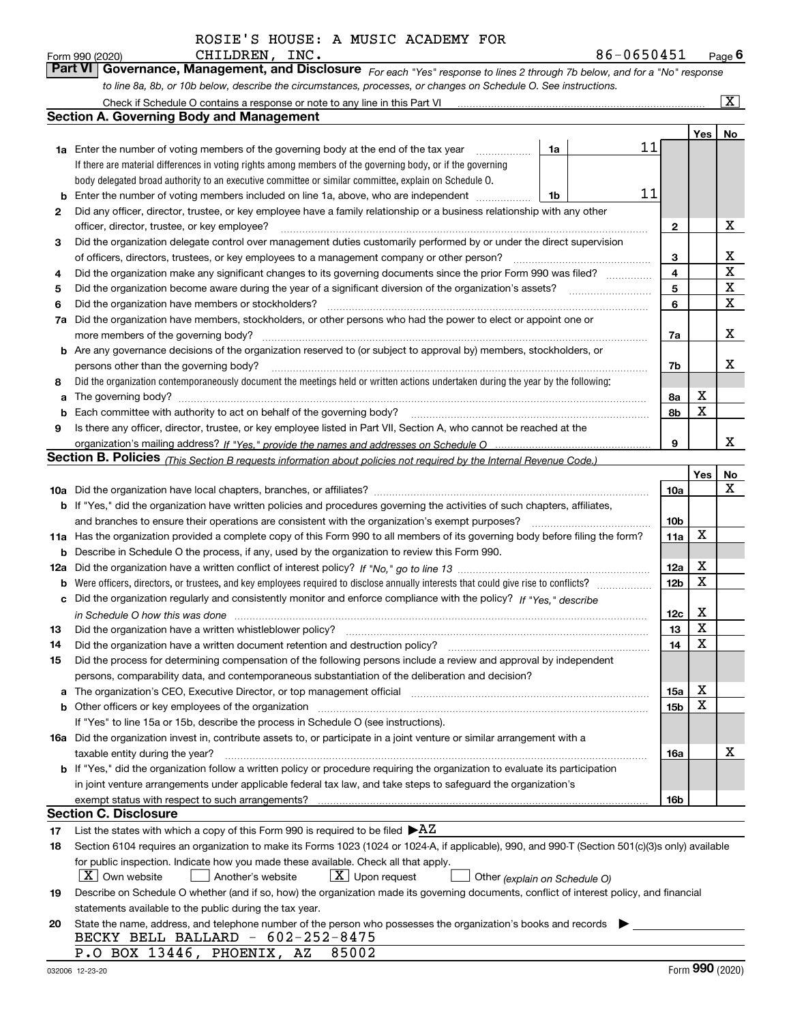*For each "Yes" response to lines 2 through 7b below, and for a "No" response to line 8a, 8b, or 10b below, describe the circumstances, processes, or changes on Schedule O. See instructions.* Form 990 (2020) **CHILDREN, INC.**<br>**Part VI Governance, Management, and Disclosure** For each "Yes" response to lines 2 through 7b below, and for a "No" response

|     | Check if Schedule O contains a response or note to any line in this Part VI                                                                                           |    |    |                 |     | x           |  |  |  |
|-----|-----------------------------------------------------------------------------------------------------------------------------------------------------------------------|----|----|-----------------|-----|-------------|--|--|--|
|     | <b>Section A. Governing Body and Management</b>                                                                                                                       |    |    |                 |     |             |  |  |  |
|     |                                                                                                                                                                       |    |    |                 | Yes | No          |  |  |  |
|     | 1a Enter the number of voting members of the governing body at the end of the tax year                                                                                | 1a | 11 |                 |     |             |  |  |  |
|     | If there are material differences in voting rights among members of the governing body, or if the governing                                                           |    |    |                 |     |             |  |  |  |
|     | body delegated broad authority to an executive committee or similar committee, explain on Schedule O.                                                                 |    |    |                 |     |             |  |  |  |
| b   | Enter the number of voting members included on line 1a, above, who are independent                                                                                    | 1b | 11 |                 |     |             |  |  |  |
| 2   | Did any officer, director, trustee, or key employee have a family relationship or a business relationship with any other                                              |    |    |                 |     |             |  |  |  |
|     | officer, director, trustee, or key employee?                                                                                                                          |    |    | $\mathbf{2}$    |     | X           |  |  |  |
| 3   | Did the organization delegate control over management duties customarily performed by or under the direct supervision                                                 |    |    |                 |     |             |  |  |  |
|     | of officers, directors, trustees, or key employees to a management company or other person?                                                                           |    |    | 3               |     | x           |  |  |  |
| 4   | Did the organization make any significant changes to its governing documents since the prior Form 990 was filed?                                                      |    |    | 4               |     | $\mathbf X$ |  |  |  |
| 5   |                                                                                                                                                                       |    |    | 5               |     | $\mathbf X$ |  |  |  |
| 6   | Did the organization have members or stockholders?                                                                                                                    |    |    | 6               |     | $\mathbf X$ |  |  |  |
| 7a  | Did the organization have members, stockholders, or other persons who had the power to elect or appoint one or                                                        |    |    |                 |     |             |  |  |  |
|     | more members of the governing body?                                                                                                                                   |    |    | 7a              |     | х           |  |  |  |
| b   | Are any governance decisions of the organization reserved to (or subject to approval by) members, stockholders, or                                                    |    |    |                 |     |             |  |  |  |
|     | persons other than the governing body?                                                                                                                                |    |    | 7b              |     | х           |  |  |  |
| 8   | Did the organization contemporaneously document the meetings held or written actions undertaken during the year by the following:                                     |    |    |                 |     |             |  |  |  |
| a   |                                                                                                                                                                       |    |    | 8a              | X   |             |  |  |  |
| b   | Each committee with authority to act on behalf of the governing body?                                                                                                 |    |    | 8b              | X   |             |  |  |  |
| 9   | Is there any officer, director, trustee, or key employee listed in Part VII, Section A, who cannot be reached at the                                                  |    |    |                 |     |             |  |  |  |
|     |                                                                                                                                                                       |    |    | 9               |     | x           |  |  |  |
|     | <b>Section B. Policies</b> (This Section B requests information about policies not required by the Internal Revenue Code.)                                            |    |    |                 |     |             |  |  |  |
|     |                                                                                                                                                                       |    |    |                 | Yes | No          |  |  |  |
|     |                                                                                                                                                                       |    |    | 10a             |     | х           |  |  |  |
|     | <b>b</b> If "Yes," did the organization have written policies and procedures governing the activities of such chapters, affiliates,                                   |    |    |                 |     |             |  |  |  |
|     | and branches to ensure their operations are consistent with the organization's exempt purposes?                                                                       |    |    | 10 <sub>b</sub> |     |             |  |  |  |
|     | 11a Has the organization provided a complete copy of this Form 990 to all members of its governing body before filing the form?                                       |    |    | 11a             | X   |             |  |  |  |
| b   | Describe in Schedule O the process, if any, used by the organization to review this Form 990.                                                                         |    |    |                 |     |             |  |  |  |
| 12a |                                                                                                                                                                       |    |    | 12a             | X   |             |  |  |  |
| b   |                                                                                                                                                                       |    |    | 12 <sub>b</sub> | X   |             |  |  |  |
| с   | Did the organization regularly and consistently monitor and enforce compliance with the policy? If "Yes." describe                                                    |    |    |                 |     |             |  |  |  |
|     | in Schedule O how this was done measured and contained a strategie of the state of the state of the strategie o                                                       |    |    | 12c             | х   |             |  |  |  |
| 13  | Did the organization have a written whistleblower policy?                                                                                                             |    |    | 13              | X   |             |  |  |  |
| 14  | Did the organization have a written document retention and destruction policy?                                                                                        |    |    | 14              | X   |             |  |  |  |
| 15  | Did the process for determining compensation of the following persons include a review and approval by independent                                                    |    |    |                 |     |             |  |  |  |
|     | persons, comparability data, and contemporaneous substantiation of the deliberation and decision?                                                                     |    |    |                 |     |             |  |  |  |
| а   | The organization's CEO, Executive Director, or top management official manufactured content of the organization's CEO, Executive Director, or top management official |    |    | 15a             | х   |             |  |  |  |
| b   |                                                                                                                                                                       |    |    | 15b             | X   |             |  |  |  |
|     | If "Yes" to line 15a or 15b, describe the process in Schedule O (see instructions).                                                                                   |    |    |                 |     |             |  |  |  |
|     | 16a Did the organization invest in, contribute assets to, or participate in a joint venture or similar arrangement with a                                             |    |    |                 |     |             |  |  |  |
|     | taxable entity during the year?                                                                                                                                       |    |    | 16a             |     | х           |  |  |  |
|     | b If "Yes," did the organization follow a written policy or procedure requiring the organization to evaluate its participation                                        |    |    |                 |     |             |  |  |  |
|     | in joint venture arrangements under applicable federal tax law, and take steps to safequard the organization's                                                        |    |    |                 |     |             |  |  |  |
|     | exempt status with respect to such arrangements?                                                                                                                      |    |    | 16b             |     |             |  |  |  |
|     | <b>Section C. Disclosure</b>                                                                                                                                          |    |    |                 |     |             |  |  |  |
| 17  | List the states with which a copy of this Form 990 is required to be filed $\blacktriangleright$ AZ                                                                   |    |    |                 |     |             |  |  |  |
| 18  | Section 6104 requires an organization to make its Forms 1023 (1024 or 1024-A, if applicable), 990, and 990-T (Section 501(c)(3)s only) available                      |    |    |                 |     |             |  |  |  |
|     | for public inspection. Indicate how you made these available. Check all that apply.                                                                                   |    |    |                 |     |             |  |  |  |
|     | $\lfloor X \rfloor$ Own website<br>$X$ Upon request<br>Another's website<br>Other (explain on Schedule O)                                                             |    |    |                 |     |             |  |  |  |
| 19  | Describe on Schedule O whether (and if so, how) the organization made its governing documents, conflict of interest policy, and financial                             |    |    |                 |     |             |  |  |  |
|     | statements available to the public during the tax year.                                                                                                               |    |    |                 |     |             |  |  |  |
| 20  | State the name, address, and telephone number of the person who possesses the organization's books and records                                                        |    |    |                 |     |             |  |  |  |
|     | BECKY BELL BALLARD - 602-252-8475                                                                                                                                     |    |    |                 |     |             |  |  |  |
|     | P.O BOX 13446, PHOENIX, AZ<br>85002                                                                                                                                   |    |    |                 |     |             |  |  |  |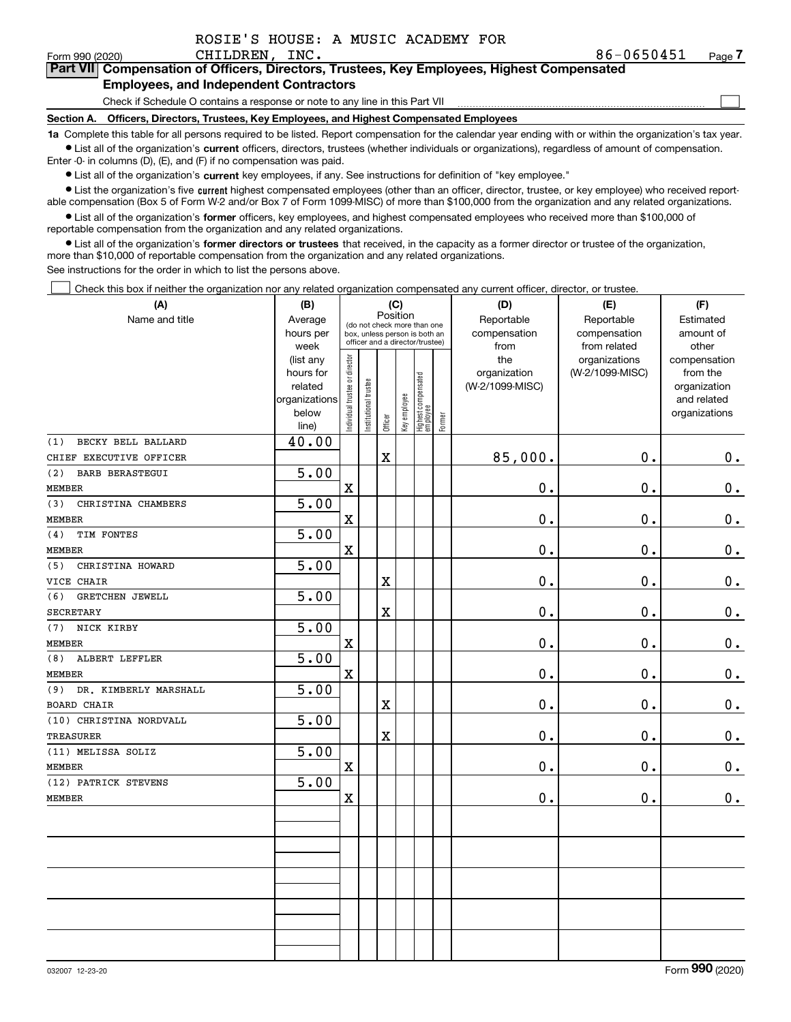|  |  |  |  |  |  | ROSIE'S HOUSE: A MUSIC ACADEMY FOR |  |
|--|--|--|--|--|--|------------------------------------|--|
|--|--|--|--|--|--|------------------------------------|--|

CHILDREN, INC. 2008. [19] 2012 12:30:451 12:30:451 12:30:451 12:30:451 12:30:451 12:30:451 12:30:451 12:30:451 12:30:451 12:30:451 12:30:451 12:30:451 12:30:451 12:30:451 12:30:451 12:30:451 12:30:451 12:30:451 12:451 12:4

 $\mathcal{L}^{\text{max}}$ 

| Form 990 (2020) | CHILDREN. INC.                                                                             | 86-0650451 | Page <i>I</i> |
|-----------------|--------------------------------------------------------------------------------------------|------------|---------------|
|                 | Part VII Compensation of Officers, Directors, Trustees, Key Employees, Highest Compensated |            |               |
|                 | <b>Employees, and Independent Contractors</b>                                              |            |               |

Check if Schedule O contains a response or note to any line in this Part VII

**Section A. Officers, Directors, Trustees, Key Employees, and Highest Compensated Employees**

**1a**  Complete this table for all persons required to be listed. Report compensation for the calendar year ending with or within the organization's tax year. **•** List all of the organization's current officers, directors, trustees (whether individuals or organizations), regardless of amount of compensation.

Enter -0- in columns (D), (E), and (F) if no compensation was paid.

 $\bullet$  List all of the organization's  $\,$ current key employees, if any. See instructions for definition of "key employee."

**•** List the organization's five current highest compensated employees (other than an officer, director, trustee, or key employee) who received reportable compensation (Box 5 of Form W-2 and/or Box 7 of Form 1099-MISC) of more than \$100,000 from the organization and any related organizations.

**•** List all of the organization's former officers, key employees, and highest compensated employees who received more than \$100,000 of reportable compensation from the organization and any related organizations.

**former directors or trustees**  ¥ List all of the organization's that received, in the capacity as a former director or trustee of the organization, more than \$10,000 of reportable compensation from the organization and any related organizations.

See instructions for the order in which to list the persons above.

Check this box if neither the organization nor any related organization compensated any current officer, director, or trustee.  $\mathcal{L}^{\text{max}}$ 

| (A)                           | (B)               | (C)                                     |                                                                  |         |              |                                   |        | (D)                  | (E)                          | (F)                |  |  |
|-------------------------------|-------------------|-----------------------------------------|------------------------------------------------------------------|---------|--------------|-----------------------------------|--------|----------------------|------------------------------|--------------------|--|--|
| Name and title                | Average           | Position<br>(do not check more than one |                                                                  |         |              |                                   |        | Reportable           | Reportable                   | Estimated          |  |  |
|                               | hours per<br>week |                                         | box, unless person is both an<br>officer and a director/trustee) |         |              |                                   |        | compensation<br>from | compensation<br>from related | amount of<br>other |  |  |
|                               | (list any         |                                         |                                                                  |         |              |                                   |        | the                  | organizations                | compensation       |  |  |
|                               | hours for         |                                         |                                                                  |         |              |                                   |        | organization         | (W-2/1099-MISC)              | from the           |  |  |
|                               | related           |                                         |                                                                  |         |              |                                   |        | (W-2/1099-MISC)      |                              | organization       |  |  |
|                               | organizations     |                                         |                                                                  |         |              |                                   |        |                      |                              | and related        |  |  |
|                               | below<br>line)    | ndividual trustee or director           | Institutional trustee                                            | Officer | Key employee | Highest compensated<br>  employee | Former |                      |                              | organizations      |  |  |
| BECKY BELL BALLARD<br>(1)     | 40.00             |                                         |                                                                  |         |              |                                   |        |                      |                              |                    |  |  |
| CHIEF EXECUTIVE OFFICER       |                   |                                         |                                                                  | X       |              |                                   |        | 85,000.              | $\mathbf 0$ .                | 0.                 |  |  |
| (2)<br><b>BARB BERASTEGUI</b> | 5.00              |                                         |                                                                  |         |              |                                   |        |                      |                              |                    |  |  |
| <b>MEMBER</b>                 |                   | $\mathbf X$                             |                                                                  |         |              |                                   |        | $0$ .                | 0.                           | $\mathbf 0$ .      |  |  |
| CHRISTINA CHAMBERS<br>(3)     | 5.00              |                                         |                                                                  |         |              |                                   |        |                      |                              |                    |  |  |
| <b>MEMBER</b>                 |                   | $\mathbf x$                             |                                                                  |         |              |                                   |        | 0.                   | $\mathbf 0$ .                | $\mathbf 0$ .      |  |  |
| (4)<br>TIM FONTES             | 5.00              |                                         |                                                                  |         |              |                                   |        |                      |                              |                    |  |  |
| MEMBER                        |                   | $\mathbf X$                             |                                                                  |         |              |                                   |        | $0$ .                | 0.                           | $\mathbf 0$ .      |  |  |
| CHRISTINA HOWARD<br>(5)       | 5.00              |                                         |                                                                  |         |              |                                   |        |                      |                              |                    |  |  |
| VICE CHAIR                    |                   |                                         |                                                                  | X       |              |                                   |        | $\mathbf 0$ .        | 0.                           | $0_{.}$            |  |  |
| (6)<br>GRETCHEN JEWELL        | 5.00              |                                         |                                                                  |         |              |                                   |        |                      |                              |                    |  |  |
| SECRETARY                     |                   |                                         |                                                                  | X       |              |                                   |        | $\mathbf 0$ .        | 0.                           | $0_{.}$            |  |  |
| NICK KIRBY<br>(7)             | 5.00              |                                         |                                                                  |         |              |                                   |        |                      |                              |                    |  |  |
| <b>MEMBER</b>                 |                   | $\mathbf X$                             |                                                                  |         |              |                                   |        | $\mathbf 0$ .        | $\mathbf 0$ .                | $\mathbf 0$ .      |  |  |
| (8)<br>ALBERT LEFFLER         | 5.00              |                                         |                                                                  |         |              |                                   |        |                      |                              |                    |  |  |
| <b>MEMBER</b>                 |                   | $\mathbf X$                             |                                                                  |         |              |                                   |        | 0.                   | $\mathbf 0$ .                | $\mathbf 0$ .      |  |  |
| DR. KIMBERLY MARSHALL<br>(9)  | $\overline{5.00}$ |                                         |                                                                  |         |              |                                   |        |                      |                              |                    |  |  |
| <b>BOARD CHAIR</b>            |                   |                                         |                                                                  | X       |              |                                   |        | $\mathbf 0$ .        | $\mathbf 0$ .                | $\mathbf 0$ .      |  |  |
| (10) CHRISTINA NORDVALL       | 5.00              |                                         |                                                                  |         |              |                                   |        |                      |                              |                    |  |  |
| <b>TREASURER</b>              |                   |                                         |                                                                  | X       |              |                                   |        | $\mathbf 0$ .        | 0.                           | 0.                 |  |  |
| (11) MELISSA SOLIZ            | 5.00              |                                         |                                                                  |         |              |                                   |        |                      |                              |                    |  |  |
| <b>MEMBER</b>                 |                   | $\mathbf x$                             |                                                                  |         |              |                                   |        | $\mathbf 0$ .        | $\mathbf 0$ .                | 0.                 |  |  |
| (12) PATRICK STEVENS          | 5.00              |                                         |                                                                  |         |              |                                   |        |                      |                              |                    |  |  |
| <b>MEMBER</b>                 |                   | $\mathbf X$                             |                                                                  |         |              |                                   |        | $\mathbf 0$ .        | $\mathbf 0$ .                | 0.                 |  |  |
|                               |                   |                                         |                                                                  |         |              |                                   |        |                      |                              |                    |  |  |
|                               |                   |                                         |                                                                  |         |              |                                   |        |                      |                              |                    |  |  |
|                               |                   |                                         |                                                                  |         |              |                                   |        |                      |                              |                    |  |  |
|                               |                   |                                         |                                                                  |         |              |                                   |        |                      |                              |                    |  |  |
|                               |                   |                                         |                                                                  |         |              |                                   |        |                      |                              |                    |  |  |
|                               |                   |                                         |                                                                  |         |              |                                   |        |                      |                              |                    |  |  |
|                               |                   |                                         |                                                                  |         |              |                                   |        |                      |                              |                    |  |  |
|                               |                   |                                         |                                                                  |         |              |                                   |        |                      |                              |                    |  |  |
|                               |                   |                                         |                                                                  |         |              |                                   |        |                      |                              |                    |  |  |
|                               |                   |                                         |                                                                  |         |              |                                   |        |                      |                              |                    |  |  |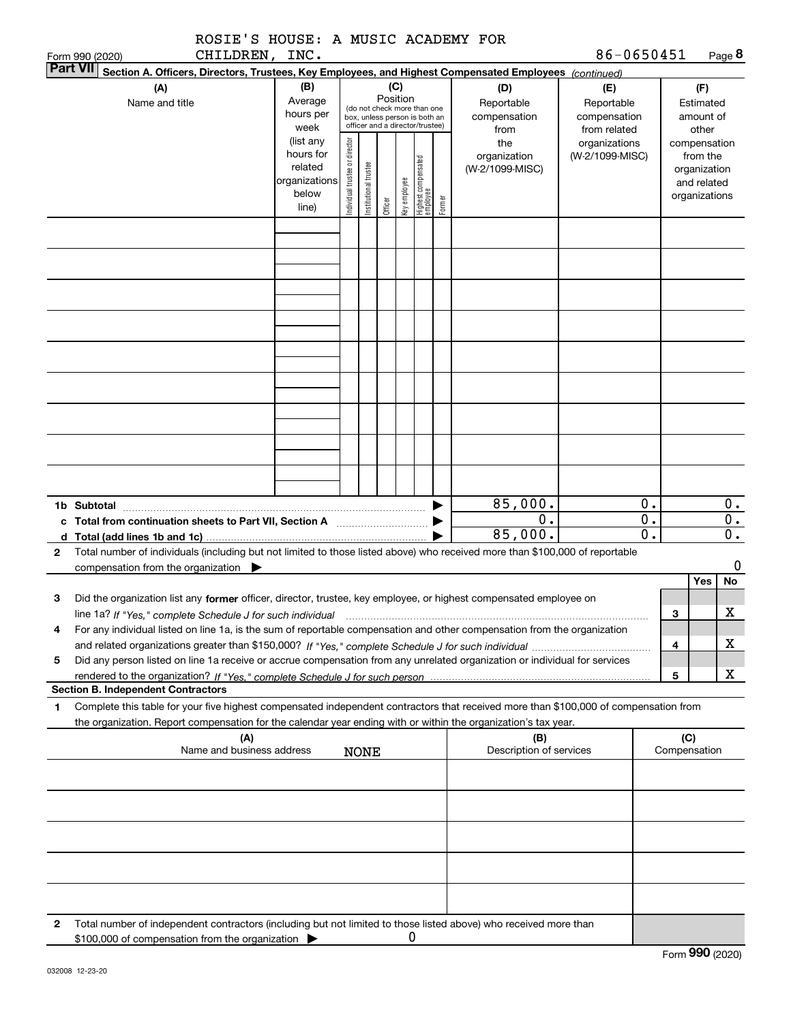|                                    |                                                                                                                                                                                                                                                        | ROSIE'S HOUSE: A MUSIC ACADEMY FOR                     |                                |                       |         |              |                                                                                                 |        |                                                                  | 86-0650451                                                                            |                                            |              |                                              | Page 8                                     |
|------------------------------------|--------------------------------------------------------------------------------------------------------------------------------------------------------------------------------------------------------------------------------------------------------|--------------------------------------------------------|--------------------------------|-----------------------|---------|--------------|-------------------------------------------------------------------------------------------------|--------|------------------------------------------------------------------|---------------------------------------------------------------------------------------|--------------------------------------------|--------------|----------------------------------------------|--------------------------------------------|
| Form 990 (2020)<br><b>Part VII</b> | CHILDREN, INC.<br>Section A. Officers, Directors, Trustees, Key Employees, and Highest Compensated Employees (continued)                                                                                                                               |                                                        |                                |                       |         |              |                                                                                                 |        |                                                                  |                                                                                       |                                            |              |                                              |                                            |
|                                    |                                                                                                                                                                                                                                                        | (B)                                                    |                                |                       |         | (C)          |                                                                                                 |        |                                                                  |                                                                                       |                                            |              | (F)                                          |                                            |
|                                    | (A)<br>Name and title                                                                                                                                                                                                                                  | Average<br>hours per<br>week<br>(list any<br>hours for |                                |                       |         | Position     | (do not check more than one<br>box, unless person is both an<br>officer and a director/trustee) |        | (D)<br>Reportable<br>compensation<br>from<br>the<br>organization | (E)<br>Reportable<br>compensation<br>from related<br>organizations<br>(W-2/1099-MISC) |                                            | compensation | Estimated<br>amount of<br>other<br>from the  |                                            |
|                                    |                                                                                                                                                                                                                                                        | related<br>organizations<br>below<br>line)             | Individual trustee or director | Institutional trustee | Officer | Key employee | Highest compensated<br>employee                                                                 | Former | (W-2/1099-MISC)                                                  |                                                                                       |                                            |              | organization<br>and related<br>organizations |                                            |
|                                    |                                                                                                                                                                                                                                                        |                                                        |                                |                       |         |              |                                                                                                 |        |                                                                  |                                                                                       |                                            |              |                                              |                                            |
|                                    |                                                                                                                                                                                                                                                        |                                                        |                                |                       |         |              |                                                                                                 |        |                                                                  |                                                                                       |                                            |              |                                              |                                            |
|                                    |                                                                                                                                                                                                                                                        |                                                        |                                |                       |         |              |                                                                                                 |        |                                                                  |                                                                                       |                                            |              |                                              |                                            |
|                                    |                                                                                                                                                                                                                                                        |                                                        |                                |                       |         |              |                                                                                                 |        |                                                                  |                                                                                       |                                            |              |                                              |                                            |
|                                    |                                                                                                                                                                                                                                                        |                                                        |                                |                       |         |              |                                                                                                 |        |                                                                  |                                                                                       |                                            |              |                                              |                                            |
|                                    |                                                                                                                                                                                                                                                        |                                                        |                                |                       |         |              |                                                                                                 |        |                                                                  |                                                                                       |                                            |              |                                              |                                            |
| 1b Subtotal                        | c Total from continuation sheets to Part VII, Section A [11, 11] [11] Contains the Total from continuum                                                                                                                                                |                                                        |                                |                       |         |              |                                                                                                 |        | 85,000.<br>0.<br>85,000.                                         |                                                                                       | 0.<br>$\overline{0}$ .<br>$\overline{0}$ . |              |                                              | 0.<br>$\overline{0}$ .<br>$\overline{0}$ . |
| $\mathbf{2}$                       | Total number of individuals (including but not limited to those listed above) who received more than \$100,000 of reportable<br>compensation from the organization $\blacktriangleright$                                                               |                                                        |                                |                       |         |              |                                                                                                 |        |                                                                  |                                                                                       |                                            |              | Yes                                          | 0<br>No                                    |
| 3                                  | Did the organization list any former officer, director, trustee, key employee, or highest compensated employee on<br>line 1a? If "Yes," complete Schedule J for such individual                                                                        |                                                        |                                |                       |         |              |                                                                                                 |        |                                                                  |                                                                                       |                                            | 3            |                                              | $\mathbf X$                                |
| 4<br>5                             | For any individual listed on line 1a, is the sum of reportable compensation and other compensation from the organization<br>Did any person listed on line 1a receive or accrue compensation from any unrelated organization or individual for services |                                                        |                                |                       |         |              |                                                                                                 |        |                                                                  |                                                                                       |                                            | 4            |                                              | x                                          |
|                                    |                                                                                                                                                                                                                                                        |                                                        |                                |                       |         |              |                                                                                                 |        |                                                                  |                                                                                       |                                            | 5            |                                              | x                                          |
| 1                                  | <b>Section B. Independent Contractors</b><br>Complete this table for your five highest compensated independent contractors that received more than \$100,000 of compensation from                                                                      |                                                        |                                |                       |         |              |                                                                                                 |        |                                                                  |                                                                                       |                                            |              |                                              |                                            |
|                                    | the organization. Report compensation for the calendar year ending with or within the organization's tax year.<br>(A)                                                                                                                                  |                                                        |                                |                       |         |              |                                                                                                 |        | (B)                                                              |                                                                                       |                                            | (C)          |                                              |                                            |
|                                    | Name and business address                                                                                                                                                                                                                              |                                                        |                                | <b>NONE</b>           |         |              |                                                                                                 |        | Description of services                                          |                                                                                       |                                            | Compensation |                                              |                                            |
|                                    |                                                                                                                                                                                                                                                        |                                                        |                                |                       |         |              |                                                                                                 |        |                                                                  |                                                                                       |                                            |              |                                              |                                            |
|                                    |                                                                                                                                                                                                                                                        |                                                        |                                |                       |         |              |                                                                                                 |        |                                                                  |                                                                                       |                                            |              |                                              |                                            |
|                                    |                                                                                                                                                                                                                                                        |                                                        |                                |                       |         |              |                                                                                                 |        |                                                                  |                                                                                       |                                            |              |                                              |                                            |
|                                    |                                                                                                                                                                                                                                                        |                                                        |                                |                       |         |              |                                                                                                 |        |                                                                  |                                                                                       |                                            |              |                                              |                                            |

**2**Total number of independent contractors (including but not limited to those listed above) who received more than \$100,000 of compensation from the organization  $\blacktriangleright$ 0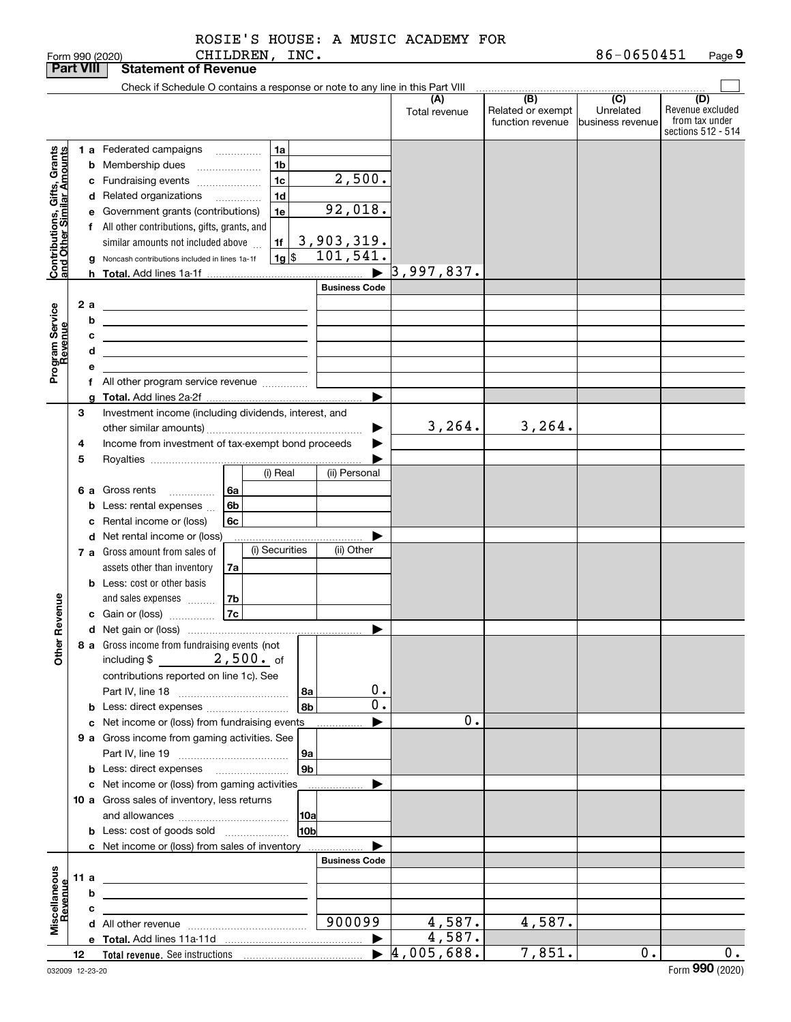|                                                           |                  |                               | Form 990 (2020)                                                                                                       |          | CHILDREN, INC.                             |                      |                       |                                            |                                              | 86-0650451                                        | Page 9                                                          |
|-----------------------------------------------------------|------------------|-------------------------------|-----------------------------------------------------------------------------------------------------------------------|----------|--------------------------------------------|----------------------|-----------------------|--------------------------------------------|----------------------------------------------|---------------------------------------------------|-----------------------------------------------------------------|
|                                                           | <b>Part VIII</b> |                               | <b>Statement of Revenue</b>                                                                                           |          |                                            |                      |                       |                                            |                                              |                                                   |                                                                 |
|                                                           |                  |                               | Check if Schedule O contains a response or note to any line in this Part VIII                                         |          |                                            |                      |                       |                                            |                                              |                                                   |                                                                 |
|                                                           |                  |                               |                                                                                                                       |          |                                            |                      |                       | (A)<br>Total revenue                       | (B)<br>Related or exempt<br>function revenue | $\overline{(C)}$<br>Unrelated<br>business revenue | (D)<br>Revenue excluded<br>from tax under<br>sections 512 - 514 |
|                                                           |                  |                               | 1 a Federated campaigns                                                                                               |          | 1a                                         |                      |                       |                                            |                                              |                                                   |                                                                 |
| Contributions, Gifts, Grants<br>and Other Similar Amounts |                  |                               | <b>b</b> Membership dues<br>$\ldots \ldots \ldots \ldots \ldots$                                                      |          | 1 <sub>b</sub>                             |                      |                       |                                            |                                              |                                                   |                                                                 |
|                                                           |                  |                               | c Fundraising events                                                                                                  |          | 1 <sub>c</sub>                             |                      | 2,500.                |                                            |                                              |                                                   |                                                                 |
|                                                           |                  |                               | d Related organizations                                                                                               |          | 1 <sub>d</sub><br>$\overline{\phantom{a}}$ |                      |                       |                                            |                                              |                                                   |                                                                 |
|                                                           |                  |                               | e Government grants (contributions)                                                                                   |          | 1e                                         |                      | 92,018.               |                                            |                                              |                                                   |                                                                 |
|                                                           |                  |                               | f All other contributions, gifts, grants, and                                                                         |          |                                            |                      |                       |                                            |                                              |                                                   |                                                                 |
|                                                           |                  |                               | similar amounts not included above                                                                                    |          | 1f                                         |                      | <u>3,903,319.</u>     |                                            |                                              |                                                   |                                                                 |
|                                                           |                  |                               | g Noncash contributions included in lines 1a-1f                                                                       |          | $1g$ \$                                    |                      | 101, 541.             |                                            |                                              |                                                   |                                                                 |
|                                                           |                  |                               |                                                                                                                       |          |                                            |                      |                       | 3,997,837.                                 |                                              |                                                   |                                                                 |
|                                                           |                  |                               |                                                                                                                       |          |                                            |                      | <b>Business Code</b>  |                                            |                                              |                                                   |                                                                 |
|                                                           | 2a               |                               |                                                                                                                       |          |                                            |                      |                       |                                            |                                              |                                                   |                                                                 |
|                                                           |                  | b                             |                                                                                                                       |          |                                            |                      |                       |                                            |                                              |                                                   |                                                                 |
|                                                           |                  | c                             |                                                                                                                       |          |                                            |                      |                       |                                            |                                              |                                                   |                                                                 |
|                                                           |                  | d                             | <u> 1989 - Johann Barbara, martin amerikan basar dan basar dan basar dalam basar dalam basar dalam basar dalam ba</u> |          |                                            |                      |                       |                                            |                                              |                                                   |                                                                 |
| Program Service<br>Revenue                                |                  | е                             |                                                                                                                       |          |                                            |                      |                       |                                            |                                              |                                                   |                                                                 |
|                                                           |                  |                               | f All other program service revenue                                                                                   |          |                                            |                      |                       |                                            |                                              |                                                   |                                                                 |
|                                                           |                  |                               |                                                                                                                       |          |                                            |                      |                       |                                            |                                              |                                                   |                                                                 |
|                                                           | 3                |                               | Investment income (including dividends, interest, and                                                                 |          |                                            |                      |                       |                                            |                                              |                                                   |                                                                 |
|                                                           |                  |                               |                                                                                                                       |          |                                            |                      |                       | 3, 264.                                    | 3, 264.                                      |                                                   |                                                                 |
|                                                           | 4                |                               | Income from investment of tax-exempt bond proceeds                                                                    |          |                                            |                      |                       |                                            |                                              |                                                   |                                                                 |
|                                                           | 5                |                               |                                                                                                                       |          | (i) Real                                   |                      | (ii) Personal         |                                            |                                              |                                                   |                                                                 |
|                                                           |                  |                               |                                                                                                                       |          |                                            |                      |                       |                                            |                                              |                                                   |                                                                 |
|                                                           | 6а               |                               | Gross rents<br>.                                                                                                      | 6а<br>6b |                                            |                      |                       |                                            |                                              |                                                   |                                                                 |
|                                                           |                  |                               | Less: rental expenses<br>Rental income or (loss)                                                                      | 6c       |                                            |                      |                       |                                            |                                              |                                                   |                                                                 |
|                                                           |                  | d Net rental income or (loss) |                                                                                                                       |          |                                            |                      |                       |                                            |                                              |                                                   |                                                                 |
|                                                           |                  |                               | 7 a Gross amount from sales of                                                                                        |          | (i) Securities                             |                      | (ii) Other            |                                            |                                              |                                                   |                                                                 |
|                                                           |                  |                               | assets other than inventory                                                                                           | 7a       |                                            |                      |                       |                                            |                                              |                                                   |                                                                 |
|                                                           |                  |                               | <b>b</b> Less: cost or other basis                                                                                    |          |                                            |                      |                       |                                            |                                              |                                                   |                                                                 |
|                                                           |                  |                               | and sales expenses                                                                                                    | 7b       |                                            |                      |                       |                                            |                                              |                                                   |                                                                 |
| evenue                                                    |                  |                               | c Gain or (loss)                                                                                                      | 7c       |                                            |                      |                       |                                            |                                              |                                                   |                                                                 |
| č                                                         |                  |                               |                                                                                                                       |          |                                            |                      |                       |                                            |                                              |                                                   |                                                                 |
| Other                                                     |                  |                               | 8 a Gross income from fundraising events (not                                                                         |          |                                            |                      |                       |                                            |                                              |                                                   |                                                                 |
|                                                           |                  |                               | $2,500.$ of<br>including \$                                                                                           |          |                                            |                      |                       |                                            |                                              |                                                   |                                                                 |
|                                                           |                  |                               | contributions reported on line 1c). See                                                                               |          |                                            |                      |                       |                                            |                                              |                                                   |                                                                 |
|                                                           |                  |                               |                                                                                                                       |          |                                            | 8a                   | 0.                    |                                            |                                              |                                                   |                                                                 |
|                                                           |                  |                               | <b>b</b> Less: direct expenses                                                                                        |          |                                            | 8b                   | $\overline{0}$ .      |                                            |                                              |                                                   |                                                                 |
|                                                           |                  |                               | c Net income or (loss) from fundraising events                                                                        |          |                                            |                      |                       | 0.                                         |                                              |                                                   |                                                                 |
|                                                           |                  |                               | 9 a Gross income from gaming activities. See                                                                          |          |                                            |                      |                       |                                            |                                              |                                                   |                                                                 |
|                                                           |                  |                               |                                                                                                                       |          |                                            | 9a<br>9 <sub>b</sub> |                       |                                            |                                              |                                                   |                                                                 |
|                                                           |                  |                               | c Net income or (loss) from gaming activities                                                                         |          |                                            |                      |                       |                                            |                                              |                                                   |                                                                 |
|                                                           |                  |                               | 10 a Gross sales of inventory, less returns                                                                           |          |                                            |                      |                       |                                            |                                              |                                                   |                                                                 |
|                                                           |                  |                               |                                                                                                                       |          |                                            | 10a                  |                       |                                            |                                              |                                                   |                                                                 |
|                                                           |                  |                               | <b>b</b> Less: cost of goods sold                                                                                     |          |                                            | 10 <sub>b</sub>      |                       |                                            |                                              |                                                   |                                                                 |
|                                                           |                  |                               | <b>c</b> Net income or (loss) from sales of inventory                                                                 |          |                                            |                      |                       |                                            |                                              |                                                   |                                                                 |
|                                                           |                  |                               |                                                                                                                       |          |                                            |                      | <b>Business Code</b>  |                                            |                                              |                                                   |                                                                 |
|                                                           | 11 $a$           |                               |                                                                                                                       |          |                                            |                      |                       |                                            |                                              |                                                   |                                                                 |
|                                                           |                  | b                             |                                                                                                                       |          |                                            |                      |                       |                                            |                                              |                                                   |                                                                 |
| Miscellaneous<br>Revenue                                  |                  | c                             |                                                                                                                       |          |                                            |                      |                       |                                            |                                              |                                                   |                                                                 |
|                                                           |                  |                               |                                                                                                                       |          |                                            |                      | 900099                | 4,587.                                     | 4,587.                                       |                                                   |                                                                 |
|                                                           |                  |                               |                                                                                                                       |          |                                            |                      | $\blacktriangleright$ | 4,587.<br>$\blacktriangleright$ 4,005,688. | 7,851.                                       | 0.1                                               | $\overline{0}$ .                                                |
|                                                           | 12               |                               |                                                                                                                       |          |                                            |                      |                       |                                            |                                              |                                                   |                                                                 |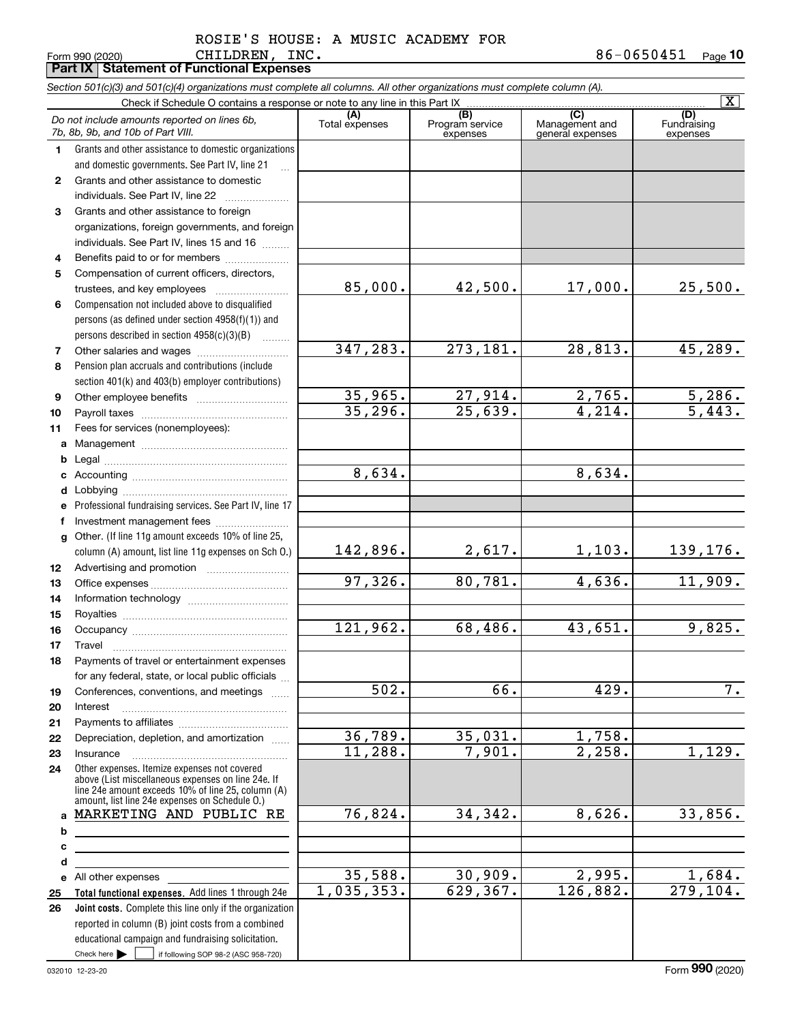CHILDREN, INC. ROSIE'S HOUSE: A MUSIC ACADEMY FOR

|              | CHILDREN, INC.<br>Form 990 (2020)<br><b>Part IX   Statement of Functional Expenses</b>                                                                   |                |                                    |                                    | 86-0650451<br>$Page$ 10 |
|--------------|----------------------------------------------------------------------------------------------------------------------------------------------------------|----------------|------------------------------------|------------------------------------|-------------------------|
|              |                                                                                                                                                          |                |                                    |                                    |                         |
|              | Section 501(c)(3) and 501(c)(4) organizations must complete all columns. All other organizations must complete column (A).                               |                |                                    |                                    | $\overline{\mathbf{X}}$ |
|              | Check if Schedule O contains a response or note to any line in this Part IX                                                                              | (A)            |                                    | $\overline{C}$                     | (D)                     |
|              | Do not include amounts reported on lines 6b,<br>7b, 8b, 9b, and 10b of Part VIII.                                                                        | Total expenses | (B)<br>Program service<br>expenses | Management and<br>general expenses | Fundraising<br>expenses |
| 1.           | Grants and other assistance to domestic organizations                                                                                                    |                |                                    |                                    |                         |
|              | and domestic governments. See Part IV, line 21                                                                                                           |                |                                    |                                    |                         |
| $\mathbf{2}$ | Grants and other assistance to domestic                                                                                                                  |                |                                    |                                    |                         |
|              | individuals. See Part IV, line 22                                                                                                                        |                |                                    |                                    |                         |
| 3            | Grants and other assistance to foreign                                                                                                                   |                |                                    |                                    |                         |
|              | organizations, foreign governments, and foreign                                                                                                          |                |                                    |                                    |                         |
|              | individuals. See Part IV, lines 15 and 16                                                                                                                |                |                                    |                                    |                         |
| 4            | Benefits paid to or for members                                                                                                                          |                |                                    |                                    |                         |
| 5            | Compensation of current officers, directors,                                                                                                             |                |                                    |                                    |                         |
|              |                                                                                                                                                          | 85,000.        | 42,500.                            | 17,000.                            | 25,500.                 |
| 6            | Compensation not included above to disqualified                                                                                                          |                |                                    |                                    |                         |
|              | persons (as defined under section $4958(f)(1)$ ) and                                                                                                     |                |                                    |                                    |                         |
|              | persons described in section 4958(c)(3)(B)                                                                                                               |                |                                    |                                    |                         |
|              |                                                                                                                                                          | 347,283.       | 273,181.                           | 28,813.                            | 45,289.                 |
| 7<br>8       | Pension plan accruals and contributions (include                                                                                                         |                |                                    |                                    |                         |
|              |                                                                                                                                                          |                |                                    |                                    |                         |
|              | section 401(k) and 403(b) employer contributions)                                                                                                        | 35,965.        | 27,914.                            | 2,765.                             | 5,286.                  |
| 9            |                                                                                                                                                          | 35,296.        | 25,639.                            | 4,214.                             | $\overline{5,443}$ .    |
| 10           |                                                                                                                                                          |                |                                    |                                    |                         |
| 11           | Fees for services (nonemployees):                                                                                                                        |                |                                    |                                    |                         |
| a            |                                                                                                                                                          |                |                                    |                                    |                         |
| b            |                                                                                                                                                          | 8,634.         |                                    | 8,634.                             |                         |
| с            |                                                                                                                                                          |                |                                    |                                    |                         |
| d            |                                                                                                                                                          |                |                                    |                                    |                         |
| е            | Professional fundraising services. See Part IV, line 17                                                                                                  |                |                                    |                                    |                         |
| f            | Investment management fees                                                                                                                               |                |                                    |                                    |                         |
| g            | Other. (If line 11g amount exceeds 10% of line 25,                                                                                                       | 142,896.       |                                    |                                    |                         |
|              | column (A) amount, list line 11g expenses on Sch O.)                                                                                                     |                | 2,617.                             | 1,103.                             | 139,176.                |
| 12           |                                                                                                                                                          | 97,326.        | 80,781.                            | 4,636.                             | 11,909.                 |
| 13           |                                                                                                                                                          |                |                                    |                                    |                         |
| 14           |                                                                                                                                                          |                |                                    |                                    |                         |
| 15           |                                                                                                                                                          | 121,962.       | 68,486.                            | 43,651.                            | 9,825.                  |
| 16           |                                                                                                                                                          |                |                                    |                                    |                         |
| 17           | Travel                                                                                                                                                   |                |                                    |                                    |                         |
| 18           | Payments of travel or entertainment expenses                                                                                                             |                |                                    |                                    |                         |
|              | for any federal, state, or local public officials                                                                                                        | 502.           | 66.                                | 429.                               | $\overline{7}$ .        |
| 19           | Conferences, conventions, and meetings                                                                                                                   |                |                                    |                                    |                         |
| 20           | Interest                                                                                                                                                 |                |                                    |                                    |                         |
| 21           |                                                                                                                                                          | 36,789.        | 35,031.                            |                                    |                         |
| 22           | Depreciation, depletion, and amortization                                                                                                                | 11,288.        | 7,901.                             | 1,758.<br>2,258.                   | 1,129.                  |
| 23           | Insurance                                                                                                                                                |                |                                    |                                    |                         |
| 24           | Other expenses. Itemize expenses not covered<br>above (List miscellaneous expenses on line 24e. If<br>line 24e amount exceeds 10% of line 25, column (A) |                |                                    |                                    |                         |
|              | amount, list line 24e expenses on Schedule O.)                                                                                                           |                |                                    |                                    |                         |
|              | a MARKETING AND PUBLIC RE                                                                                                                                | 76,824.        | 34,342.                            | 8,626.                             | 33,856.                 |
| b            |                                                                                                                                                          |                |                                    |                                    |                         |
| с            |                                                                                                                                                          |                |                                    |                                    |                         |
| d            |                                                                                                                                                          |                |                                    |                                    |                         |
|              |                                                                                                                                                          | 35,588.        | 30,909.                            | 2,995.                             | 1,684.                  |
| 25           | Total functional expenses. Add lines 1 through 24e                                                                                                       | 1,035,353.     | 629, 367.                          | 126,882.                           | $\overline{279,104}$ .  |
| 26           | Joint costs. Complete this line only if the organization                                                                                                 |                |                                    |                                    |                         |
|              | reported in column (B) joint costs from a combined                                                                                                       |                |                                    |                                    |                         |
|              | educational campaign and fundraising solicitation.                                                                                                       |                |                                    |                                    |                         |
|              | Check here $\blacktriangleright$<br>if following SOP 98-2 (ASC 958-720)                                                                                  |                |                                    |                                    |                         |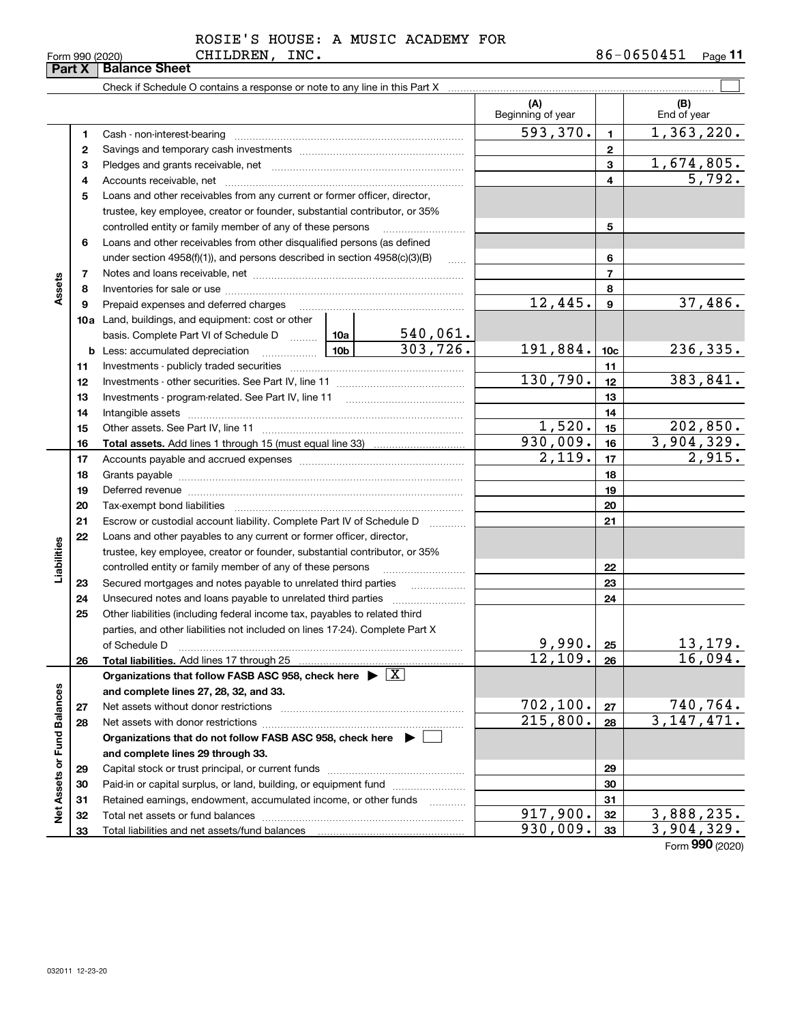|  | Form 990 (2020) |
|--|-----------------|
|  |                 |

# CHILDREN, INC. ROSIE'S HOUSE: A MUSIC ACADEMY FOR

|                             | Part X | <b>Balance Sheet</b>                                                                                                                                                                                                           |          |                          |                  |                               |
|-----------------------------|--------|--------------------------------------------------------------------------------------------------------------------------------------------------------------------------------------------------------------------------------|----------|--------------------------|------------------|-------------------------------|
|                             |        |                                                                                                                                                                                                                                |          |                          |                  |                               |
|                             |        |                                                                                                                                                                                                                                |          | (A)<br>Beginning of year |                  | (B)<br>End of year            |
|                             | 1      |                                                                                                                                                                                                                                |          | 593,370.                 | 1                | 1,363,220.                    |
|                             | 2      |                                                                                                                                                                                                                                |          |                          | $\overline{2}$   |                               |
|                             | з      |                                                                                                                                                                                                                                |          |                          | 3                | 1,674,805.                    |
|                             | 4      |                                                                                                                                                                                                                                |          |                          | 4                | $\overline{5,792.}$           |
|                             | 5      | Loans and other receivables from any current or former officer, director,                                                                                                                                                      |          |                          |                  |                               |
|                             |        | trustee, key employee, creator or founder, substantial contributor, or 35%                                                                                                                                                     |          |                          |                  |                               |
|                             |        | controlled entity or family member of any of these persons                                                                                                                                                                     |          |                          | 5                |                               |
|                             | 6      | Loans and other receivables from other disqualified persons (as defined                                                                                                                                                        |          |                          |                  |                               |
|                             |        | under section $4958(f)(1)$ , and persons described in section $4958(c)(3)(B)$                                                                                                                                                  | $\sim$   |                          | 6                |                               |
|                             | 7      |                                                                                                                                                                                                                                |          |                          | $\overline{7}$   |                               |
| Assets                      | 8      |                                                                                                                                                                                                                                |          |                          | 8                |                               |
|                             | 9      | Prepaid expenses and deferred charges                                                                                                                                                                                          |          | 12,445.                  | $\boldsymbol{9}$ | 37,486.                       |
|                             |        | <b>10a</b> Land, buildings, and equipment: cost or other                                                                                                                                                                       |          |                          |                  |                               |
|                             |        | basis. Complete Part VI of Schedule D  10a                                                                                                                                                                                     | 540,061. |                          |                  |                               |
|                             | b      | 10 <sub>b</sub><br>Less: accumulated depreciation                                                                                                                                                                              | 303,726. | 191,884.                 | 10 <sub>c</sub>  | 236,335.                      |
|                             | 11     |                                                                                                                                                                                                                                |          |                          | 11               |                               |
|                             | 12     |                                                                                                                                                                                                                                |          | 130,790.                 | 12               | 383,841.                      |
|                             | 13     |                                                                                                                                                                                                                                |          |                          | 13               |                               |
|                             | 14     |                                                                                                                                                                                                                                |          | 14                       |                  |                               |
|                             | 15     |                                                                                                                                                                                                                                |          | 1,520.                   | 15               | 202,850.                      |
|                             | 16     |                                                                                                                                                                                                                                |          | 930,009.                 | 16               | 3,904,329.                    |
|                             | 17     |                                                                                                                                                                                                                                |          | 2,119.                   | 17               | 2,915.                        |
|                             | 18     |                                                                                                                                                                                                                                |          | 18                       |                  |                               |
|                             | 19     | Deferred revenue manual contracts and contracts are contracted and contract and contract are contracted and contract are contracted and contract are contracted and contract are contracted and contract are contracted and co |          |                          | 19               |                               |
|                             | 20     |                                                                                                                                                                                                                                |          |                          | 20               |                               |
|                             | 21     | Escrow or custodial account liability. Complete Part IV of Schedule D                                                                                                                                                          | $\cdots$ |                          | 21               |                               |
|                             | 22     | Loans and other payables to any current or former officer, director,                                                                                                                                                           |          |                          |                  |                               |
|                             |        | trustee, key employee, creator or founder, substantial contributor, or 35%                                                                                                                                                     |          |                          |                  |                               |
| Liabilities                 |        | controlled entity or family member of any of these persons                                                                                                                                                                     |          |                          | 22               |                               |
|                             | 23     | Secured mortgages and notes payable to unrelated third parties                                                                                                                                                                 |          |                          | 23               |                               |
|                             | 24     | Unsecured notes and loans payable to unrelated third parties                                                                                                                                                                   |          |                          | 24               |                               |
|                             | 25     | Other liabilities (including federal income tax, payables to related third                                                                                                                                                     |          |                          |                  |                               |
|                             |        | parties, and other liabilities not included on lines 17-24). Complete Part X                                                                                                                                                   |          |                          |                  |                               |
|                             |        | of Schedule D                                                                                                                                                                                                                  |          | 9,990.                   | 25               | 13,179.                       |
|                             | 26     | Total liabilities. Add lines 17 through 25                                                                                                                                                                                     |          | 12,109.                  | 26               | 16,094.                       |
|                             |        | Organizations that follow FASB ASC 958, check here $\blacktriangleright \boxed{X}$                                                                                                                                             |          |                          |                  |                               |
|                             |        | and complete lines 27, 28, 32, and 33.                                                                                                                                                                                         |          |                          |                  |                               |
|                             | 27     | Net assets without donor restrictions                                                                                                                                                                                          |          | 702, 100.                | 27               | $\frac{740,764.}{3,147,471.}$ |
|                             | 28     |                                                                                                                                                                                                                                |          | 215,800.                 | 28               |                               |
|                             |        | Organizations that do not follow FASB ASC 958, check here ▶ [                                                                                                                                                                  |          |                          |                  |                               |
|                             |        | and complete lines 29 through 33.                                                                                                                                                                                              |          |                          |                  |                               |
|                             | 29     |                                                                                                                                                                                                                                |          |                          | 29               |                               |
| Net Assets or Fund Balances | 30     | Paid-in or capital surplus, or land, building, or equipment fund                                                                                                                                                               |          |                          | 30               |                               |
|                             | 31     | Retained earnings, endowment, accumulated income, or other funds                                                                                                                                                               | .        | 917,900.                 | 31               | 3,888,235.                    |
|                             | 32     |                                                                                                                                                                                                                                |          | 930,009.                 | 32<br>33         | 3,904,329.                    |
|                             | 33     |                                                                                                                                                                                                                                |          |                          |                  |                               |

Form (2020) **990**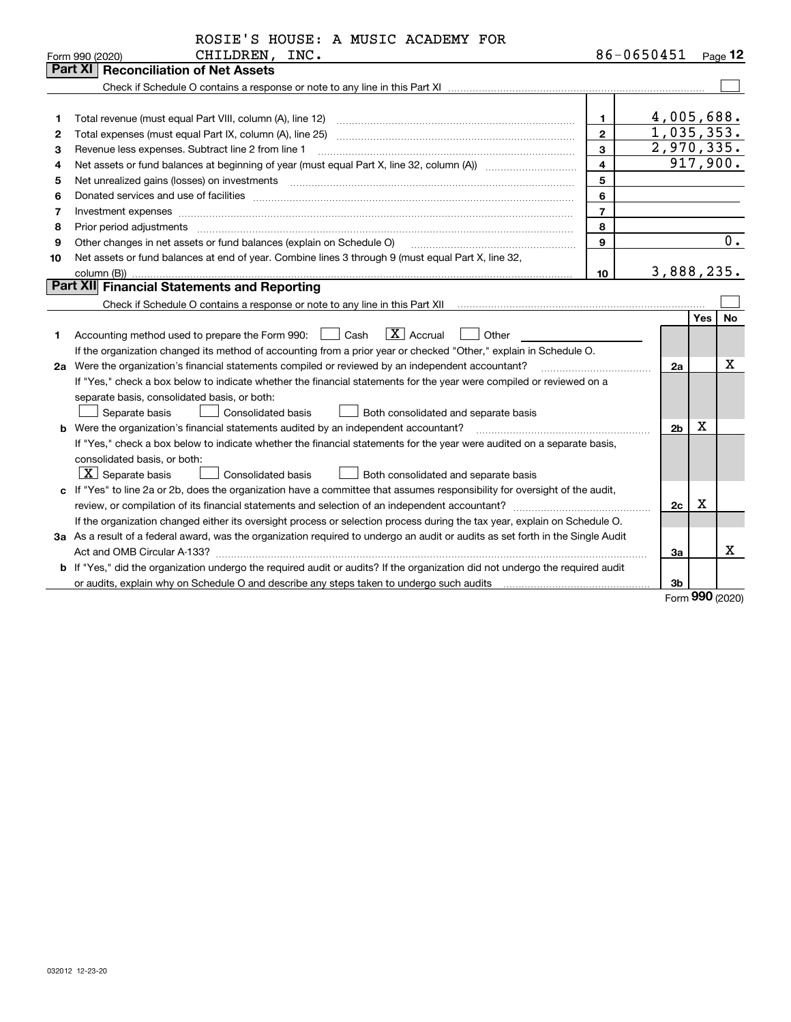|    | ROSIE'S HOUSE: A MUSIC ACADEMY FOR                                                                                                                                                                                            |                         |                         |            |           |
|----|-------------------------------------------------------------------------------------------------------------------------------------------------------------------------------------------------------------------------------|-------------------------|-------------------------|------------|-----------|
|    | CHILDREN, INC.<br>Form 990 (2020)                                                                                                                                                                                             |                         | 86-0650451              |            | Page $12$ |
|    | <b>Part XI   Reconciliation of Net Assets</b>                                                                                                                                                                                 |                         |                         |            |           |
|    |                                                                                                                                                                                                                               |                         |                         |            |           |
|    |                                                                                                                                                                                                                               |                         |                         |            |           |
| 1  |                                                                                                                                                                                                                               | $\mathbf{1}$            | 4,005,688.              |            |           |
| 2  |                                                                                                                                                                                                                               | $\overline{2}$          | $\overline{1,035,353.}$ |            |           |
| 3  | Revenue less expenses. Subtract line 2 from line 1                                                                                                                                                                            | 3                       | 2,970,335.              |            |           |
| 4  |                                                                                                                                                                                                                               | $\overline{\mathbf{4}}$ |                         |            | 917,900.  |
| 5  | Net unrealized gains (losses) on investments [11] matter continuum matter and all the set of the set of the set of the set of the set of the set of the set of the set of the set of the set of the set of the set of the set | 5                       |                         |            |           |
| 6  |                                                                                                                                                                                                                               | 6                       |                         |            |           |
| 7  | Investment expenses www.communication.com/www.communication.com/www.communication.com/www.communication.com/ww                                                                                                                | $\overline{7}$          |                         |            |           |
| 8  | Prior period adjustments www.communication.communication.com/news/communication.com/news/communication.com/news/                                                                                                              | 8                       |                         |            |           |
| 9  | Other changes in net assets or fund balances (explain on Schedule O)                                                                                                                                                          | 9                       |                         |            | 0.        |
| 10 | Net assets or fund balances at end of year. Combine lines 3 through 9 (must equal Part X, line 32,                                                                                                                            |                         |                         |            |           |
|    | column (B))                                                                                                                                                                                                                   | 10                      | 3,888,235.              |            |           |
|    | Part XII Financial Statements and Reporting                                                                                                                                                                                   |                         |                         |            |           |
|    |                                                                                                                                                                                                                               |                         |                         |            |           |
|    |                                                                                                                                                                                                                               |                         |                         | <b>Yes</b> | No        |
| 1  | $\boxed{\mathbf{X}}$ Accrual<br>Accounting method used to prepare the Form 990: <u>[16</u> ] Cash<br>Other                                                                                                                    |                         |                         |            |           |
|    | If the organization changed its method of accounting from a prior year or checked "Other," explain in Schedule O.                                                                                                             |                         |                         |            |           |
|    | 2a Were the organization's financial statements compiled or reviewed by an independent accountant?                                                                                                                            |                         | 2a                      |            | Х         |
|    | If "Yes," check a box below to indicate whether the financial statements for the year were compiled or reviewed on a                                                                                                          |                         |                         |            |           |
|    | separate basis, consolidated basis, or both:                                                                                                                                                                                  |                         |                         |            |           |
|    | Separate basis<br><b>Consolidated basis</b><br>Both consolidated and separate basis                                                                                                                                           |                         |                         |            |           |
|    | <b>b</b> Were the organization's financial statements audited by an independent accountant?                                                                                                                                   |                         | 2 <sub>b</sub>          | X          |           |
|    | If "Yes," check a box below to indicate whether the financial statements for the year were audited on a separate basis,                                                                                                       |                         |                         |            |           |
|    | consolidated basis, or both:                                                                                                                                                                                                  |                         |                         |            |           |
|    | $X$ Separate basis<br>Both consolidated and separate basis<br><b>Consolidated basis</b>                                                                                                                                       |                         |                         |            |           |
|    | c If "Yes" to line 2a or 2b, does the organization have a committee that assumes responsibility for oversight of the audit,                                                                                                   |                         |                         |            |           |
|    |                                                                                                                                                                                                                               |                         | 2c                      | х          |           |
|    | If the organization changed either its oversight process or selection process during the tax year, explain on Schedule O.                                                                                                     |                         |                         |            |           |
|    | 3a As a result of a federal award, was the organization required to undergo an audit or audits as set forth in the Single Audit                                                                                               |                         |                         |            |           |
|    | Act and OMB Circular A-133?                                                                                                                                                                                                   |                         | 3a                      |            | X.        |
|    | b If "Yes," did the organization undergo the required audit or audits? If the organization did not undergo the required audit                                                                                                 |                         |                         |            |           |
|    |                                                                                                                                                                                                                               |                         | 3b                      |            |           |

Form (2020) **990**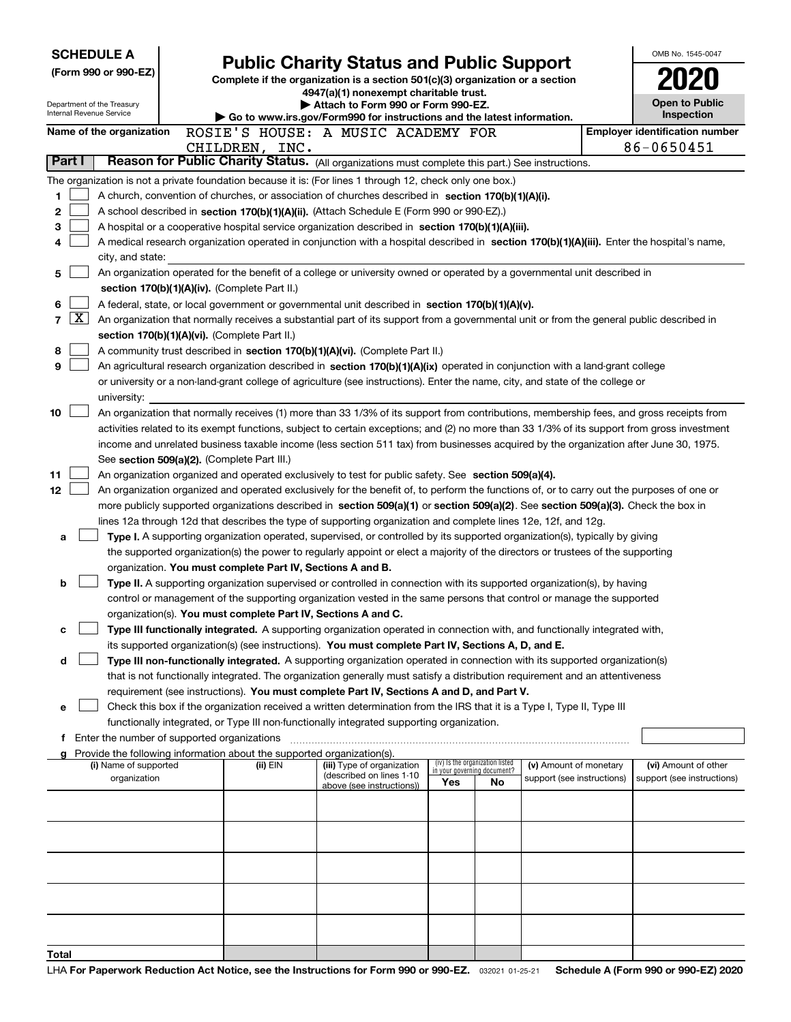| <b>SCHEDULE A</b>                                                                                         |                                                                                                                                                                                                                                                      |                                                                                                                                  |                                                                |    |                            |  | OMB No. 1545-0047                     |  |  |  |  |
|-----------------------------------------------------------------------------------------------------------|------------------------------------------------------------------------------------------------------------------------------------------------------------------------------------------------------------------------------------------------------|----------------------------------------------------------------------------------------------------------------------------------|----------------------------------------------------------------|----|----------------------------|--|---------------------------------------|--|--|--|--|
| (Form 990 or 990-EZ)                                                                                      |                                                                                                                                                                                                                                                      | <b>Public Charity Status and Public Support</b><br>Complete if the organization is a section 501(c)(3) organization or a section |                                                                |    |                            |  |                                       |  |  |  |  |
|                                                                                                           |                                                                                                                                                                                                                                                      | 4947(a)(1) nonexempt charitable trust.                                                                                           |                                                                |    |                            |  |                                       |  |  |  |  |
| Department of the Treasury<br>Internal Revenue Service                                                    |                                                                                                                                                                                                                                                      | Attach to Form 990 or Form 990-EZ.                                                                                               |                                                                |    |                            |  | Open to Public<br>Inspection          |  |  |  |  |
| Name of the organization                                                                                  | ROSIE'S HOUSE: A MUSIC ACADEMY FOR                                                                                                                                                                                                                   | Go to www.irs.gov/Form990 for instructions and the latest information.                                                           |                                                                |    |                            |  | <b>Employer identification number</b> |  |  |  |  |
|                                                                                                           | CHILDREN, INC.                                                                                                                                                                                                                                       |                                                                                                                                  |                                                                |    |                            |  | 86-0650451                            |  |  |  |  |
| Part I                                                                                                    | Reason for Public Charity Status. (All organizations must complete this part.) See instructions.                                                                                                                                                     |                                                                                                                                  |                                                                |    |                            |  |                                       |  |  |  |  |
| The organization is not a private foundation because it is: (For lines 1 through 12, check only one box.) |                                                                                                                                                                                                                                                      |                                                                                                                                  |                                                                |    |                            |  |                                       |  |  |  |  |
| 1                                                                                                         | A church, convention of churches, or association of churches described in section 170(b)(1)(A)(i).                                                                                                                                                   |                                                                                                                                  |                                                                |    |                            |  |                                       |  |  |  |  |
| 2                                                                                                         | A school described in section 170(b)(1)(A)(ii). (Attach Schedule E (Form 990 or 990-EZ).)                                                                                                                                                            |                                                                                                                                  |                                                                |    |                            |  |                                       |  |  |  |  |
| 3                                                                                                         | A hospital or a cooperative hospital service organization described in section 170(b)(1)(A)(iii).                                                                                                                                                    |                                                                                                                                  |                                                                |    |                            |  |                                       |  |  |  |  |
| 4                                                                                                         | A medical research organization operated in conjunction with a hospital described in section 170(b)(1)(A)(iii). Enter the hospital's name,                                                                                                           |                                                                                                                                  |                                                                |    |                            |  |                                       |  |  |  |  |
| city, and state:                                                                                          |                                                                                                                                                                                                                                                      |                                                                                                                                  |                                                                |    |                            |  |                                       |  |  |  |  |
| 5                                                                                                         | An organization operated for the benefit of a college or university owned or operated by a governmental unit described in                                                                                                                            |                                                                                                                                  |                                                                |    |                            |  |                                       |  |  |  |  |
|                                                                                                           | section 170(b)(1)(A)(iv). (Complete Part II.)                                                                                                                                                                                                        |                                                                                                                                  |                                                                |    |                            |  |                                       |  |  |  |  |
| 6<br>$\mathbf{X}$                                                                                         | A federal, state, or local government or governmental unit described in section 170(b)(1)(A)(v).                                                                                                                                                     |                                                                                                                                  |                                                                |    |                            |  |                                       |  |  |  |  |
| 7                                                                                                         | An organization that normally receives a substantial part of its support from a governmental unit or from the general public described in<br>section 170(b)(1)(A)(vi). (Complete Part II.)                                                           |                                                                                                                                  |                                                                |    |                            |  |                                       |  |  |  |  |
| 8                                                                                                         | A community trust described in section 170(b)(1)(A)(vi). (Complete Part II.)                                                                                                                                                                         |                                                                                                                                  |                                                                |    |                            |  |                                       |  |  |  |  |
| 9                                                                                                         | An agricultural research organization described in section 170(b)(1)(A)(ix) operated in conjunction with a land-grant college                                                                                                                        |                                                                                                                                  |                                                                |    |                            |  |                                       |  |  |  |  |
|                                                                                                           | or university or a non-land-grant college of agriculture (see instructions). Enter the name, city, and state of the college or                                                                                                                       |                                                                                                                                  |                                                                |    |                            |  |                                       |  |  |  |  |
| university:                                                                                               |                                                                                                                                                                                                                                                      |                                                                                                                                  |                                                                |    |                            |  |                                       |  |  |  |  |
| 10                                                                                                        | An organization that normally receives (1) more than 33 1/3% of its support from contributions, membership fees, and gross receipts from                                                                                                             |                                                                                                                                  |                                                                |    |                            |  |                                       |  |  |  |  |
|                                                                                                           | activities related to its exempt functions, subject to certain exceptions; and (2) no more than 33 1/3% of its support from gross investment                                                                                                         |                                                                                                                                  |                                                                |    |                            |  |                                       |  |  |  |  |
|                                                                                                           | income and unrelated business taxable income (less section 511 tax) from businesses acquired by the organization after June 30, 1975.                                                                                                                |                                                                                                                                  |                                                                |    |                            |  |                                       |  |  |  |  |
|                                                                                                           | See section 509(a)(2). (Complete Part III.)                                                                                                                                                                                                          |                                                                                                                                  |                                                                |    |                            |  |                                       |  |  |  |  |
| 11                                                                                                        | An organization organized and operated exclusively to test for public safety. See section 509(a)(4).                                                                                                                                                 |                                                                                                                                  |                                                                |    |                            |  |                                       |  |  |  |  |
| 12                                                                                                        | An organization organized and operated exclusively for the benefit of, to perform the functions of, or to carry out the purposes of one or                                                                                                           |                                                                                                                                  |                                                                |    |                            |  |                                       |  |  |  |  |
|                                                                                                           | more publicly supported organizations described in section 509(a)(1) or section 509(a)(2). See section 509(a)(3). Check the box in<br>lines 12a through 12d that describes the type of supporting organization and complete lines 12e, 12f, and 12g. |                                                                                                                                  |                                                                |    |                            |  |                                       |  |  |  |  |
| a                                                                                                         | Type I. A supporting organization operated, supervised, or controlled by its supported organization(s), typically by giving                                                                                                                          |                                                                                                                                  |                                                                |    |                            |  |                                       |  |  |  |  |
|                                                                                                           | the supported organization(s) the power to regularly appoint or elect a majority of the directors or trustees of the supporting                                                                                                                      |                                                                                                                                  |                                                                |    |                            |  |                                       |  |  |  |  |
|                                                                                                           | organization. You must complete Part IV, Sections A and B.                                                                                                                                                                                           |                                                                                                                                  |                                                                |    |                            |  |                                       |  |  |  |  |
| b                                                                                                         | Type II. A supporting organization supervised or controlled in connection with its supported organization(s), by having                                                                                                                              |                                                                                                                                  |                                                                |    |                            |  |                                       |  |  |  |  |
|                                                                                                           | control or management of the supporting organization vested in the same persons that control or manage the supported                                                                                                                                 |                                                                                                                                  |                                                                |    |                            |  |                                       |  |  |  |  |
|                                                                                                           | organization(s). You must complete Part IV, Sections A and C.                                                                                                                                                                                        |                                                                                                                                  |                                                                |    |                            |  |                                       |  |  |  |  |
| с                                                                                                         | Type III functionally integrated. A supporting organization operated in connection with, and functionally integrated with,                                                                                                                           |                                                                                                                                  |                                                                |    |                            |  |                                       |  |  |  |  |
|                                                                                                           | its supported organization(s) (see instructions). You must complete Part IV, Sections A, D, and E.                                                                                                                                                   |                                                                                                                                  |                                                                |    |                            |  |                                       |  |  |  |  |
| d                                                                                                         | Type III non-functionally integrated. A supporting organization operated in connection with its supported organization(s)                                                                                                                            |                                                                                                                                  |                                                                |    |                            |  |                                       |  |  |  |  |
|                                                                                                           | that is not functionally integrated. The organization generally must satisfy a distribution requirement and an attentiveness<br>requirement (see instructions). You must complete Part IV, Sections A and D, and Part V.                             |                                                                                                                                  |                                                                |    |                            |  |                                       |  |  |  |  |
| е                                                                                                         | Check this box if the organization received a written determination from the IRS that it is a Type I, Type II, Type III                                                                                                                              |                                                                                                                                  |                                                                |    |                            |  |                                       |  |  |  |  |
|                                                                                                           | functionally integrated, or Type III non-functionally integrated supporting organization.                                                                                                                                                            |                                                                                                                                  |                                                                |    |                            |  |                                       |  |  |  |  |
| Enter the number of supported organizations                                                               |                                                                                                                                                                                                                                                      |                                                                                                                                  |                                                                |    |                            |  |                                       |  |  |  |  |
|                                                                                                           | Provide the following information about the supported organization(s).                                                                                                                                                                               |                                                                                                                                  |                                                                |    |                            |  |                                       |  |  |  |  |
| (i) Name of supported                                                                                     | (ii) EIN                                                                                                                                                                                                                                             | (iii) Type of organization<br>(described on lines 1-10                                                                           | (iv) Is the organization listed<br>in your governing document? |    | (v) Amount of monetary     |  | (vi) Amount of other                  |  |  |  |  |
| organization                                                                                              |                                                                                                                                                                                                                                                      | above (see instructions))                                                                                                        | Yes                                                            | No | support (see instructions) |  | support (see instructions)            |  |  |  |  |
|                                                                                                           |                                                                                                                                                                                                                                                      |                                                                                                                                  |                                                                |    |                            |  |                                       |  |  |  |  |
|                                                                                                           |                                                                                                                                                                                                                                                      |                                                                                                                                  |                                                                |    |                            |  |                                       |  |  |  |  |
|                                                                                                           |                                                                                                                                                                                                                                                      |                                                                                                                                  |                                                                |    |                            |  |                                       |  |  |  |  |
|                                                                                                           |                                                                                                                                                                                                                                                      |                                                                                                                                  |                                                                |    |                            |  |                                       |  |  |  |  |
|                                                                                                           |                                                                                                                                                                                                                                                      |                                                                                                                                  |                                                                |    |                            |  |                                       |  |  |  |  |
|                                                                                                           |                                                                                                                                                                                                                                                      |                                                                                                                                  |                                                                |    |                            |  |                                       |  |  |  |  |
|                                                                                                           |                                                                                                                                                                                                                                                      |                                                                                                                                  |                                                                |    |                            |  |                                       |  |  |  |  |
|                                                                                                           |                                                                                                                                                                                                                                                      |                                                                                                                                  |                                                                |    |                            |  |                                       |  |  |  |  |
|                                                                                                           |                                                                                                                                                                                                                                                      |                                                                                                                                  |                                                                |    |                            |  |                                       |  |  |  |  |
| Total                                                                                                     |                                                                                                                                                                                                                                                      |                                                                                                                                  |                                                                |    |                            |  |                                       |  |  |  |  |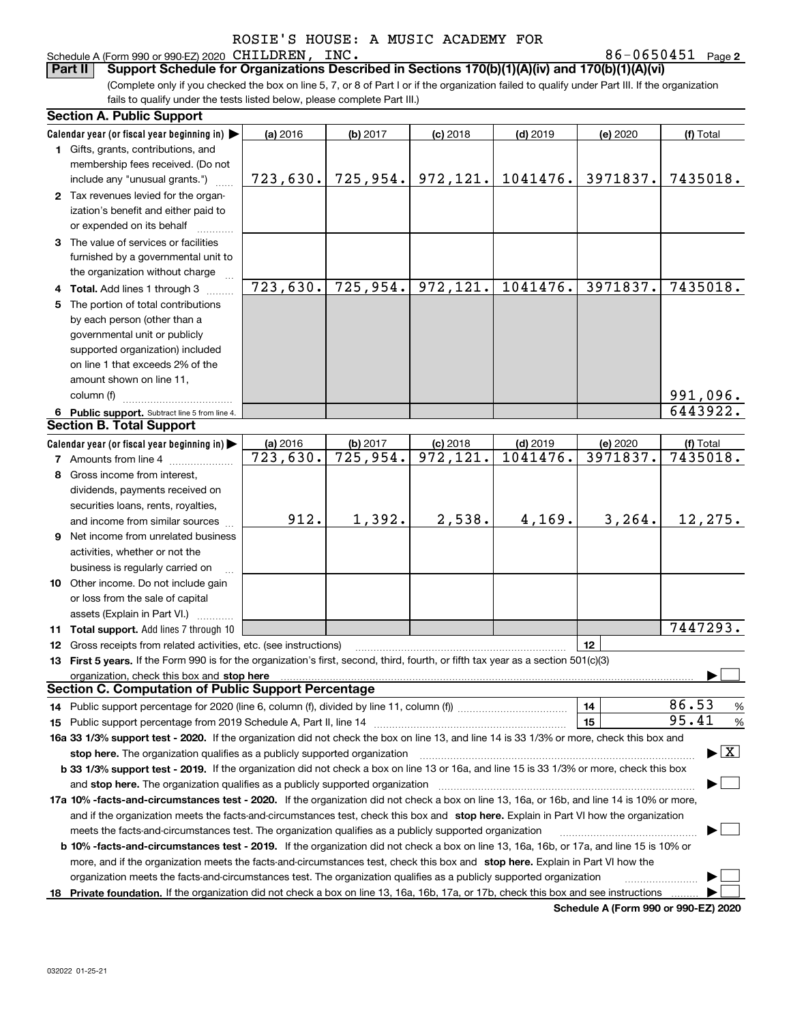Schedule A (Form 990 or 990-EZ) 2020 CHILDREN, INC.<br>**Part II** Support Schedule for Organizations Desc

**2** CHILDREN, INC. 86-0650451

(Complete only if you checked the box on line 5, 7, or 8 of Part I or if the organization failed to qualify under Part III. If the organization fails to qualify under the tests listed below, please complete Part III.) **Part III Support Schedule for Organizations Described in Sections 170(b)(1)(A)(iv) and 170(b)(1)(A)(vi)** 

|    | <b>Section A. Public Support</b>                                                                                                               |                        |                         |                         |            |          |                                          |
|----|------------------------------------------------------------------------------------------------------------------------------------------------|------------------------|-------------------------|-------------------------|------------|----------|------------------------------------------|
|    | Calendar year (or fiscal year beginning in)                                                                                                    | (a) 2016               | (b) 2017                | $(c)$ 2018              | $(d)$ 2019 | (e) 2020 | (f) Total                                |
|    | 1 Gifts, grants, contributions, and                                                                                                            |                        |                         |                         |            |          |                                          |
|    | membership fees received. (Do not                                                                                                              |                        |                         |                         |            |          |                                          |
|    | include any "unusual grants.")                                                                                                                 | 723,630.               | 725,954.                | 972,121.                | 1041476.   | 3971837. | 7435018.                                 |
|    | 2 Tax revenues levied for the organ-                                                                                                           |                        |                         |                         |            |          |                                          |
|    | ization's benefit and either paid to                                                                                                           |                        |                         |                         |            |          |                                          |
|    | or expended on its behalf                                                                                                                      |                        |                         |                         |            |          |                                          |
|    | 3 The value of services or facilities                                                                                                          |                        |                         |                         |            |          |                                          |
|    | furnished by a governmental unit to                                                                                                            |                        |                         |                         |            |          |                                          |
|    | the organization without charge                                                                                                                |                        |                         |                         |            |          |                                          |
|    | 4 Total. Add lines 1 through 3                                                                                                                 | 723,630.               | $\overline{725}$ , 954. | 972,121.                | 1041476.   | 3971837. | $\overline{74}35018.$                    |
|    | 5 The portion of total contributions                                                                                                           |                        |                         |                         |            |          |                                          |
|    | by each person (other than a                                                                                                                   |                        |                         |                         |            |          |                                          |
|    | governmental unit or publicly                                                                                                                  |                        |                         |                         |            |          |                                          |
|    | supported organization) included                                                                                                               |                        |                         |                         |            |          |                                          |
|    | on line 1 that exceeds 2% of the                                                                                                               |                        |                         |                         |            |          |                                          |
|    | amount shown on line 11,                                                                                                                       |                        |                         |                         |            |          |                                          |
|    | column (f)                                                                                                                                     |                        |                         |                         |            |          | 991,096.                                 |
|    | 6 Public support. Subtract line 5 from line 4.                                                                                                 |                        |                         |                         |            |          | 6443922.                                 |
|    | <b>Section B. Total Support</b>                                                                                                                |                        |                         |                         |            |          |                                          |
|    | Calendar year (or fiscal year beginning in)                                                                                                    | (a) 2016               | (b) 2017                | $(c)$ 2018              | $(d)$ 2019 | (e) 2020 | (f) Total                                |
|    | <b>7</b> Amounts from line 4                                                                                                                   | $\overline{723,630}$ . | $\overline{725}$ , 954. | $\overline{972, 121}$ . | 1041476.   | 3971837. | 7435018.                                 |
|    | 8 Gross income from interest,                                                                                                                  |                        |                         |                         |            |          |                                          |
|    | dividends, payments received on                                                                                                                |                        |                         |                         |            |          |                                          |
|    | securities loans, rents, royalties,                                                                                                            |                        |                         |                         |            |          |                                          |
|    | and income from similar sources                                                                                                                | 912.                   | 1,392.                  | 2,538.                  | 4,169.     | 3, 264.  | 12,275.                                  |
|    | <b>9</b> Net income from unrelated business                                                                                                    |                        |                         |                         |            |          |                                          |
|    | activities, whether or not the                                                                                                                 |                        |                         |                         |            |          |                                          |
|    | business is regularly carried on                                                                                                               |                        |                         |                         |            |          |                                          |
|    | 10 Other income. Do not include gain                                                                                                           |                        |                         |                         |            |          |                                          |
|    | or loss from the sale of capital                                                                                                               |                        |                         |                         |            |          |                                          |
|    | assets (Explain in Part VI.)                                                                                                                   |                        |                         |                         |            |          |                                          |
|    | <b>11 Total support.</b> Add lines 7 through 10                                                                                                |                        |                         |                         |            |          | $\overline{74}47293.$                    |
|    | 12 Gross receipts from related activities, etc. (see instructions)                                                                             |                        |                         |                         |            | 12       |                                          |
|    | 13 First 5 years. If the Form 990 is for the organization's first, second, third, fourth, or fifth tax year as a section 501(c)(3)             |                        |                         |                         |            |          |                                          |
|    | organization, check this box and stop here                                                                                                     |                        |                         |                         |            |          |                                          |
|    | <b>Section C. Computation of Public Support Percentage</b>                                                                                     |                        |                         |                         |            |          |                                          |
|    |                                                                                                                                                |                        |                         |                         |            | 14       | 86.53<br>%                               |
|    |                                                                                                                                                |                        |                         |                         |            | 15       | 95.41<br>%                               |
|    | 16a 33 1/3% support test - 2020. If the organization did not check the box on line 13, and line 14 is 33 1/3% or more, check this box and      |                        |                         |                         |            |          |                                          |
|    | stop here. The organization qualifies as a publicly supported organization                                                                     |                        |                         |                         |            |          | $\blacktriangleright$ $\boxed{\text{X}}$ |
|    | b 33 1/3% support test - 2019. If the organization did not check a box on line 13 or 16a, and line 15 is 33 1/3% or more, check this box       |                        |                         |                         |            |          |                                          |
|    | and stop here. The organization qualifies as a publicly supported organization                                                                 |                        |                         |                         |            |          |                                          |
|    | 17a 10% -facts-and-circumstances test - 2020. If the organization did not check a box on line 13, 16a, or 16b, and line 14 is 10% or more,     |                        |                         |                         |            |          |                                          |
|    | and if the organization meets the facts-and-circumstances test, check this box and stop here. Explain in Part VI how the organization          |                        |                         |                         |            |          |                                          |
|    | meets the facts-and-circumstances test. The organization qualifies as a publicly supported organization                                        |                        |                         |                         |            |          |                                          |
|    | <b>b 10% -facts-and-circumstances test - 2019.</b> If the organization did not check a box on line 13, 16a, 16b, or 17a, and line 15 is 10% or |                        |                         |                         |            |          |                                          |
|    | more, and if the organization meets the facts-and-circumstances test, check this box and stop here. Explain in Part VI how the                 |                        |                         |                         |            |          |                                          |
|    | organization meets the facts-and-circumstances test. The organization qualifies as a publicly supported organization                           |                        |                         |                         |            |          |                                          |
| 18 | Private foundation. If the organization did not check a box on line 13, 16a, 16b, 17a, or 17b, check this box and see instructions             |                        |                         |                         |            |          |                                          |
|    |                                                                                                                                                |                        |                         |                         |            |          |                                          |

**Schedule A (Form 990 or 990-EZ) 2020**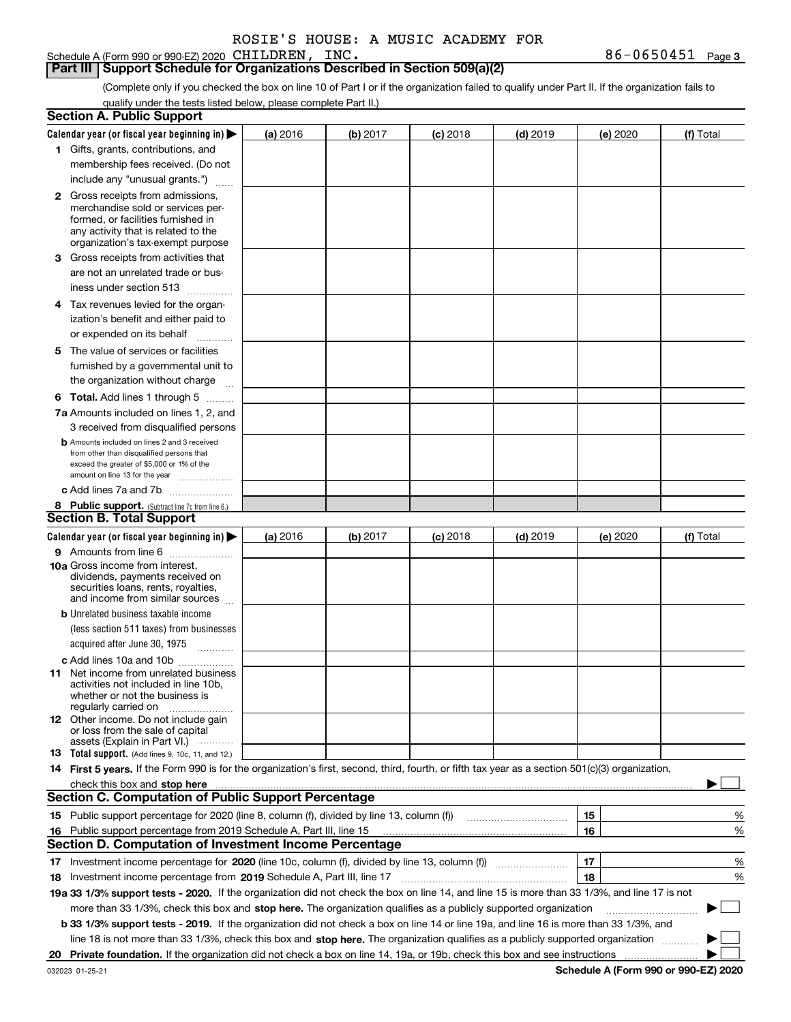Schedule A (Form 990 or 990-EZ) 2020 CHILDREN, INC.

### **Part III Support Schedule for Organizations Described in Section 509(a)(2)**

(Complete only if you checked the box on line 10 of Part I or if the organization failed to qualify under Part II. If the organization fails to qualify under the tests listed below, please complete Part II.)

|    | <b>Section A. Public Support</b>                                                                                                                                                                                               |          |          |            |            |          |             |
|----|--------------------------------------------------------------------------------------------------------------------------------------------------------------------------------------------------------------------------------|----------|----------|------------|------------|----------|-------------|
|    | Calendar year (or fiscal year beginning in) $\blacktriangleright$                                                                                                                                                              | (a) 2016 | (b) 2017 | $(c)$ 2018 | $(d)$ 2019 | (e) 2020 | (f) Total   |
|    | 1 Gifts, grants, contributions, and                                                                                                                                                                                            |          |          |            |            |          |             |
|    | membership fees received. (Do not                                                                                                                                                                                              |          |          |            |            |          |             |
|    | include any "unusual grants.")                                                                                                                                                                                                 |          |          |            |            |          |             |
|    | <b>2</b> Gross receipts from admissions,                                                                                                                                                                                       |          |          |            |            |          |             |
|    | merchandise sold or services per-                                                                                                                                                                                              |          |          |            |            |          |             |
|    | formed, or facilities furnished in                                                                                                                                                                                             |          |          |            |            |          |             |
|    | any activity that is related to the<br>organization's tax-exempt purpose                                                                                                                                                       |          |          |            |            |          |             |
|    | 3 Gross receipts from activities that                                                                                                                                                                                          |          |          |            |            |          |             |
|    | are not an unrelated trade or bus-                                                                                                                                                                                             |          |          |            |            |          |             |
|    | iness under section 513                                                                                                                                                                                                        |          |          |            |            |          |             |
|    | 4 Tax revenues levied for the organ-                                                                                                                                                                                           |          |          |            |            |          |             |
|    | ization's benefit and either paid to                                                                                                                                                                                           |          |          |            |            |          |             |
|    | or expended on its behalf<br>.                                                                                                                                                                                                 |          |          |            |            |          |             |
|    | 5 The value of services or facilities                                                                                                                                                                                          |          |          |            |            |          |             |
|    | furnished by a governmental unit to                                                                                                                                                                                            |          |          |            |            |          |             |
|    | the organization without charge                                                                                                                                                                                                |          |          |            |            |          |             |
|    | <b>6 Total.</b> Add lines 1 through 5                                                                                                                                                                                          |          |          |            |            |          |             |
|    | 7a Amounts included on lines 1, 2, and                                                                                                                                                                                         |          |          |            |            |          |             |
|    | 3 received from disqualified persons                                                                                                                                                                                           |          |          |            |            |          |             |
|    | <b>b</b> Amounts included on lines 2 and 3 received                                                                                                                                                                            |          |          |            |            |          |             |
|    | from other than disqualified persons that                                                                                                                                                                                      |          |          |            |            |          |             |
|    | exceed the greater of \$5,000 or 1% of the<br>amount on line 13 for the year                                                                                                                                                   |          |          |            |            |          |             |
|    | c Add lines 7a and 7b                                                                                                                                                                                                          |          |          |            |            |          |             |
|    | 8 Public support. (Subtract line 7c from line 6.)                                                                                                                                                                              |          |          |            |            |          |             |
|    | <b>Section B. Total Support</b>                                                                                                                                                                                                |          |          |            |            |          |             |
|    | Calendar year (or fiscal year beginning in)                                                                                                                                                                                    | (a) 2016 | (b) 2017 | $(c)$ 2018 | $(d)$ 2019 | (e) 2020 | (f) Total   |
|    | 9 Amounts from line 6                                                                                                                                                                                                          |          |          |            |            |          |             |
|    | <b>10a</b> Gross income from interest,                                                                                                                                                                                         |          |          |            |            |          |             |
|    | dividends, payments received on                                                                                                                                                                                                |          |          |            |            |          |             |
|    | securities loans, rents, royalties,<br>and income from similar sources                                                                                                                                                         |          |          |            |            |          |             |
|    | <b>b</b> Unrelated business taxable income                                                                                                                                                                                     |          |          |            |            |          |             |
|    | (less section 511 taxes) from businesses                                                                                                                                                                                       |          |          |            |            |          |             |
|    | acquired after June 30, 1975 [10001]                                                                                                                                                                                           |          |          |            |            |          |             |
|    | c Add lines 10a and 10b                                                                                                                                                                                                        |          |          |            |            |          |             |
|    | 11 Net income from unrelated business                                                                                                                                                                                          |          |          |            |            |          |             |
|    | activities not included in line 10b,                                                                                                                                                                                           |          |          |            |            |          |             |
|    | whether or not the business is<br>regularly carried on                                                                                                                                                                         |          |          |            |            |          |             |
|    | <b>12</b> Other income. Do not include gain                                                                                                                                                                                    |          |          |            |            |          |             |
|    | or loss from the sale of capital                                                                                                                                                                                               |          |          |            |            |          |             |
|    | assets (Explain in Part VI.)<br><b>13</b> Total support. (Add lines 9, 10c, 11, and 12.)                                                                                                                                       |          |          |            |            |          |             |
|    | 14 First 5 years. If the Form 990 is for the organization's first, second, third, fourth, or fifth tax year as a section 501(c)(3) organization,                                                                               |          |          |            |            |          |             |
|    | check this box and stop here manufactured and control the state of the state of the state of the state of the state of the state of the state of the state of the state of the state of the state of the state of the state of |          |          |            |            |          |             |
|    | <b>Section C. Computation of Public Support Percentage</b>                                                                                                                                                                     |          |          |            |            |          |             |
|    | 15 Public support percentage for 2020 (line 8, column (f), divided by line 13, column (f))                                                                                                                                     |          |          |            |            | 15       | %           |
|    | 16 Public support percentage from 2019 Schedule A, Part III, line 15                                                                                                                                                           |          |          |            |            | 16       | %           |
|    | <b>Section D. Computation of Investment Income Percentage</b>                                                                                                                                                                  |          |          |            |            |          |             |
|    | 17 Investment income percentage for 2020 (line 10c, column (f), divided by line 13, column (f))                                                                                                                                |          |          |            |            | 17       | %           |
|    | <b>18</b> Investment income percentage from <b>2019</b> Schedule A, Part III, line 17                                                                                                                                          |          |          |            |            | 18       | %           |
|    | 19a 33 1/3% support tests - 2020. If the organization did not check the box on line 14, and line 15 is more than 33 1/3%, and line 17 is not                                                                                   |          |          |            |            |          |             |
|    | more than 33 1/3%, check this box and stop here. The organization qualifies as a publicly supported organization                                                                                                               |          |          |            |            |          | $\sim$<br>▶ |
|    | b 33 1/3% support tests - 2019. If the organization did not check a box on line 14 or line 19a, and line 16 is more than 33 1/3%, and                                                                                          |          |          |            |            |          |             |
|    | line 18 is not more than 33 1/3%, check this box and stop here. The organization qualifies as a publicly supported organization                                                                                                |          |          |            |            |          |             |
| 20 |                                                                                                                                                                                                                                |          |          |            |            |          |             |
|    |                                                                                                                                                                                                                                |          |          |            |            |          |             |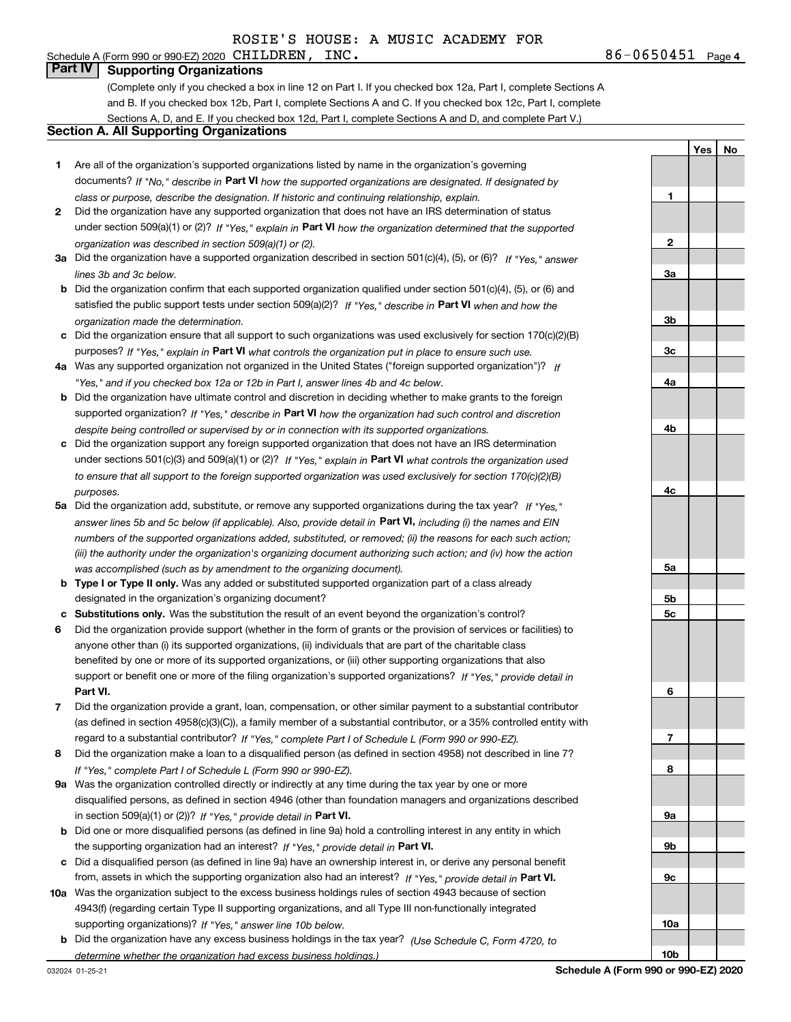# Schedule A (Form 990 or 990-EZ) 2020  $CHILDREN$ ,  $INC$ .

**Part IV Supporting Organizations**

(Complete only if you checked a box in line 12 on Part I. If you checked box 12a, Part I, complete Sections A and B. If you checked box 12b, Part I, complete Sections A and C. If you checked box 12c, Part I, complete Sections A, D, and E. If you checked box 12d, Part I, complete Sections A and D, and complete Part V.)

## **Section A. All Supporting Organizations**

- **1** Are all of the organization's supported organizations listed by name in the organization's governing documents? If "No," describe in **Part VI** how the supported organizations are designated. If designated by *class or purpose, describe the designation. If historic and continuing relationship, explain.*
- **2** Did the organization have any supported organization that does not have an IRS determination of status under section 509(a)(1) or (2)? If "Yes," explain in Part VI how the organization determined that the supported *organization was described in section 509(a)(1) or (2).*
- **3a** Did the organization have a supported organization described in section 501(c)(4), (5), or (6)? If "Yes," answer *lines 3b and 3c below.*
- **b** Did the organization confirm that each supported organization qualified under section 501(c)(4), (5), or (6) and satisfied the public support tests under section 509(a)(2)? If "Yes," describe in **Part VI** when and how the *organization made the determination.*
- **c**Did the organization ensure that all support to such organizations was used exclusively for section 170(c)(2)(B) purposes? If "Yes," explain in **Part VI** what controls the organization put in place to ensure such use.
- **4a***If* Was any supported organization not organized in the United States ("foreign supported organization")? *"Yes," and if you checked box 12a or 12b in Part I, answer lines 4b and 4c below.*
- **b** Did the organization have ultimate control and discretion in deciding whether to make grants to the foreign supported organization? If "Yes," describe in **Part VI** how the organization had such control and discretion *despite being controlled or supervised by or in connection with its supported organizations.*
- **c** Did the organization support any foreign supported organization that does not have an IRS determination under sections 501(c)(3) and 509(a)(1) or (2)? If "Yes," explain in **Part VI** what controls the organization used *to ensure that all support to the foreign supported organization was used exclusively for section 170(c)(2)(B) purposes.*
- **5a***If "Yes,"* Did the organization add, substitute, or remove any supported organizations during the tax year? answer lines 5b and 5c below (if applicable). Also, provide detail in **Part VI,** including (i) the names and EIN *numbers of the supported organizations added, substituted, or removed; (ii) the reasons for each such action; (iii) the authority under the organization's organizing document authorizing such action; and (iv) how the action was accomplished (such as by amendment to the organizing document).*
- **b** Type I or Type II only. Was any added or substituted supported organization part of a class already designated in the organization's organizing document?
- **cSubstitutions only.**  Was the substitution the result of an event beyond the organization's control?
- **6** Did the organization provide support (whether in the form of grants or the provision of services or facilities) to **Part VI.** *If "Yes," provide detail in* support or benefit one or more of the filing organization's supported organizations? anyone other than (i) its supported organizations, (ii) individuals that are part of the charitable class benefited by one or more of its supported organizations, or (iii) other supporting organizations that also
- **7**Did the organization provide a grant, loan, compensation, or other similar payment to a substantial contributor *If "Yes," complete Part I of Schedule L (Form 990 or 990-EZ).* regard to a substantial contributor? (as defined in section 4958(c)(3)(C)), a family member of a substantial contributor, or a 35% controlled entity with
- **8** Did the organization make a loan to a disqualified person (as defined in section 4958) not described in line 7? *If "Yes," complete Part I of Schedule L (Form 990 or 990-EZ).*
- **9a** Was the organization controlled directly or indirectly at any time during the tax year by one or more in section 509(a)(1) or (2))? If "Yes," *provide detail in* <code>Part VI.</code> disqualified persons, as defined in section 4946 (other than foundation managers and organizations described
- **b** Did one or more disqualified persons (as defined in line 9a) hold a controlling interest in any entity in which the supporting organization had an interest? If "Yes," provide detail in P**art VI**.
- **c**Did a disqualified person (as defined in line 9a) have an ownership interest in, or derive any personal benefit from, assets in which the supporting organization also had an interest? If "Yes," provide detail in P**art VI.**
- **10a** Was the organization subject to the excess business holdings rules of section 4943 because of section supporting organizations)? If "Yes," answer line 10b below. 4943(f) (regarding certain Type II supporting organizations, and all Type III non-functionally integrated
- **b** Did the organization have any excess business holdings in the tax year? (Use Schedule C, Form 4720, to *determine whether the organization had excess business holdings.)*

032024 01-25-21

**Schedule A (Form 990 or 990-EZ) 2020**

**1**

**2**

**3a**

**3b**

**3c**

**4a**

**4b**

**4c**

**5a**

**5b5c**

**6**

**7**

**8**

**9a**

**9b**

**9c**

**10a**

**10b**

**Yes**

**No**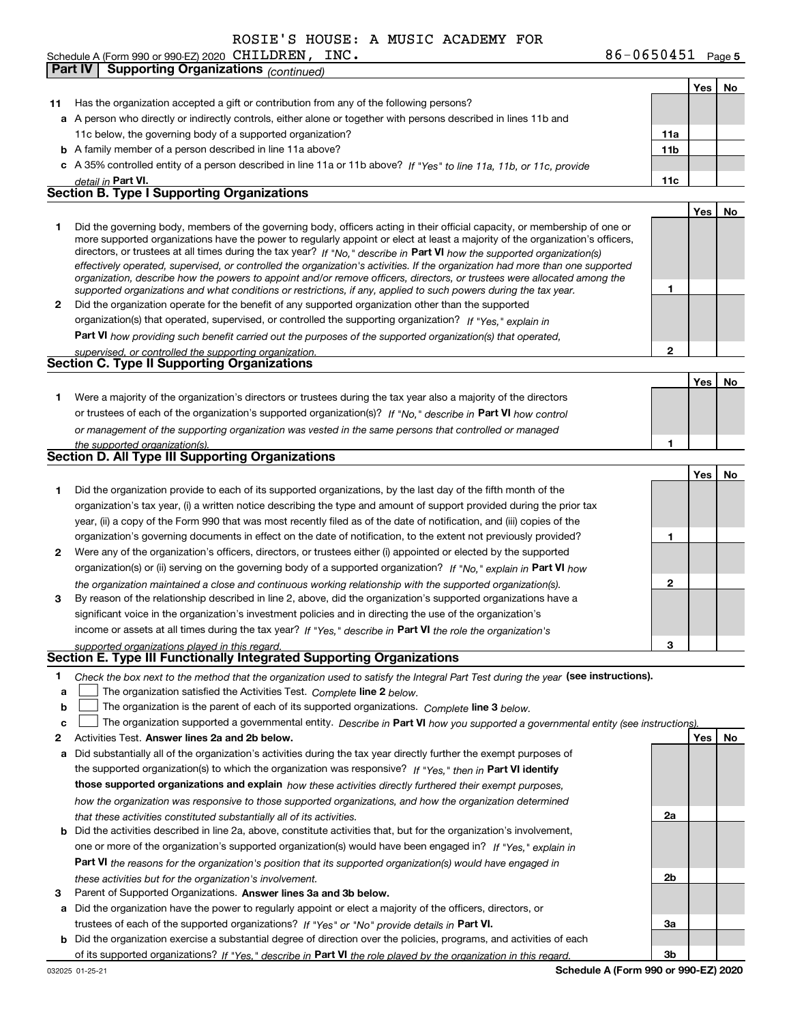Schedule A (Form 990 or 990-EZ) 2020 CHILDREN,  $INC$ .

**Part IV Supporting Organizations** *(continued)*

#### **11** Has the organization accepted a gift or contribution from any of the following persons? **a**A person who directly or indirectly controls, either alone or together with persons described in lines 11b and **b** A family member of a person described in line 11a above? **c** A 35% controlled entity of a person described in line 11a or 11b above? If "Yes" to line 11a, 11b, or 11c, provide **11a11bPart VI. 11c Yes No 12** Did the organization operate for the benefit of any supported organization other than the supported directors, or trustees at all times during the tax year? If "No," describe in **Part VI** how the supported organization(s) **12Part VI**  *how providing such benefit carried out the purposes of the supported organization(s) that operated,* **Yes No 1** Were a majority of the organization's directors or trustees during the tax year also a majority of the directors or trustees of each of the organization's supported organization(s)? If "No," describe in **Part VI** how control **1Yes No 12** Were any of the organization's officers, directors, or trustees either (i) appointed or elected by the supported **3123**organization(s) or (ii) serving on the governing body of a supported organization? If "No," explain in **Part VI** how income or assets at all times during the tax year? If "Yes," describe in **Part VI** the role the organization's **12Answer lines 2a and 2b below. Yes No** Activities Test. **3**Check the box next to the method that the organization used to satisfy the Integral Part Test during the year (see instructions). **abclinupy** The organization satisfied the Activities Test. Complete line 2 below. The organization is the parent of each of its supported organizations. *Complete* line 3 *below.* The organization supported a governmental entity. *Describe in* Part **VI** *how you supported a governmental entity (see instruction<u>s).</u>* **a** Did substantially all of the organization's activities during the tax year directly further the exempt purposes of **b** Did the activities described in line 2a, above, constitute activities that, but for the organization's involvement, **a** Did the organization have the power to regularly appoint or elect a majority of the officers, directors, or **b** Did the organization exercise a substantial degree of direction over the policies, programs, and activities of each the supported organization(s) to which the organization was responsive? If "Yes," then in **Part VI identify those supported organizations and explain**  *how these activities directly furthered their exempt purposes,* **2a 2b3a3bPart VI**  *the reasons for the organization's position that its supported organization(s) would have engaged in* Parent of Supported Organizations. Answer lines 3a and 3b below. trustees of each of the supported organizations? If "Yes" or "No" provide details in **Part VI.** of its supported organizations? If "Yes," describe in Part VI the role played by the organization in this regard. *detail in effectively operated, supervised, or controlled the organization's activities. If the organization had more than one supported organization, describe how the powers to appoint and/or remove officers, directors, or trustees were allocated among the supported organizations and what conditions or restrictions, if any, applied to such powers during the tax year. If "Yes," explain in* organization(s) that operated, supervised, or controlled the supporting organization? *supervised, or controlled the supporting organization. or management of the supporting organization was vested in the same persons that controlled or managed the supported organization(s). the organization maintained a close and continuous working relationship with the supported organization(s). supported organizations played in this regard. how the organization was responsive to those supported organizations, and how the organization determined that these activities constituted substantially all of its activities.* one or more of the organization's supported organization(s) would have been engaged in? If "Yes," e*xplain in these activities but for the organization's involvement.* 11c below, the governing body of a supported organization? Did the governing body, members of the governing body, officers acting in their official capacity, or membership of one or more supported organizations have the power to regularly appoint or elect at least a majority of the organization's officers, Did the organization provide to each of its supported organizations, by the last day of the fifth month of the organization's tax year, (i) a written notice describing the type and amount of support provided during the prior tax year, (ii) a copy of the Form 990 that was most recently filed as of the date of notification, and (iii) copies of the organization's governing documents in effect on the date of notification, to the extent not previously provided? By reason of the relationship described in line 2, above, did the organization's supported organizations have a significant voice in the organization's investment policies and in directing the use of the organization's **Section B. Type I Supporting Organizations Section C. Type II Supporting Organizations Section D. All Type III Supporting Organizations Section E. Type III Functionally Integrated Supporting Organizations**  $\mathcal{L}^{\text{max}}$  $\mathcal{L}^{\text{max}}$

032025 01-25-21

**5**CHILDREN, INC. 86-0650451

**Yes**

**No**

**Schedule A (Form 990 or 990-EZ) 2020**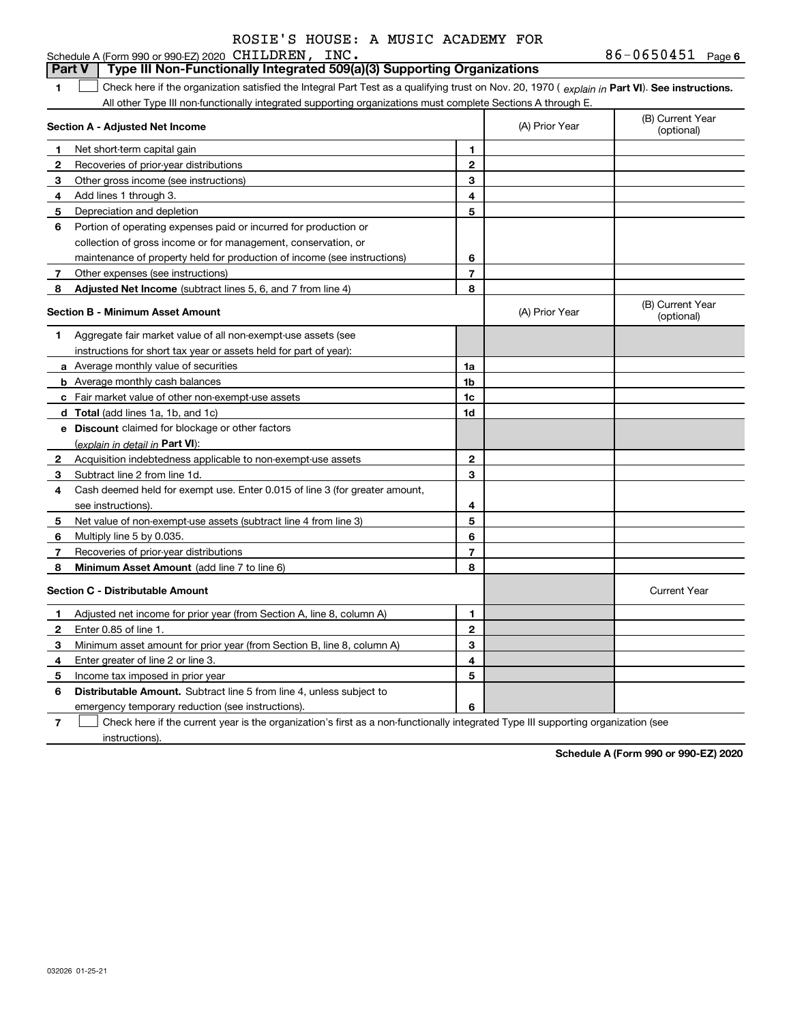#### **6**CHILDREN, INC. 86-0650451 **1Part VI** Check here if the organization satisfied the Integral Part Test as a qualifying trust on Nov. 20, 1970 ( *explain in* Part **VI**). See instructions. **Section A - Adjusted Net Income 123** Other gross income (see instructions) **4**Add lines 1 through 3. **56** Portion of operating expenses paid or incurred for production or **7** Other expenses (see instructions) **8** Adjusted Net Income (subtract lines 5, 6, and 7 from line 4) **8 8 1234567Section B - Minimum Asset Amount 1**Aggregate fair market value of all non-exempt-use assets (see **2**Acquisition indebtedness applicable to non-exempt-use assets **3** Subtract line 2 from line 1d. **4**Cash deemed held for exempt use. Enter 0.015 of line 3 (for greater amount, **5** Net value of non-exempt-use assets (subtract line 4 from line 3) **678a** Average monthly value of securities **b** Average monthly cash balances **c**Fair market value of other non-exempt-use assets **dTotal**  (add lines 1a, 1b, and 1c) **eDiscount** claimed for blockage or other factors **1a1b1c1d2345678**(explain in detail in Part VI): **Minimum Asset Amount**  (add line 7 to line 6) **Section C - Distributable Amount 123456123456Distributable Amount.** Subtract line 5 from line 4, unless subject to Schedule A (Form 990 or 990-EZ) 2020 CHILDREN, INC. All other Type III non-functionally integrated supporting organizations must complete Sections A through E. (B) Current Year (optional)(A) Prior Year Net short-term capital gain Recoveries of prior-year distributions Depreciation and depletion collection of gross income or for management, conservation, or maintenance of property held for production of income (see instructions) (B) Current Year (optional)(A) Prior Year instructions for short tax year or assets held for part of year): see instructions). Multiply line 5 by 0.035. Recoveries of prior-year distributions Current Year Adjusted net income for prior year (from Section A, line 8, column A) Enter 0.85 of line 1. Minimum asset amount for prior year (from Section B, line 8, column A) Enter greater of line 2 or line 3. Income tax imposed in prior year emergency temporary reduction (see instructions). **Part V Type III Non-Functionally Integrated 509(a)(3) Supporting Organizations**   $\mathcal{L}^{\text{max}}$

**7**Check here if the current year is the organization's first as a non-functionally integrated Type III supporting organization (see instructions). $\mathcal{L}^{\text{max}}$ 

**Schedule A (Form 990 or 990-EZ) 2020**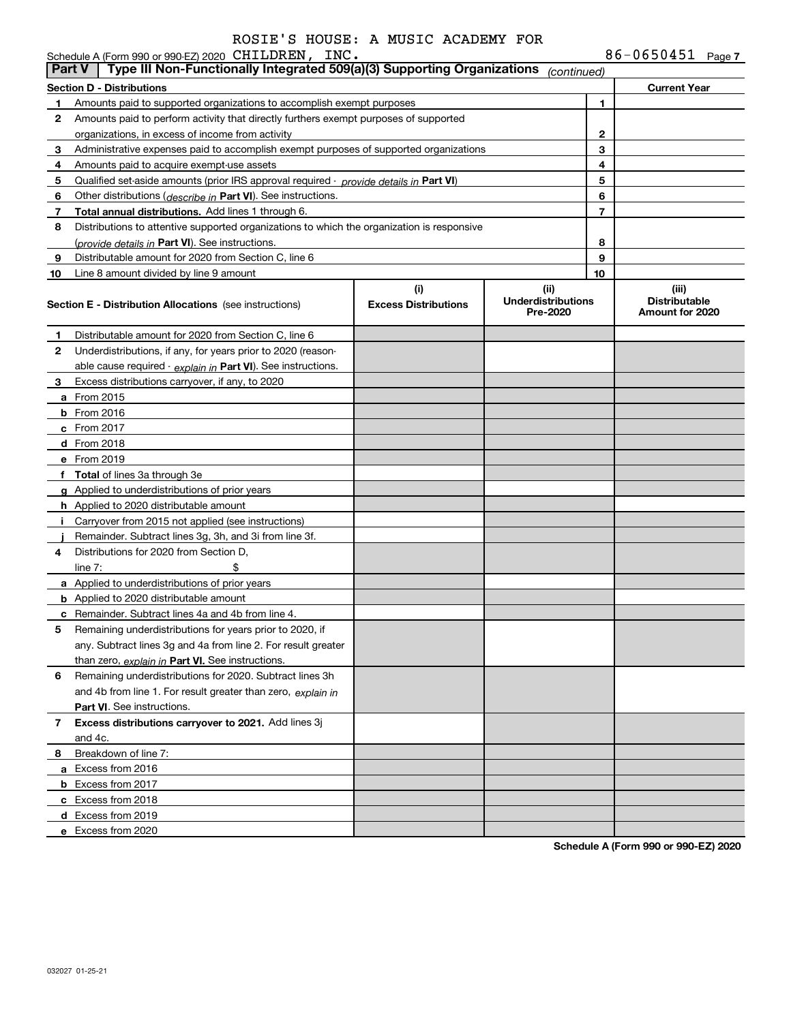| ROSIE'S HOUSE: A MUSIC ACADEMY FOR |  |  |  |  |
|------------------------------------|--|--|--|--|
| <b>. חדוור</b>                     |  |  |  |  |

|               | Schedule A (Form 990 or 990-EZ) 2020 CHILDREN, INC.                                           |                                    |                                               |                | $86 - 0650451$ Page 7                            |
|---------------|-----------------------------------------------------------------------------------------------|------------------------------------|-----------------------------------------------|----------------|--------------------------------------------------|
| <b>Part V</b> | Type III Non-Functionally Integrated 509(a)(3) Supporting Organizations                       |                                    | (continued)                                   |                |                                                  |
|               | Section D - Distributions                                                                     |                                    |                                               |                | <b>Current Year</b>                              |
| 1.            | Amounts paid to supported organizations to accomplish exempt purposes                         |                                    |                                               | 1              |                                                  |
| 2             | Amounts paid to perform activity that directly furthers exempt purposes of supported          |                                    |                                               |                |                                                  |
|               | organizations, in excess of income from activity                                              |                                    |                                               | 2              |                                                  |
| 3             | Administrative expenses paid to accomplish exempt purposes of supported organizations         |                                    |                                               | 3              |                                                  |
| 4             | Amounts paid to acquire exempt-use assets                                                     |                                    |                                               | 4              |                                                  |
| 5             | Qualified set-aside amounts (prior IRS approval required - <i>provide details in</i> Part VI) |                                    |                                               | 5              |                                                  |
| 6             | Other distributions ( <i>describe in</i> Part VI). See instructions.                          |                                    |                                               | 6              |                                                  |
| 7             | Total annual distributions. Add lines 1 through 6.                                            |                                    |                                               | $\overline{7}$ |                                                  |
| 8             | Distributions to attentive supported organizations to which the organization is responsive    |                                    |                                               |                |                                                  |
|               | (provide details in Part VI). See instructions.                                               |                                    |                                               | 8              |                                                  |
| 9             | Distributable amount for 2020 from Section C, line 6                                          |                                    |                                               | 9              |                                                  |
| 10            | Line 8 amount divided by line 9 amount                                                        |                                    |                                               | 10             |                                                  |
|               | <b>Section E - Distribution Allocations</b> (see instructions)                                | (i)<br><b>Excess Distributions</b> | (ii)<br><b>Underdistributions</b><br>Pre-2020 |                | (iii)<br><b>Distributable</b><br>Amount for 2020 |
| 1.            | Distributable amount for 2020 from Section C, line 6                                          |                                    |                                               |                |                                                  |
| 2             | Underdistributions, if any, for years prior to 2020 (reason-                                  |                                    |                                               |                |                                                  |
|               | able cause required - explain in Part VI). See instructions.                                  |                                    |                                               |                |                                                  |
| 3             | Excess distributions carryover, if any, to 2020                                               |                                    |                                               |                |                                                  |
|               | a From 2015                                                                                   |                                    |                                               |                |                                                  |
|               | <b>b</b> From 2016                                                                            |                                    |                                               |                |                                                  |
|               | $c$ From 2017                                                                                 |                                    |                                               |                |                                                  |
|               | d From 2018                                                                                   |                                    |                                               |                |                                                  |
|               | e From 2019                                                                                   |                                    |                                               |                |                                                  |
|               | f Total of lines 3a through 3e                                                                |                                    |                                               |                |                                                  |
|               | g Applied to underdistributions of prior years                                                |                                    |                                               |                |                                                  |
|               | <b>h</b> Applied to 2020 distributable amount                                                 |                                    |                                               |                |                                                  |
|               | i Carryover from 2015 not applied (see instructions)                                          |                                    |                                               |                |                                                  |
|               | Remainder. Subtract lines 3g, 3h, and 3i from line 3f.                                        |                                    |                                               |                |                                                  |
| 4             | Distributions for 2020 from Section D,                                                        |                                    |                                               |                |                                                  |
|               | \$<br>line $7:$                                                                               |                                    |                                               |                |                                                  |
|               | a Applied to underdistributions of prior years                                                |                                    |                                               |                |                                                  |
|               | <b>b</b> Applied to 2020 distributable amount                                                 |                                    |                                               |                |                                                  |
|               | <b>c</b> Remainder. Subtract lines 4a and 4b from line 4.                                     |                                    |                                               |                |                                                  |
|               | Remaining underdistributions for years prior to 2020, if                                      |                                    |                                               |                |                                                  |
|               | any. Subtract lines 3g and 4a from line 2. For result greater                                 |                                    |                                               |                |                                                  |
|               | than zero, explain in Part VI. See instructions.                                              |                                    |                                               |                |                                                  |
| 6             | Remaining underdistributions for 2020. Subtract lines 3h                                      |                                    |                                               |                |                                                  |
|               | and 4b from line 1. For result greater than zero, explain in                                  |                                    |                                               |                |                                                  |
|               | <b>Part VI.</b> See instructions.                                                             |                                    |                                               |                |                                                  |
| 7             | Excess distributions carryover to 2021. Add lines 3j                                          |                                    |                                               |                |                                                  |
|               | and 4c.                                                                                       |                                    |                                               |                |                                                  |
| 8             | Breakdown of line 7:                                                                          |                                    |                                               |                |                                                  |
|               | a Excess from 2016                                                                            |                                    |                                               |                |                                                  |
|               | <b>b</b> Excess from 2017                                                                     |                                    |                                               |                |                                                  |
|               | c Excess from 2018                                                                            |                                    |                                               |                |                                                  |
|               | d Excess from 2019                                                                            |                                    |                                               |                |                                                  |
|               | e Excess from 2020                                                                            |                                    |                                               |                |                                                  |
|               |                                                                                               |                                    |                                               |                |                                                  |

**Schedule A (Form 990 or 990-EZ) 2020**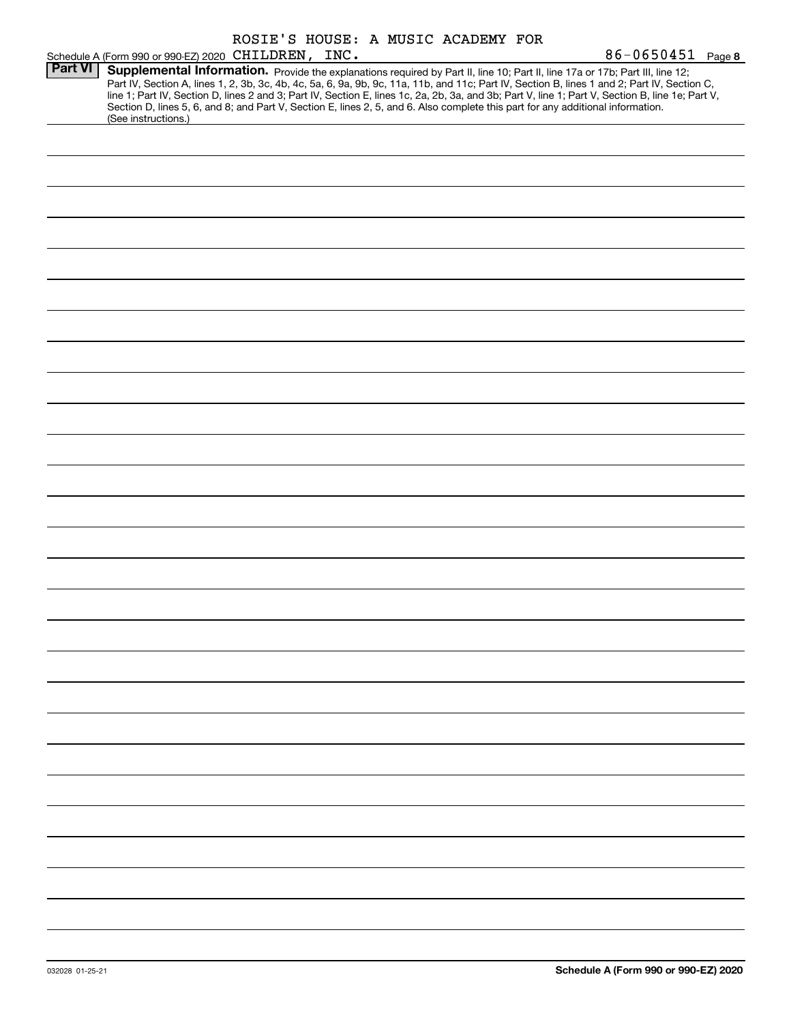|                |                                                                                                                                                                                                                                                                                         |  | ROSIE'S HOUSE: A MUSIC ACADEMY FOR |                                                                                                                                                                                                                                                                                                  |
|----------------|-----------------------------------------------------------------------------------------------------------------------------------------------------------------------------------------------------------------------------------------------------------------------------------------|--|------------------------------------|--------------------------------------------------------------------------------------------------------------------------------------------------------------------------------------------------------------------------------------------------------------------------------------------------|
|                | Schedule A (Form 990 or 990-EZ) 2020 CHILDREN, INC.                                                                                                                                                                                                                                     |  |                                    | 86-0650451 Page 8                                                                                                                                                                                                                                                                                |
| <b>Part VI</b> | Supplemental Information. Provide the explanations required by Part II, line 10; Part II, line 17a or 17b; Part III, line 12;<br>Section D, lines 5, 6, and 8; and Part V, Section E, lines 2, 5, and 6. Also complete this part for any additional information.<br>(See instructions.) |  |                                    | Part IV, Section A, lines 1, 2, 3b, 3c, 4b, 4c, 5a, 6, 9a, 9b, 9c, 11a, 11b, and 11c; Part IV, Section B, lines 1 and 2; Part IV, Section C,<br>line 1; Part IV, Section D, lines 2 and 3; Part IV, Section E, lines 1c, 2a, 2b, 3a, and 3b; Part V, line 1; Part V, Section B, line 1e; Part V, |
|                |                                                                                                                                                                                                                                                                                         |  |                                    |                                                                                                                                                                                                                                                                                                  |
|                |                                                                                                                                                                                                                                                                                         |  |                                    |                                                                                                                                                                                                                                                                                                  |
|                |                                                                                                                                                                                                                                                                                         |  |                                    |                                                                                                                                                                                                                                                                                                  |
|                |                                                                                                                                                                                                                                                                                         |  |                                    |                                                                                                                                                                                                                                                                                                  |
|                |                                                                                                                                                                                                                                                                                         |  |                                    |                                                                                                                                                                                                                                                                                                  |
|                |                                                                                                                                                                                                                                                                                         |  |                                    |                                                                                                                                                                                                                                                                                                  |
|                |                                                                                                                                                                                                                                                                                         |  |                                    |                                                                                                                                                                                                                                                                                                  |
|                |                                                                                                                                                                                                                                                                                         |  |                                    |                                                                                                                                                                                                                                                                                                  |
|                |                                                                                                                                                                                                                                                                                         |  |                                    |                                                                                                                                                                                                                                                                                                  |
|                |                                                                                                                                                                                                                                                                                         |  |                                    |                                                                                                                                                                                                                                                                                                  |
|                |                                                                                                                                                                                                                                                                                         |  |                                    |                                                                                                                                                                                                                                                                                                  |
|                |                                                                                                                                                                                                                                                                                         |  |                                    |                                                                                                                                                                                                                                                                                                  |
|                |                                                                                                                                                                                                                                                                                         |  |                                    |                                                                                                                                                                                                                                                                                                  |
|                |                                                                                                                                                                                                                                                                                         |  |                                    |                                                                                                                                                                                                                                                                                                  |
|                |                                                                                                                                                                                                                                                                                         |  |                                    |                                                                                                                                                                                                                                                                                                  |
|                |                                                                                                                                                                                                                                                                                         |  |                                    |                                                                                                                                                                                                                                                                                                  |
|                |                                                                                                                                                                                                                                                                                         |  |                                    |                                                                                                                                                                                                                                                                                                  |
|                |                                                                                                                                                                                                                                                                                         |  |                                    |                                                                                                                                                                                                                                                                                                  |
|                |                                                                                                                                                                                                                                                                                         |  |                                    |                                                                                                                                                                                                                                                                                                  |
|                |                                                                                                                                                                                                                                                                                         |  |                                    |                                                                                                                                                                                                                                                                                                  |
|                |                                                                                                                                                                                                                                                                                         |  |                                    |                                                                                                                                                                                                                                                                                                  |
|                |                                                                                                                                                                                                                                                                                         |  |                                    |                                                                                                                                                                                                                                                                                                  |
|                |                                                                                                                                                                                                                                                                                         |  |                                    |                                                                                                                                                                                                                                                                                                  |
|                |                                                                                                                                                                                                                                                                                         |  |                                    |                                                                                                                                                                                                                                                                                                  |
|                |                                                                                                                                                                                                                                                                                         |  |                                    |                                                                                                                                                                                                                                                                                                  |
|                |                                                                                                                                                                                                                                                                                         |  |                                    |                                                                                                                                                                                                                                                                                                  |
|                |                                                                                                                                                                                                                                                                                         |  |                                    |                                                                                                                                                                                                                                                                                                  |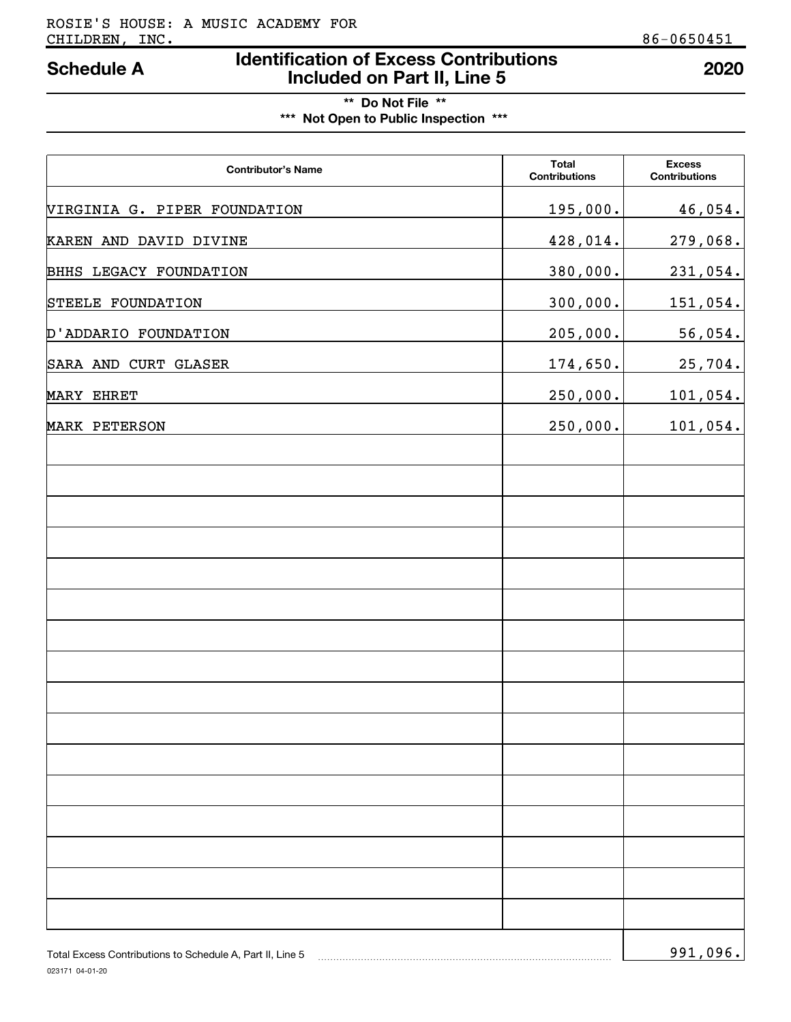# **Identification of Excess Contributions Included on Part II, Line 5 Schedule A 2020**

# **\*\* Do Not File \*\* \*\*\* Not Open to Public Inspection \*\*\***

| <b>Contributor's Name</b>    | <b>Total</b><br><b>Contributions</b> | <b>Excess</b><br><b>Contributions</b> |
|------------------------------|--------------------------------------|---------------------------------------|
| VIRGINIA G. PIPER FOUNDATION | <u>195,000.</u>                      | 46,054.                               |
| KAREN AND DAVID DIVINE       | 428,014.                             | 279,068.                              |
| BHHS LEGACY FOUNDATION       | 380,000.                             | 231,054.                              |
| STEELE FOUNDATION            | 300,000.                             | <u>151,054.</u>                       |
| D'ADDARIO FOUNDATION         | 205,000.                             | 56,054.                               |
| SARA AND CURT GLASER         | <u>174,650.</u>                      | 25,704.                               |
| MARY EHRET                   | 250,000.                             | 101,054.                              |
| MARK PETERSON                | 250,000.                             | 101,054.                              |
|                              |                                      |                                       |
|                              |                                      |                                       |
|                              |                                      |                                       |
|                              |                                      |                                       |
|                              |                                      |                                       |
|                              |                                      |                                       |
|                              |                                      |                                       |
|                              |                                      |                                       |
|                              |                                      |                                       |
|                              |                                      |                                       |
|                              |                                      |                                       |
|                              |                                      |                                       |
|                              |                                      |                                       |
|                              |                                      |                                       |
|                              |                                      |                                       |
|                              |                                      |                                       |
|                              |                                      |                                       |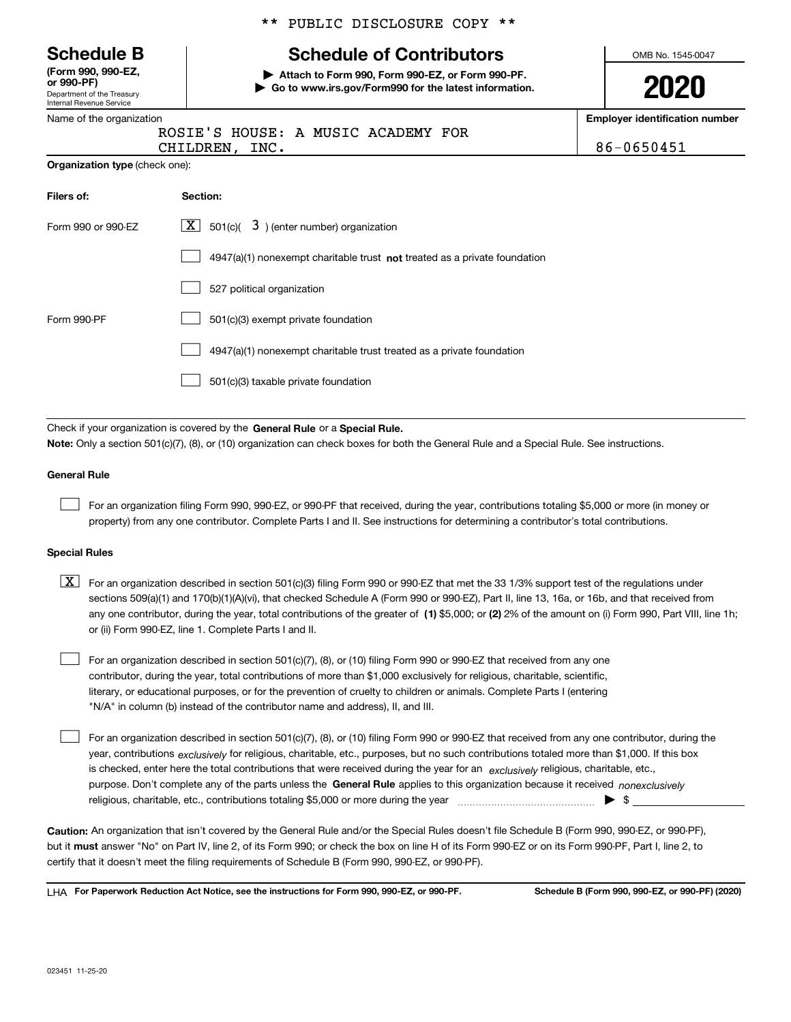|  | <b>Schedule B</b> |  |
|--|-------------------|--|
|--|-------------------|--|

Department of the Treasury Internal Revenue Service **(Form 990, 990-EZ, or 990-PF)**

|  | Name of the organization |
|--|--------------------------|
|  |                          |

|  |  | ** PUBLIC DISCLOSURE COPY ** |  |  |
|--|--|------------------------------|--|--|
|--|--|------------------------------|--|--|

# **Schedule of Contributors**

**| Attach to Form 990, Form 990-EZ, or Form 990-PF. | Go to www.irs.gov/Form990 for the latest information.** OMB No. 1545-0047

| ı | ٦<br>I | 2 |  |
|---|--------|---|--|
|   |        |   |  |

**Employer identification number**

| <b>TVALLIC OF GTC ORGANIZATION</b>    |                                                         | Enproyer rachtmoath |
|---------------------------------------|---------------------------------------------------------|---------------------|
|                                       | ROSIE'S HOUSE: A MUSIC ACADEMY FOR<br>INC.<br>CHILDREN, | 86-0650451          |
| <b>Organization type (check one):</b> |                                                         |                     |
| Filers of:                            | Section:                                                |                     |
|                                       | $\overline{\phantom{a}}$<br>∽                           |                     |

| Form 990 or 990-FZ | X  <br>501(c)( $\overline{3}$ ) (enter number) organization                 |
|--------------------|-----------------------------------------------------------------------------|
|                    | $4947(a)(1)$ nonexempt charitable trust not treated as a private foundation |
|                    | 527 political organization                                                  |
| Form 990-PF        | 501(c)(3) exempt private foundation                                         |
|                    | 4947(a)(1) nonexempt charitable trust treated as a private foundation       |
|                    | 501(c)(3) taxable private foundation                                        |

Check if your organization is covered by the **General Rule** or a **Special Rule. Note:**  Only a section 501(c)(7), (8), or (10) organization can check boxes for both the General Rule and a Special Rule. See instructions.

### **General Rule**

 $\mathcal{L}^{\text{max}}$ 

For an organization filing Form 990, 990-EZ, or 990-PF that received, during the year, contributions totaling \$5,000 or more (in money or property) from any one contributor. Complete Parts I and II. See instructions for determining a contributor's total contributions.

### **Special Rules**

| $\boxed{X}$ For an organization described in section 501(c)(3) filing Form 990 or 990-EZ that met the 33 1/3% support test of the regulations under   |
|-------------------------------------------------------------------------------------------------------------------------------------------------------|
| sections 509(a)(1) and 170(b)(1)(A)(vi), that checked Schedule A (Form 990 or 990-EZ), Part II, line 13, 16a, or 16b, and that received from          |
| any one contributor, during the year, total contributions of the greater of (1) \$5,000; or (2) 2% of the amount on (i) Form 990, Part VIII, line 1h; |
| or (ii) Form 990-EZ, line 1. Complete Parts I and II.                                                                                                 |

For an organization described in section 501(c)(7), (8), or (10) filing Form 990 or 990-EZ that received from any one contributor, during the year, total contributions of more than \$1,000 exclusively for religious, charitable, scientific, literary, or educational purposes, or for the prevention of cruelty to children or animals. Complete Parts I (entering "N/A" in column (b) instead of the contributor name and address), II, and III.  $\mathcal{L}^{\text{max}}$ 

purpose. Don't complete any of the parts unless the **General Rule** applies to this organization because it received *nonexclusively* year, contributions <sub>exclusively</sub> for religious, charitable, etc., purposes, but no such contributions totaled more than \$1,000. If this box is checked, enter here the total contributions that were received during the year for an *exclusively* religious, charitable, etc., For an organization described in section 501(c)(7), (8), or (10) filing Form 990 or 990-EZ that received from any one contributor, during the religious, charitable, etc., contributions totaling \$5,000 or more during the year  $\Box$ — $\Box$   $\Box$  $\mathcal{L}^{\text{max}}$ 

**Caution:**  An organization that isn't covered by the General Rule and/or the Special Rules doesn't file Schedule B (Form 990, 990-EZ, or 990-PF),  **must** but it answer "No" on Part IV, line 2, of its Form 990; or check the box on line H of its Form 990-EZ or on its Form 990-PF, Part I, line 2, to certify that it doesn't meet the filing requirements of Schedule B (Form 990, 990-EZ, or 990-PF).

**For Paperwork Reduction Act Notice, see the instructions for Form 990, 990-EZ, or 990-PF. Schedule B (Form 990, 990-EZ, or 990-PF) (2020)** LHA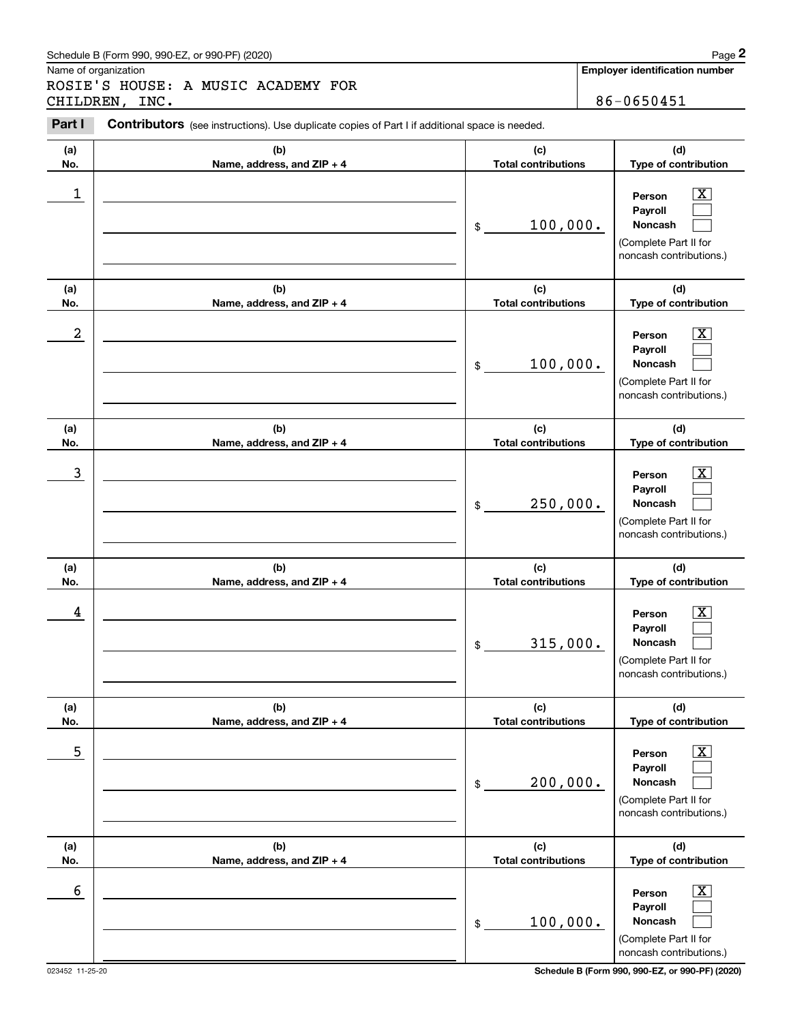### Schedule B (Form 990, 990-EZ, or 990-PF) (2020) **Page 2** Page 2 and the state of the state of the state of the state of the state of the state of the state of the state of the state of the state of the state of the state o

Name of organization

ROSIE'S HOUSE: A MUSIC ACADEMY FOR CHILDREN, INC. 86-0650451

**Employer identification number**

#### **(a)No.(b)Name, address, and ZIP + 4 (c)Total contributions (d)Type of contribution PersonPayrollNoncash (a)No.(b)Name, address, and ZIP + 4 (c)Total contributions (d)Type of contribution PersonPayrollNoncash (a)No.(b)Name, address, and ZIP + 4 (c)Total contributions (d)Type of contribution PersonPayrollNoncash (a) No.(b) Name, address, and ZIP + 4 (c) Total contributions (d) Type of contribution PersonPayrollNoncash (a) No.(b) Name, address, and ZIP + 4 (c) Total contributions (d) Type of contribution PersonPayrollNoncash (a) No.(b)Name, address, and ZIP + 4 (c) Total contributions (d) Type of contribution PersonPayrollNoncash Contributors** (see instructions). Use duplicate copies of Part I if additional space is needed. \$(Complete Part II for noncash contributions.) \$(Complete Part II for noncash contributions.) \$(Complete Part II for noncash contributions.) \$(Complete Part II for noncash contributions.) \$(Complete Part II for noncash contributions.) \$(Complete Part II for noncash contributions.) Chedule B (Form 990, 990-EZ, or 990-PF) (2020)<br> **2Page 2**<br>
2Part I **2Part I** Contributors (see instructions). Use duplicate copies of Part I if additional space is needed.<br>
2Part I **Contributors** (see instructions). Use du  $|X|$  $\mathcal{L}^{\text{max}}$  $\mathcal{L}^{\text{max}}$  $\boxed{\text{X}}$  $\mathcal{L}^{\text{max}}$  $\mathcal{L}^{\text{max}}$  $|X|$  $\mathcal{L}^{\text{max}}$  $\mathcal{L}^{\text{max}}$  $|X|$  $\mathcal{L}^{\text{max}}$  $\mathcal{L}^{\text{max}}$  $|X|$  $\mathcal{L}^{\text{max}}$  $\mathcal{L}^{\text{max}}$  $\boxed{\text{X}}$  $\mathcal{L}^{\text{max}}$  $\mathcal{L}^{\text{max}}$  $\begin{array}{c|c|c|c|c|c} 1 & \hspace{1.5cm} & \hspace{1.5cm} & \hspace{1.5cm} & \hspace{1.5cm} & \hspace{1.5cm} & \hspace{1.5cm} & \hspace{1.5cm} & \hspace{1.5cm} & \hspace{1.5cm} & \hspace{1.5cm} & \hspace{1.5cm} & \hspace{1.5cm} & \hspace{1.5cm} & \hspace{1.5cm} & \hspace{1.5cm} & \hspace{1.5cm} & \hspace{1.5cm} & \hspace{1.5cm} & \hspace{1.5cm} & \hspace{1.5cm} &$ 100,000.  $2$  | Person  $\overline{\text{X}}$ 100,000.  $\overline{3}$  | Person  $\overline{X}$ 250,000.  $4$  | Person  $\overline{\text{X}}$ 315,000.  $\sim$  5 | Person X 200,000.  $\sim$  6 | Person X 100,000.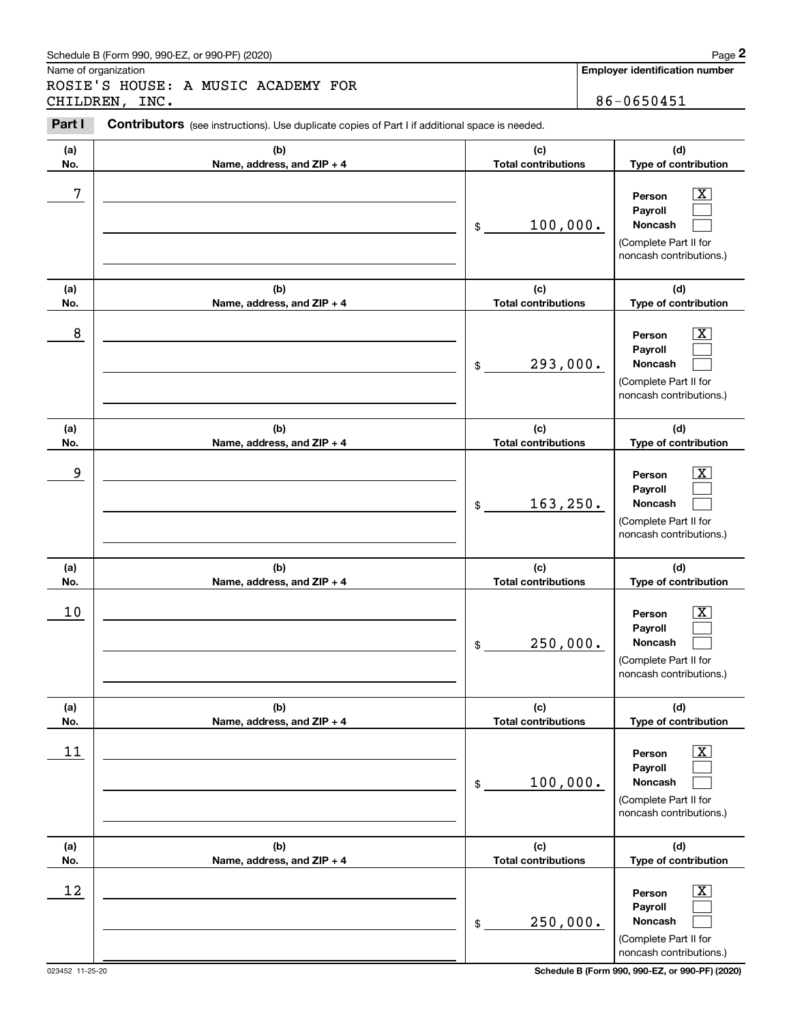### Schedule B (Form 990, 990-EZ, or 990-PF) (2020) **Page 2** Page 2 and the state of the state of the state of the state of the state of the state of the state of the state of the state of the state of the state of the state o

Name of organization

ROSIE'S HOUSE: A MUSIC ACADEMY FOR CHILDREN, INC. 86-0650451

**Employer identification number**

#### **(a)No.(b)Name, address, and ZIP + 4 (c)Total contributions (d)Type of contribution PersonPayrollNoncash (a)No.(b)Name, address, and ZIP + 4 (c)Total contributions (d)Type of contribution PersonPayrollNoncash (a)No.(b)Name, address, and ZIP + 4 (c)Total contributions (d)Type of contribution PersonPayrollNoncash (a) No.(b) Name, address, and ZIP + 4 (c) Total contributions (d) Type of contribution PersonPayrollNoncash (a) No.(b) Name, address, and ZIP + 4 (c) Total contributions (d) Type of contribution PersonPayrollNoncash (a) No.(b)Name, address, and ZIP + 4 (c) Total contributions (d) Type of contribution PersonPayrollNoncash Contributors** (see instructions). Use duplicate copies of Part I if additional space is needed. \$(Complete Part II for noncash contributions.) \$(Complete Part II for noncash contributions.) \$(Complete Part II for noncash contributions.) \$(Complete Part II for noncash contributions.) \$(Complete Part II for noncash contributions.) \$(Complete Part II for noncash contributions.) Chedule B (Form 990, 990-EZ, or 990-PF) (2020)<br> **2Page 2**<br>
2Part I **2Part I** Contributors (see instructions). Use duplicate copies of Part I if additional space is needed.<br>
2Part I **Contributors** (see instructions). Use du  $|X|$  $\mathcal{L}^{\text{max}}$  $\mathcal{L}^{\text{max}}$  $\boxed{\text{X}}$  $\mathcal{L}^{\text{max}}$  $\mathcal{L}^{\text{max}}$  $|X|$  $\mathcal{L}^{\text{max}}$  $\mathcal{L}^{\text{max}}$  $|X|$  $\mathcal{L}^{\text{max}}$  $\mathcal{L}^{\text{max}}$  $|X|$  $\mathcal{L}^{\text{max}}$  $\mathcal{L}^{\text{max}}$  $\boxed{\text{X}}$  $\mathcal{L}^{\text{max}}$  $\mathcal{L}^{\text{max}}$ 7 X 100,000. 8 X 293,000. example and the set of the set of the set of the set of the set of the set of the set of the set of the set of 163,250.  $10$  Person  $\overline{\text{X}}$ 250,000.  $11$  Person X 100,000.  $12$  Person X 250,000.

023452 11-25-20 **Schedule B (Form 990, 990-EZ, or 990-PF) (2020)**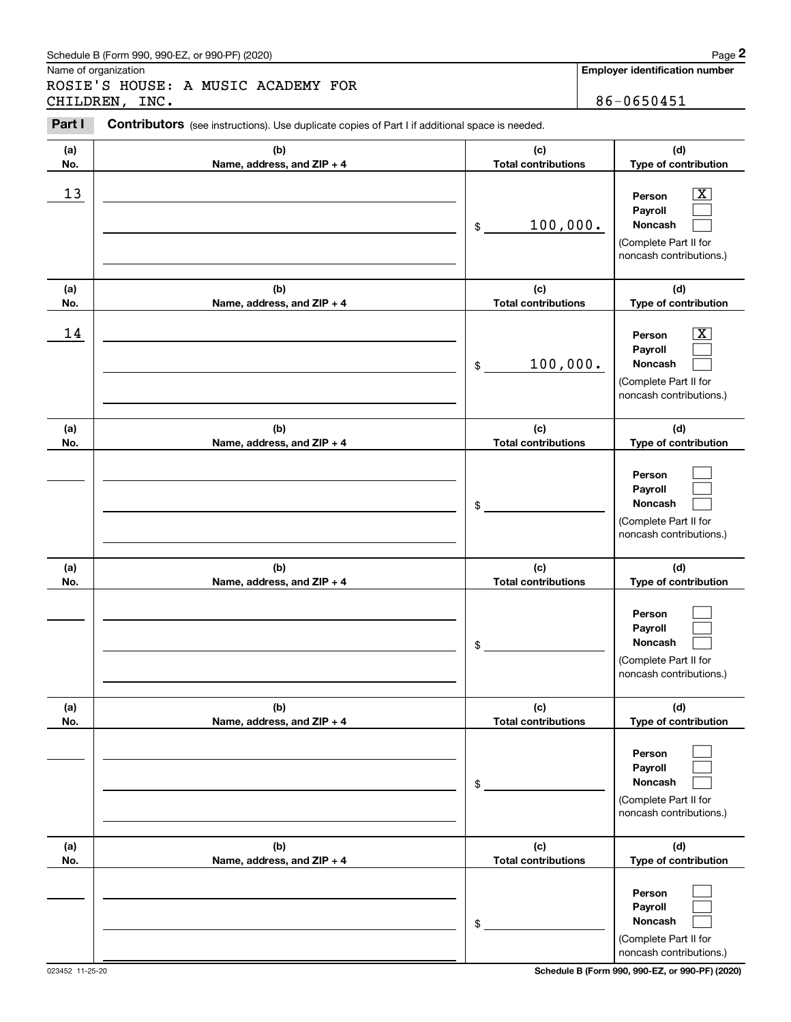### Schedule B (Form 990, 990-EZ, or 990-PF) (2020) **Page 2** Page 2 and the state of the state of the state of the state of the state of the state of the state of the state of the state of the state of the state of the state o

Name of organization

ROSIE'S HOUSE: A MUSIC ACADEMY FOR CHILDREN, INC. 86-0650451

**Employer identification number**

#### **(a)No.(b)Name, address, and ZIP + 4 (c)Total contributions (d)Type of contribution PersonPayrollNoncash (a)No.(b)Name, address, and ZIP + 4 (c)Total contributions (d)Type of contribution PersonPayrollNoncash (a)No.(b)Name, address, and ZIP + 4 (c)Total contributions (d)Type of contribution PersonPayrollNoncash (a) No.(b) Name, address, and ZIP + 4 (c) Total contributions (d) Type of contribution PersonPayrollNoncash(a) No.(b) Name, address, and ZIP + 4 (c) Total contributions (d) Type of contribution PersonPayrollNoncash (a) No.(b)Name, address, and ZIP + 4 (c) Total contributions (d) Type of contribution PersonPayrollNoncash Contributors** (see instructions). Use duplicate copies of Part I if additional space is needed. \$(Complete Part II for noncash contributions.) \$(Complete Part II for noncash contributions.) \$(Complete Part II for noncash contributions.) \$(Complete Part II for noncash contributions.) \$(Complete Part II for noncash contributions.) \$(Complete Part II for noncash contributions.) Chedule B (Form 990, 990-EZ, or 990-PF) (2020)<br> **2Page 2**<br>
2Part I **2Part I** Contributors (see instructions). Use duplicate copies of Part I if additional space is needed.<br>
2Part I **Contributors** (see instructions). Use du  $\lceil \text{X} \rceil$  $\mathcal{L}^{\text{max}}$  $\mathcal{L}^{\text{max}}$  $\boxed{\text{X}}$  $\mathcal{L}^{\text{max}}$  $\mathcal{L}^{\text{max}}$  $\mathcal{L}^{\text{max}}$  $\mathcal{L}^{\text{max}}$  $\mathcal{L}^{\text{max}}$  $\mathcal{L}^{\text{max}}$  $\mathcal{L}^{\text{max}}$  $\mathcal{L}^{\text{max}}$  $\mathcal{L}^{\text{max}}$  $\mathcal{L}^{\text{max}}$  $\mathcal{L}^{\text{max}}$  $\mathcal{L}^{\text{max}}$  $\mathcal{L}^{\text{max}}$  $\mathcal{L}^{\text{max}}$  $13$  Person X 100,000.  $14$  Person X 100,000.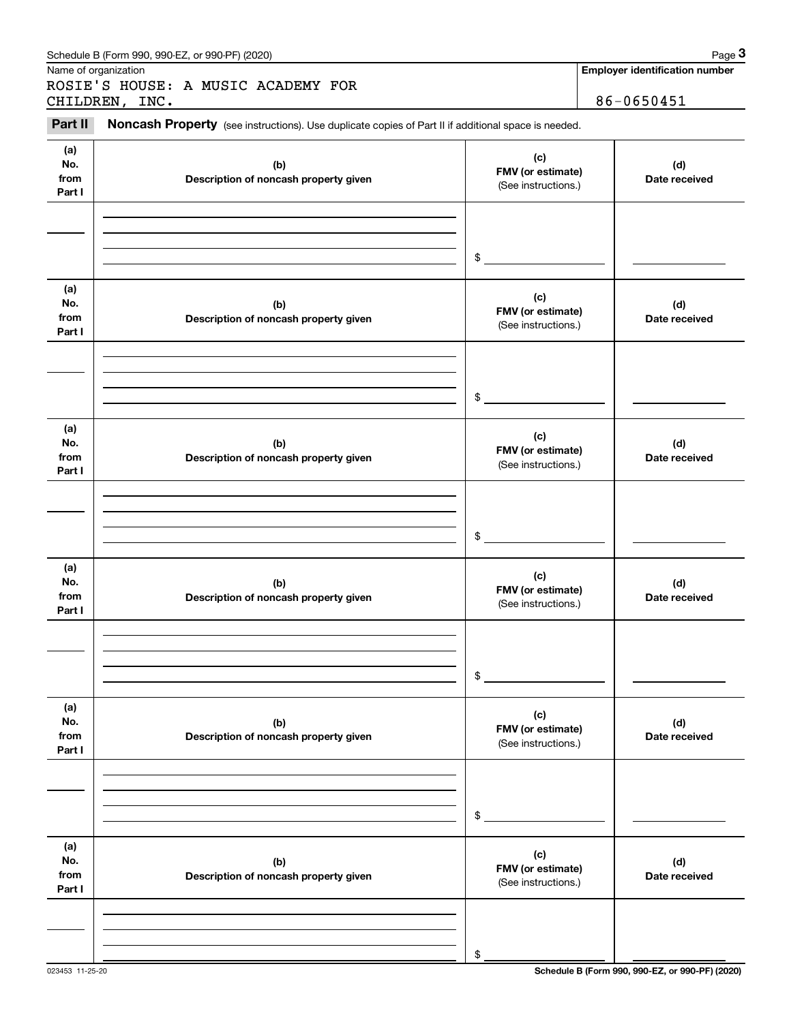|                              | Schedule B (Form 990, 990-EZ, or 990-PF) (2020)                                                     |                                                                  | Page 3                                              |
|------------------------------|-----------------------------------------------------------------------------------------------------|------------------------------------------------------------------|-----------------------------------------------------|
|                              | Name of organization<br>ROSIE'S HOUSE: A MUSIC ACADEMY FOR<br>CHILDREN, INC.                        |                                                                  | <b>Employer identification number</b><br>86-0650451 |
| Part II                      | Noncash Property (see instructions). Use duplicate copies of Part II if additional space is needed. |                                                                  |                                                     |
| (a)<br>No.<br>from<br>Part I | (b)<br>Description of noncash property given                                                        | (d)<br>FMV (or estimate)<br>Date received<br>(See instructions.) |                                                     |
|                              |                                                                                                     | \$                                                               |                                                     |
| (a)<br>No.<br>from<br>Part I | (b)<br>Description of noncash property given                                                        | (c)<br>FMV (or estimate)<br>(See instructions.)                  | (d)<br>Date received                                |
|                              |                                                                                                     | \$                                                               |                                                     |
| (a)<br>No.<br>from<br>Part I | (b)<br>Description of noncash property given                                                        | (c)<br>FMV (or estimate)<br>(See instructions.)                  | (d)<br>Date received                                |
|                              |                                                                                                     | \$                                                               |                                                     |
| (a)<br>No.<br>from<br>Part I | (b)<br>Description of noncash property given                                                        | (c)<br>FMV (or estimate)<br>(See instructions.)                  | (d)<br>Date received                                |
|                              |                                                                                                     | \$                                                               |                                                     |
| (a)<br>No.<br>from<br>Part I | (b)<br>Description of noncash property given                                                        | (c)<br>FMV (or estimate)<br>(See instructions.)                  | (d)<br>Date received                                |
|                              |                                                                                                     | \$                                                               |                                                     |
| (a)<br>No.<br>from<br>Part I | (b)<br>Description of noncash property given                                                        | (c)<br>FMV (or estimate)<br>(See instructions.)                  | (d)<br>Date received                                |
|                              |                                                                                                     | \$                                                               |                                                     |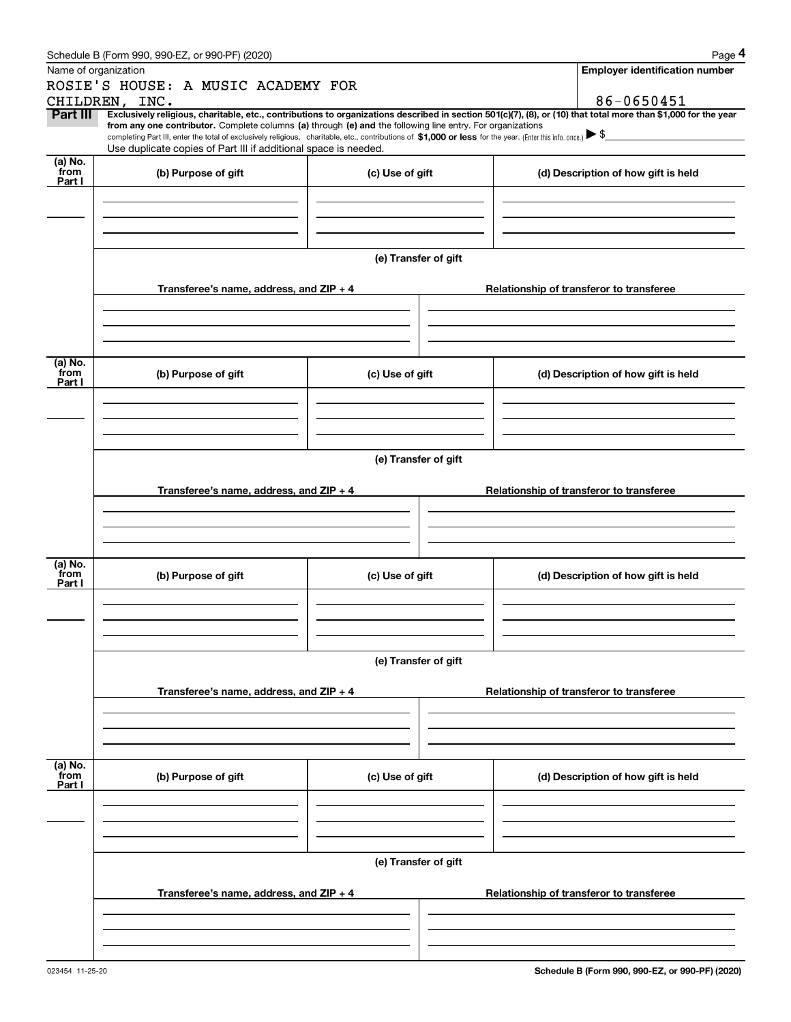|                 | Schedule B (Form 990, 990-EZ, or 990-PF) (2020)                                                                                                                                                                                                      |                      |  | Page 4                                                                                                                                                         |  |  |  |
|-----------------|------------------------------------------------------------------------------------------------------------------------------------------------------------------------------------------------------------------------------------------------------|----------------------|--|----------------------------------------------------------------------------------------------------------------------------------------------------------------|--|--|--|
|                 | Name of organization                                                                                                                                                                                                                                 |                      |  | <b>Employer identification number</b>                                                                                                                          |  |  |  |
|                 | ROSIE'S HOUSE: A MUSIC ACADEMY FOR                                                                                                                                                                                                                   |                      |  |                                                                                                                                                                |  |  |  |
|                 | CHILDREN, INC.                                                                                                                                                                                                                                       |                      |  | 86-0650451                                                                                                                                                     |  |  |  |
| Part III        | from any one contributor. Complete columns (a) through (e) and the following line entry. For organizations                                                                                                                                           |                      |  | Exclusively religious, charitable, etc., contributions to organizations described in section 501(c)(7), (8), or (10) that total more than \$1,000 for the year |  |  |  |
|                 | completing Part III, enter the total of exclusively religious, charitable, etc., contributions of \$1,000 or less for the year. (Enter this info. once.) $\blacktriangleright$ \$<br>Use duplicate copies of Part III if additional space is needed. |                      |  |                                                                                                                                                                |  |  |  |
| (a) No.         |                                                                                                                                                                                                                                                      |                      |  |                                                                                                                                                                |  |  |  |
| from<br>Part I  | (b) Purpose of gift                                                                                                                                                                                                                                  | (c) Use of gift      |  | (d) Description of how gift is held                                                                                                                            |  |  |  |
|                 |                                                                                                                                                                                                                                                      |                      |  |                                                                                                                                                                |  |  |  |
|                 |                                                                                                                                                                                                                                                      |                      |  |                                                                                                                                                                |  |  |  |
|                 |                                                                                                                                                                                                                                                      |                      |  |                                                                                                                                                                |  |  |  |
|                 |                                                                                                                                                                                                                                                      |                      |  |                                                                                                                                                                |  |  |  |
|                 |                                                                                                                                                                                                                                                      | (e) Transfer of gift |  |                                                                                                                                                                |  |  |  |
|                 |                                                                                                                                                                                                                                                      |                      |  |                                                                                                                                                                |  |  |  |
|                 | Transferee's name, address, and ZIP + 4                                                                                                                                                                                                              |                      |  | Relationship of transferor to transferee                                                                                                                       |  |  |  |
|                 |                                                                                                                                                                                                                                                      |                      |  |                                                                                                                                                                |  |  |  |
|                 |                                                                                                                                                                                                                                                      |                      |  |                                                                                                                                                                |  |  |  |
|                 |                                                                                                                                                                                                                                                      |                      |  |                                                                                                                                                                |  |  |  |
| (a) No.         |                                                                                                                                                                                                                                                      |                      |  |                                                                                                                                                                |  |  |  |
| from<br>Part I  | (b) Purpose of gift                                                                                                                                                                                                                                  | (c) Use of gift      |  | (d) Description of how gift is held                                                                                                                            |  |  |  |
|                 |                                                                                                                                                                                                                                                      |                      |  |                                                                                                                                                                |  |  |  |
|                 |                                                                                                                                                                                                                                                      |                      |  |                                                                                                                                                                |  |  |  |
|                 |                                                                                                                                                                                                                                                      |                      |  |                                                                                                                                                                |  |  |  |
|                 |                                                                                                                                                                                                                                                      |                      |  |                                                                                                                                                                |  |  |  |
|                 | (e) Transfer of gift                                                                                                                                                                                                                                 |                      |  |                                                                                                                                                                |  |  |  |
|                 |                                                                                                                                                                                                                                                      |                      |  |                                                                                                                                                                |  |  |  |
|                 | Transferee's name, address, and $ZIP + 4$                                                                                                                                                                                                            |                      |  | Relationship of transferor to transferee                                                                                                                       |  |  |  |
|                 |                                                                                                                                                                                                                                                      |                      |  |                                                                                                                                                                |  |  |  |
|                 |                                                                                                                                                                                                                                                      |                      |  |                                                                                                                                                                |  |  |  |
|                 |                                                                                                                                                                                                                                                      |                      |  |                                                                                                                                                                |  |  |  |
| (a) No.<br>from | (b) Purpose of gift                                                                                                                                                                                                                                  | (c) Use of gift      |  | (d) Description of how gift is held                                                                                                                            |  |  |  |
| Part I          |                                                                                                                                                                                                                                                      |                      |  |                                                                                                                                                                |  |  |  |
|                 |                                                                                                                                                                                                                                                      |                      |  |                                                                                                                                                                |  |  |  |
|                 |                                                                                                                                                                                                                                                      |                      |  |                                                                                                                                                                |  |  |  |
|                 |                                                                                                                                                                                                                                                      |                      |  |                                                                                                                                                                |  |  |  |
|                 | (e) Transfer of gift                                                                                                                                                                                                                                 |                      |  |                                                                                                                                                                |  |  |  |
|                 |                                                                                                                                                                                                                                                      |                      |  |                                                                                                                                                                |  |  |  |
|                 | Transferee's name, address, and $ZIP + 4$                                                                                                                                                                                                            |                      |  | Relationship of transferor to transferee                                                                                                                       |  |  |  |
|                 |                                                                                                                                                                                                                                                      |                      |  |                                                                                                                                                                |  |  |  |
|                 |                                                                                                                                                                                                                                                      |                      |  |                                                                                                                                                                |  |  |  |
|                 |                                                                                                                                                                                                                                                      |                      |  |                                                                                                                                                                |  |  |  |
| (a) No.<br>from |                                                                                                                                                                                                                                                      |                      |  |                                                                                                                                                                |  |  |  |
| Part I          | (b) Purpose of gift                                                                                                                                                                                                                                  | (c) Use of gift      |  | (d) Description of how gift is held                                                                                                                            |  |  |  |
|                 |                                                                                                                                                                                                                                                      |                      |  |                                                                                                                                                                |  |  |  |
|                 |                                                                                                                                                                                                                                                      |                      |  |                                                                                                                                                                |  |  |  |
|                 |                                                                                                                                                                                                                                                      |                      |  |                                                                                                                                                                |  |  |  |
|                 |                                                                                                                                                                                                                                                      |                      |  |                                                                                                                                                                |  |  |  |
|                 |                                                                                                                                                                                                                                                      | (e) Transfer of gift |  |                                                                                                                                                                |  |  |  |
|                 | Transferee's name, address, and $ZIP + 4$                                                                                                                                                                                                            |                      |  | Relationship of transferor to transferee                                                                                                                       |  |  |  |
|                 |                                                                                                                                                                                                                                                      |                      |  |                                                                                                                                                                |  |  |  |
|                 |                                                                                                                                                                                                                                                      |                      |  |                                                                                                                                                                |  |  |  |
|                 |                                                                                                                                                                                                                                                      |                      |  |                                                                                                                                                                |  |  |  |
|                 |                                                                                                                                                                                                                                                      |                      |  |                                                                                                                                                                |  |  |  |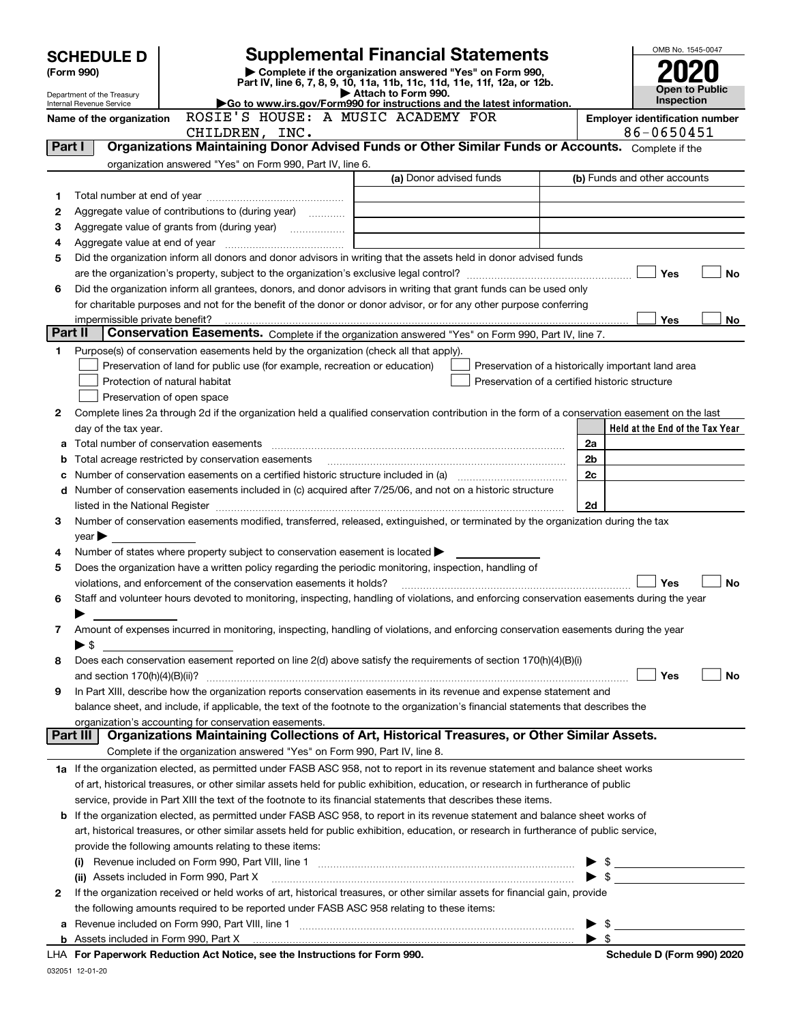|         | <b>SCHEDULE D</b>                                                      |                                                                                                        | <b>Supplemental Financial Statements</b>                                                                                                       |      | OMB No. 1545-0047                                                                                                                                                                                                                                                                                |
|---------|------------------------------------------------------------------------|--------------------------------------------------------------------------------------------------------|------------------------------------------------------------------------------------------------------------------------------------------------|------|--------------------------------------------------------------------------------------------------------------------------------------------------------------------------------------------------------------------------------------------------------------------------------------------------|
|         | Complete if the organization answered "Yes" on Form 990,<br>(Form 990) |                                                                                                        |                                                                                                                                                |      |                                                                                                                                                                                                                                                                                                  |
|         |                                                                        | Open to Public                                                                                         |                                                                                                                                                |      |                                                                                                                                                                                                                                                                                                  |
|         | Department of the Treasury<br>Internal Revenue Service                 | Inspection                                                                                             |                                                                                                                                                |      |                                                                                                                                                                                                                                                                                                  |
|         | Name of the organization                                               | <b>Employer identification number</b>                                                                  |                                                                                                                                                |      |                                                                                                                                                                                                                                                                                                  |
|         |                                                                        | CHILDREN, INC.                                                                                         |                                                                                                                                                |      | 86-0650451                                                                                                                                                                                                                                                                                       |
| Part I  |                                                                        |                                                                                                        | Organizations Maintaining Donor Advised Funds or Other Similar Funds or Accounts. Complete if the                                              |      |                                                                                                                                                                                                                                                                                                  |
|         |                                                                        | organization answered "Yes" on Form 990, Part IV, line 6.                                              |                                                                                                                                                |      |                                                                                                                                                                                                                                                                                                  |
|         |                                                                        |                                                                                                        | (a) Donor advised funds                                                                                                                        |      | (b) Funds and other accounts                                                                                                                                                                                                                                                                     |
| 1       |                                                                        |                                                                                                        |                                                                                                                                                |      |                                                                                                                                                                                                                                                                                                  |
| 2       |                                                                        | Aggregate value of contributions to (during year)                                                      |                                                                                                                                                |      |                                                                                                                                                                                                                                                                                                  |
| з       |                                                                        |                                                                                                        |                                                                                                                                                |      |                                                                                                                                                                                                                                                                                                  |
| 4       |                                                                        |                                                                                                        |                                                                                                                                                |      |                                                                                                                                                                                                                                                                                                  |
| 5       |                                                                        |                                                                                                        | Did the organization inform all donors and donor advisors in writing that the assets held in donor advised funds                               |      |                                                                                                                                                                                                                                                                                                  |
|         |                                                                        |                                                                                                        |                                                                                                                                                |      | Yes<br><b>No</b>                                                                                                                                                                                                                                                                                 |
| 6       |                                                                        |                                                                                                        | Did the organization inform all grantees, donors, and donor advisors in writing that grant funds can be used only                              |      |                                                                                                                                                                                                                                                                                                  |
|         |                                                                        |                                                                                                        | for charitable purposes and not for the benefit of the donor or donor advisor, or for any other purpose conferring                             |      |                                                                                                                                                                                                                                                                                                  |
| Part II | impermissible private benefit?                                         |                                                                                                        | Conservation Easements. Complete if the organization answered "Yes" on Form 990, Part IV, line 7.                                              |      | Yes<br>No                                                                                                                                                                                                                                                                                        |
|         |                                                                        | Purpose(s) of conservation easements held by the organization (check all that apply).                  |                                                                                                                                                |      |                                                                                                                                                                                                                                                                                                  |
| 1       |                                                                        | Preservation of land for public use (for example, recreation or education)                             | Preservation of a historically important land area                                                                                             |      |                                                                                                                                                                                                                                                                                                  |
|         |                                                                        | Protection of natural habitat                                                                          | Preservation of a certified historic structure                                                                                                 |      |                                                                                                                                                                                                                                                                                                  |
|         |                                                                        | Preservation of open space                                                                             |                                                                                                                                                |      |                                                                                                                                                                                                                                                                                                  |
| 2       |                                                                        |                                                                                                        | Complete lines 2a through 2d if the organization held a qualified conservation contribution in the form of a conservation easement on the last |      |                                                                                                                                                                                                                                                                                                  |
|         | day of the tax year.                                                   |                                                                                                        |                                                                                                                                                |      | Held at the End of the Tax Year                                                                                                                                                                                                                                                                  |
|         |                                                                        |                                                                                                        |                                                                                                                                                | 2a   |                                                                                                                                                                                                                                                                                                  |
| b       |                                                                        | Total acreage restricted by conservation easements                                                     |                                                                                                                                                | 2b   |                                                                                                                                                                                                                                                                                                  |
|         |                                                                        |                                                                                                        | Number of conservation easements on a certified historic structure included in (a) manufacture included in (a)                                 | 2c   |                                                                                                                                                                                                                                                                                                  |
|         |                                                                        |                                                                                                        | d Number of conservation easements included in (c) acquired after 7/25/06, and not on a historic structure                                     |      |                                                                                                                                                                                                                                                                                                  |
|         |                                                                        |                                                                                                        |                                                                                                                                                | 2d   |                                                                                                                                                                                                                                                                                                  |
| 3       |                                                                        |                                                                                                        | Number of conservation easements modified, transferred, released, extinguished, or terminated by the organization during the tax               |      |                                                                                                                                                                                                                                                                                                  |
|         | year                                                                   |                                                                                                        |                                                                                                                                                |      |                                                                                                                                                                                                                                                                                                  |
| 4       |                                                                        | Number of states where property subject to conservation easement is located                            |                                                                                                                                                |      |                                                                                                                                                                                                                                                                                                  |
| 5       |                                                                        | Does the organization have a written policy regarding the periodic monitoring, inspection, handling of |                                                                                                                                                |      |                                                                                                                                                                                                                                                                                                  |
|         |                                                                        | violations, and enforcement of the conservation easements it holds?                                    |                                                                                                                                                |      | <b>No</b><br>Yes                                                                                                                                                                                                                                                                                 |
| 6       |                                                                        |                                                                                                        | Staff and volunteer hours devoted to monitoring, inspecting, handling of violations, and enforcing conservation easements during the year      |      |                                                                                                                                                                                                                                                                                                  |
|         |                                                                        |                                                                                                        |                                                                                                                                                |      |                                                                                                                                                                                                                                                                                                  |
| 7       |                                                                        |                                                                                                        | Amount of expenses incurred in monitoring, inspecting, handling of violations, and enforcing conservation easements during the year            |      |                                                                                                                                                                                                                                                                                                  |
|         | ► \$                                                                   |                                                                                                        |                                                                                                                                                |      |                                                                                                                                                                                                                                                                                                  |
| 8       |                                                                        |                                                                                                        | Does each conservation easement reported on line 2(d) above satisfy the requirements of section 170(h)(4)(B)(i)                                |      |                                                                                                                                                                                                                                                                                                  |
|         |                                                                        |                                                                                                        |                                                                                                                                                |      | Yes<br>No                                                                                                                                                                                                                                                                                        |
| 9       |                                                                        |                                                                                                        | In Part XIII, describe how the organization reports conservation easements in its revenue and expense statement and                            |      |                                                                                                                                                                                                                                                                                                  |
|         |                                                                        |                                                                                                        | balance sheet, and include, if applicable, the text of the footnote to the organization's financial statements that describes the              |      |                                                                                                                                                                                                                                                                                                  |
|         |                                                                        | organization's accounting for conservation easements.                                                  | Organizations Maintaining Collections of Art, Historical Treasures, or Other Similar Assets.                                                   |      |                                                                                                                                                                                                                                                                                                  |
|         | Part III                                                               |                                                                                                        |                                                                                                                                                |      |                                                                                                                                                                                                                                                                                                  |
|         |                                                                        | Complete if the organization answered "Yes" on Form 990, Part IV, line 8.                              |                                                                                                                                                |      |                                                                                                                                                                                                                                                                                                  |
|         |                                                                        |                                                                                                        | 1a If the organization elected, as permitted under FASB ASC 958, not to report in its revenue statement and balance sheet works                |      |                                                                                                                                                                                                                                                                                                  |
|         |                                                                        |                                                                                                        | of art, historical treasures, or other similar assets held for public exhibition, education, or research in furtherance of public              |      |                                                                                                                                                                                                                                                                                                  |
|         |                                                                        |                                                                                                        | service, provide in Part XIII the text of the footnote to its financial statements that describes these items.                                 |      |                                                                                                                                                                                                                                                                                                  |
|         |                                                                        |                                                                                                        | <b>b</b> If the organization elected, as permitted under FASB ASC 958, to report in its revenue statement and balance sheet works of           |      |                                                                                                                                                                                                                                                                                                  |
|         |                                                                        |                                                                                                        | art, historical treasures, or other similar assets held for public exhibition, education, or research in furtherance of public service,        |      |                                                                                                                                                                                                                                                                                                  |
|         |                                                                        | provide the following amounts relating to these items:                                                 | (i) Revenue included on Form 990, Part VIII, line 1 [2000] [2010] Contract the included on Form 990, Part VIII, line 1                         |      |                                                                                                                                                                                                                                                                                                  |
|         |                                                                        | (ii) Assets included in Form 990, Part X                                                               |                                                                                                                                                |      | $\blacktriangleright$ \$                                                                                                                                                                                                                                                                         |
| 2       |                                                                        |                                                                                                        | If the organization received or held works of art, historical treasures, or other similar assets for financial gain, provide                   |      |                                                                                                                                                                                                                                                                                                  |
|         |                                                                        | the following amounts required to be reported under FASB ASC 958 relating to these items:              |                                                                                                                                                |      |                                                                                                                                                                                                                                                                                                  |
| а       |                                                                        |                                                                                                        |                                                                                                                                                |      | $\mathbb{S}$ and $\mathbb{S}$ and $\mathbb{S}$ and $\mathbb{S}$ and $\mathbb{S}$ and $\mathbb{S}$ and $\mathbb{S}$ and $\mathbb{S}$ and $\mathbb{S}$ and $\mathbb{S}$ and $\mathbb{S}$ and $\mathbb{S}$ and $\mathbb{S}$ and $\mathbb{S}$ and $\mathbb{S}$ and $\mathbb{S}$ and $\mathbb{S}$ and |
|         |                                                                        |                                                                                                        |                                                                                                                                                | - \$ |                                                                                                                                                                                                                                                                                                  |
|         |                                                                        | LHA For Paperwork Reduction Act Notice, see the Instructions for Form 990.                             |                                                                                                                                                |      | Schedule D (Form 990) 2020                                                                                                                                                                                                                                                                       |
|         |                                                                        |                                                                                                        |                                                                                                                                                |      |                                                                                                                                                                                                                                                                                                  |

032051 12-01-20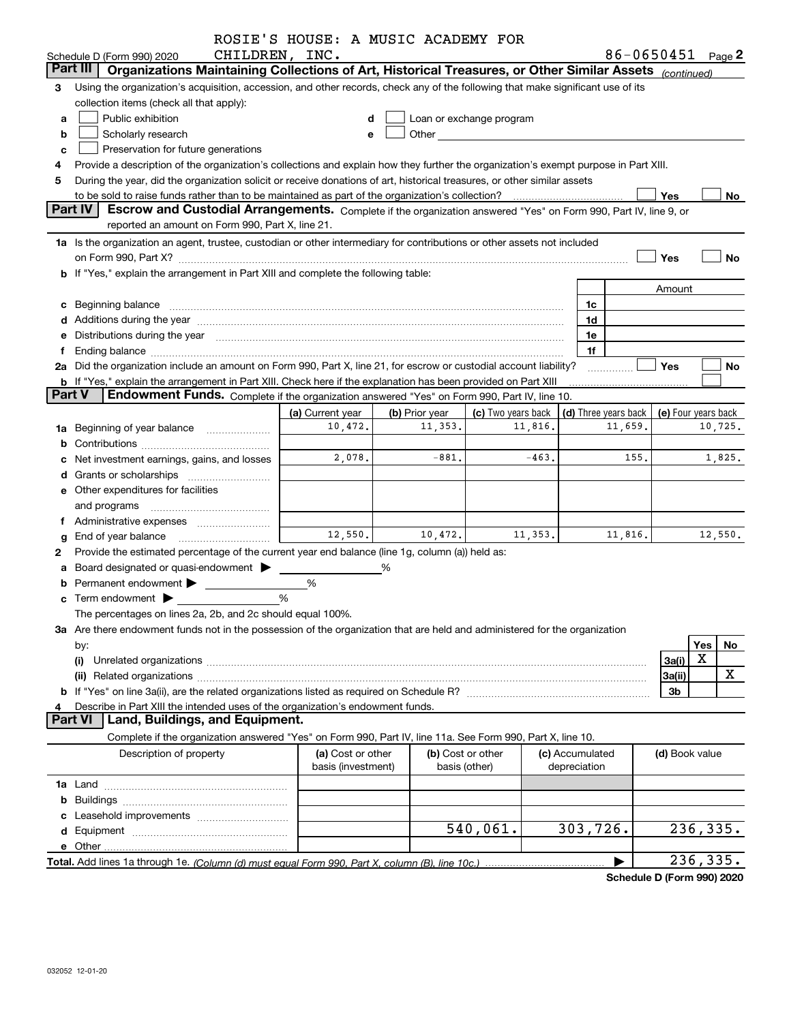|               |                                                                                                                                                                                                                                | ROSIE'S HOUSE: A MUSIC ACADEMY FOR |                |                                                                                                                                                                                                                               |                 |                                                          |                |          |         |
|---------------|--------------------------------------------------------------------------------------------------------------------------------------------------------------------------------------------------------------------------------|------------------------------------|----------------|-------------------------------------------------------------------------------------------------------------------------------------------------------------------------------------------------------------------------------|-----------------|----------------------------------------------------------|----------------|----------|---------|
|               | CHILDREN, INC.<br>Schedule D (Form 990) 2020                                                                                                                                                                                   |                                    |                |                                                                                                                                                                                                                               |                 | 86-0650451 Page 2                                        |                |          |         |
|               | Part III<br>Organizations Maintaining Collections of Art, Historical Treasures, or Other Similar Assets (continued)                                                                                                            |                                    |                |                                                                                                                                                                                                                               |                 |                                                          |                |          |         |
| 3             | Using the organization's acquisition, accession, and other records, check any of the following that make significant use of its                                                                                                |                                    |                |                                                                                                                                                                                                                               |                 |                                                          |                |          |         |
|               | collection items (check all that apply):                                                                                                                                                                                       |                                    |                |                                                                                                                                                                                                                               |                 |                                                          |                |          |         |
| a             | Public exhibition                                                                                                                                                                                                              |                                    |                | Loan or exchange program                                                                                                                                                                                                      |                 |                                                          |                |          |         |
| b             | Scholarly research                                                                                                                                                                                                             |                                    |                | Other and the contract of the contract of the contract of the contract of the contract of the contract of the contract of the contract of the contract of the contract of the contract of the contract of the contract of the |                 |                                                          |                |          |         |
| c             | Preservation for future generations                                                                                                                                                                                            |                                    |                |                                                                                                                                                                                                                               |                 |                                                          |                |          |         |
|               | Provide a description of the organization's collections and explain how they further the organization's exempt purpose in Part XIII.                                                                                           |                                    |                |                                                                                                                                                                                                                               |                 |                                                          |                |          |         |
| 5             | During the year, did the organization solicit or receive donations of art, historical treasures, or other similar assets                                                                                                       |                                    |                |                                                                                                                                                                                                                               |                 |                                                          |                |          |         |
|               | Yes<br>No                                                                                                                                                                                                                      |                                    |                |                                                                                                                                                                                                                               |                 |                                                          |                |          |         |
|               | <b>Part IV</b><br>Escrow and Custodial Arrangements. Complete if the organization answered "Yes" on Form 990, Part IV, line 9, or                                                                                              |                                    |                |                                                                                                                                                                                                                               |                 |                                                          |                |          |         |
|               | reported an amount on Form 990, Part X, line 21.                                                                                                                                                                               |                                    |                |                                                                                                                                                                                                                               |                 |                                                          |                |          |         |
|               | 1a Is the organization an agent, trustee, custodian or other intermediary for contributions or other assets not included                                                                                                       |                                    |                |                                                                                                                                                                                                                               |                 |                                                          |                |          |         |
|               | on Form 990, Part X? [11] matter contracts and contracts and contracts are contracted and contracts are contracted and contract and contract of the contract of the contract of the contract of the contract of the contract o |                                    |                |                                                                                                                                                                                                                               |                 |                                                          | Yes            |          | No      |
|               | b If "Yes," explain the arrangement in Part XIII and complete the following table:                                                                                                                                             |                                    |                |                                                                                                                                                                                                                               |                 |                                                          |                |          |         |
|               |                                                                                                                                                                                                                                |                                    |                |                                                                                                                                                                                                                               |                 |                                                          | Amount         |          |         |
|               | c Beginning balance measurements and the contract of Beginning balance measurements are all the contract of the contract of the contract of the contract of the contract of the contract of the contract of the contract of th |                                    |                |                                                                                                                                                                                                                               | 1c              |                                                          |                |          |         |
|               | d Additions during the year measurements are all an according to the year measurement of the year measurement of the state of the state of the state of the state of the state of the state of the state of the state of the s |                                    |                |                                                                                                                                                                                                                               | 1d              |                                                          |                |          |         |
|               | e Distributions during the year manufactured and continuum and contact the year manufactured and contact the year manufactured and contact the year manufactured and contact the year manufactured and contact the year manufa |                                    |                |                                                                                                                                                                                                                               | 1e              |                                                          |                |          |         |
| f             |                                                                                                                                                                                                                                |                                    |                |                                                                                                                                                                                                                               | 1f              |                                                          |                |          |         |
|               | 2a Did the organization include an amount on Form 990, Part X, line 21, for escrow or custodial account liability?                                                                                                             |                                    |                |                                                                                                                                                                                                                               |                 |                                                          | <b>Yes</b>     |          | No      |
|               | <b>b</b> If "Yes," explain the arrangement in Part XIII. Check here if the explanation has been provided on Part XIII                                                                                                          |                                    |                |                                                                                                                                                                                                                               |                 |                                                          |                |          |         |
| <b>Part V</b> | Endowment Funds. Complete if the organization answered "Yes" on Form 990, Part IV, line 10.                                                                                                                                    |                                    |                |                                                                                                                                                                                                                               |                 |                                                          |                |          |         |
|               |                                                                                                                                                                                                                                | (a) Current year                   | (b) Prior year | (c) Two years back                                                                                                                                                                                                            |                 | $\vert$ (d) Three years back $\vert$ (e) Four years back |                |          |         |
|               | 1a Beginning of year balance                                                                                                                                                                                                   | 10,472.                            | 11,353.        | 11,816.                                                                                                                                                                                                                       |                 | 11,659.                                                  |                |          | 10,725. |
| b             |                                                                                                                                                                                                                                |                                    |                |                                                                                                                                                                                                                               |                 |                                                          |                |          |         |
|               | Net investment earnings, gains, and losses                                                                                                                                                                                     | 2,078.                             | $-881.$        | $-463.$                                                                                                                                                                                                                       |                 | 155.                                                     |                |          | 1,825.  |
|               |                                                                                                                                                                                                                                |                                    |                |                                                                                                                                                                                                                               |                 |                                                          |                |          |         |
|               | e Other expenditures for facilities                                                                                                                                                                                            |                                    |                |                                                                                                                                                                                                                               |                 |                                                          |                |          |         |
|               | and programs                                                                                                                                                                                                                   |                                    |                |                                                                                                                                                                                                                               |                 |                                                          |                |          |         |
|               | f Administrative expenses <i></i>                                                                                                                                                                                              |                                    |                |                                                                                                                                                                                                                               |                 |                                                          |                |          |         |
| g             | End of year balance <i>manually contained</i>                                                                                                                                                                                  | 12,550.                            | 10,472.        | 11,353.                                                                                                                                                                                                                       |                 | 11,816.                                                  |                |          | 12,550. |
| 2             | Provide the estimated percentage of the current year end balance (line 1g, column (a)) held as:                                                                                                                                |                                    |                |                                                                                                                                                                                                                               |                 |                                                          |                |          |         |
|               | a Board designated or quasi-endowment >                                                                                                                                                                                        |                                    | %              |                                                                                                                                                                                                                               |                 |                                                          |                |          |         |
|               | Permanent endowment >                                                                                                                                                                                                          | %                                  |                |                                                                                                                                                                                                                               |                 |                                                          |                |          |         |
|               | $\mathbf c$ Term endowment $\blacktriangleright$                                                                                                                                                                               | %                                  |                |                                                                                                                                                                                                                               |                 |                                                          |                |          |         |
|               |                                                                                                                                                                                                                                |                                    |                |                                                                                                                                                                                                                               |                 |                                                          |                |          |         |
|               | The percentages on lines 2a, 2b, and 2c should equal 100%.                                                                                                                                                                     |                                    |                |                                                                                                                                                                                                                               |                 |                                                          |                |          |         |
|               | 3a Are there endowment funds not in the possession of the organization that are held and administered for the organization                                                                                                     |                                    |                |                                                                                                                                                                                                                               |                 |                                                          |                |          |         |
|               | by:                                                                                                                                                                                                                            |                                    |                |                                                                                                                                                                                                                               |                 |                                                          |                | Yes<br>X | No.     |
|               | (i)                                                                                                                                                                                                                            |                                    |                |                                                                                                                                                                                                                               |                 |                                                          | 3a(i)          |          | X       |
|               |                                                                                                                                                                                                                                |                                    |                |                                                                                                                                                                                                                               |                 |                                                          | 3a(ii)         |          |         |
|               |                                                                                                                                                                                                                                |                                    |                |                                                                                                                                                                                                                               |                 |                                                          | 3b             |          |         |
| 4             | Describe in Part XIII the intended uses of the organization's endowment funds.<br><b>Part VI</b><br>Land, Buildings, and Equipment.                                                                                            |                                    |                |                                                                                                                                                                                                                               |                 |                                                          |                |          |         |
|               |                                                                                                                                                                                                                                |                                    |                |                                                                                                                                                                                                                               |                 |                                                          |                |          |         |
|               | Complete if the organization answered "Yes" on Form 990, Part IV, line 11a. See Form 990, Part X, line 10.                                                                                                                     |                                    |                |                                                                                                                                                                                                                               |                 |                                                          |                |          |         |
|               | Description of property                                                                                                                                                                                                        | (a) Cost or other                  |                | (b) Cost or other                                                                                                                                                                                                             | (c) Accumulated |                                                          | (d) Book value |          |         |
|               |                                                                                                                                                                                                                                | basis (investment)                 | basis (other)  |                                                                                                                                                                                                                               | depreciation    |                                                          |                |          |         |
|               |                                                                                                                                                                                                                                |                                    |                |                                                                                                                                                                                                                               |                 |                                                          |                |          |         |
| b             |                                                                                                                                                                                                                                |                                    |                |                                                                                                                                                                                                                               |                 |                                                          |                |          |         |
|               |                                                                                                                                                                                                                                |                                    |                |                                                                                                                                                                                                                               |                 |                                                          |                |          |         |
|               |                                                                                                                                                                                                                                |                                    |                | 540,061.                                                                                                                                                                                                                      | 303, 726.       |                                                          | 236, 335.      |          |         |
|               |                                                                                                                                                                                                                                |                                    |                |                                                                                                                                                                                                                               |                 |                                                          |                |          |         |
|               |                                                                                                                                                                                                                                |                                    |                |                                                                                                                                                                                                                               |                 |                                                          | 236, 335.      |          |         |
|               |                                                                                                                                                                                                                                |                                    |                |                                                                                                                                                                                                                               |                 | Schedule D (Form 990) 2020                               |                |          |         |

032052 12-01-20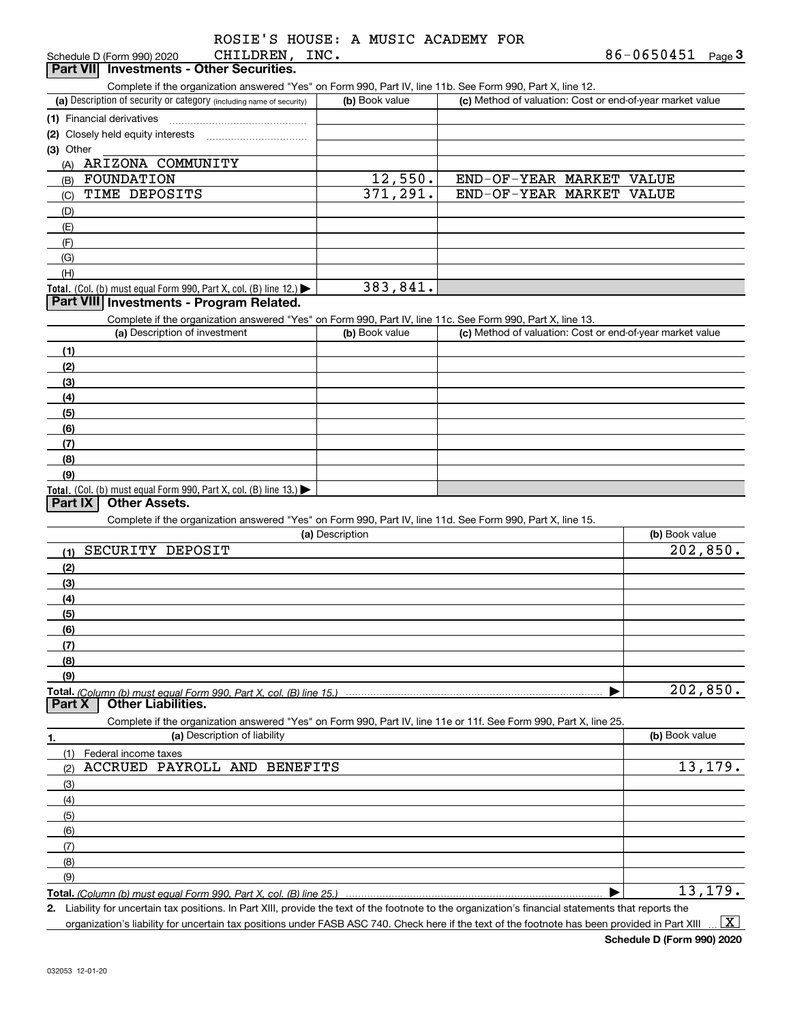|  |  | ROSIE'S HOUSE: A MUSIC ACADEMY FOR |  |
|--|--|------------------------------------|--|
|  |  |                                    |  |

| CHILDREN, INC.<br>Schedule D (Form 990) 2020                                                                      |                 |                                                           | 86-0650451<br>$Page$ <sup>3</sup> |
|-------------------------------------------------------------------------------------------------------------------|-----------------|-----------------------------------------------------------|-----------------------------------|
| Part VII Investments - Other Securities.                                                                          |                 |                                                           |                                   |
| Complete if the organization answered "Yes" on Form 990, Part IV, line 11b. See Form 990, Part X, line 12.        |                 |                                                           |                                   |
| (a) Description of security or category (including name of security)                                              | (b) Book value  | (c) Method of valuation: Cost or end-of-year market value |                                   |
| (1) Financial derivatives                                                                                         |                 |                                                           |                                   |
| (2) Closely held equity interests                                                                                 |                 |                                                           |                                   |
| (3) Other                                                                                                         |                 |                                                           |                                   |
| (A) ARIZONA COMMUNITY                                                                                             |                 |                                                           |                                   |
| FOUNDATION<br>(B)                                                                                                 | 12,550.         | END-OF-YEAR MARKET VALUE                                  |                                   |
| TIME DEPOSITS<br>(C)                                                                                              | 371, 291.       | END-OF-YEAR MARKET VALUE                                  |                                   |
| (D)                                                                                                               |                 |                                                           |                                   |
| (E)                                                                                                               |                 |                                                           |                                   |
| (F)                                                                                                               |                 |                                                           |                                   |
| (G)                                                                                                               |                 |                                                           |                                   |
|                                                                                                                   |                 |                                                           |                                   |
| (H)                                                                                                               | 383,841.        |                                                           |                                   |
| Total. (Col. (b) must equal Form 990, Part X, col. (B) line 12.)<br>Part VIII Investments - Program Related.      |                 |                                                           |                                   |
|                                                                                                                   |                 |                                                           |                                   |
| Complete if the organization answered "Yes" on Form 990, Part IV, line 11c. See Form 990, Part X, line 13.        |                 |                                                           |                                   |
| (a) Description of investment                                                                                     | (b) Book value  | (c) Method of valuation: Cost or end-of-year market value |                                   |
| (1)                                                                                                               |                 |                                                           |                                   |
| (2)                                                                                                               |                 |                                                           |                                   |
| (3)                                                                                                               |                 |                                                           |                                   |
| (4)                                                                                                               |                 |                                                           |                                   |
| (5)                                                                                                               |                 |                                                           |                                   |
| (6)                                                                                                               |                 |                                                           |                                   |
| (7)                                                                                                               |                 |                                                           |                                   |
| (8)                                                                                                               |                 |                                                           |                                   |
| (9)                                                                                                               |                 |                                                           |                                   |
| Total. (Col. (b) must equal Form 990, Part X, col. (B) line 13.)                                                  |                 |                                                           |                                   |
| Part IX<br><b>Other Assets.</b>                                                                                   |                 |                                                           |                                   |
| Complete if the organization answered "Yes" on Form 990, Part IV, line 11d. See Form 990, Part X, line 15.        |                 |                                                           |                                   |
|                                                                                                                   | (a) Description |                                                           | (b) Book value                    |
| SECURITY DEPOSIT<br>(1)                                                                                           |                 |                                                           | 202,850.                          |
| (2)                                                                                                               |                 |                                                           |                                   |
|                                                                                                                   |                 |                                                           |                                   |
| (3)                                                                                                               |                 |                                                           |                                   |
| (4)                                                                                                               |                 |                                                           |                                   |
| (5)                                                                                                               |                 |                                                           |                                   |
| (6)                                                                                                               |                 |                                                           |                                   |
| (7)                                                                                                               |                 |                                                           |                                   |
| (8)                                                                                                               |                 |                                                           |                                   |
| (9)                                                                                                               |                 |                                                           |                                   |
|                                                                                                                   |                 |                                                           | 202,850.                          |
| <b>Other Liabilities.</b><br>Part X                                                                               |                 |                                                           |                                   |
| Complete if the organization answered "Yes" on Form 990, Part IV, line 11e or 11f. See Form 990, Part X, line 25. |                 |                                                           |                                   |
| (a) Description of liability<br>1.                                                                                |                 |                                                           | (b) Book value                    |
| Federal income taxes<br>(1)                                                                                       |                 |                                                           |                                   |
| ACCRUED PAYROLL AND BENEFITS<br>(2)                                                                               |                 |                                                           | 13,179.                           |
| (3)                                                                                                               |                 |                                                           |                                   |
| (4)                                                                                                               |                 |                                                           |                                   |
| (5)                                                                                                               |                 |                                                           |                                   |
| (6)                                                                                                               |                 |                                                           |                                   |
| (7)                                                                                                               |                 |                                                           |                                   |
|                                                                                                                   |                 |                                                           |                                   |
| (8)                                                                                                               |                 |                                                           |                                   |
| (9)                                                                                                               |                 |                                                           |                                   |
| Total. (Column (b) must equal Form 990, Part X, col. (B) line 25.)                                                |                 |                                                           | 13,179.                           |

**2.** Liability for uncertain tax positions. In Part XIII, provide the text of the footnote to the organization's financial statements that reports the organization's liability for uncertain tax positions under FASB ASC 740. Check here if the text of the footnote has been provided in Part XIII  $\vert$  X  $\vert$ 

**Schedule D (Form 990) 2020**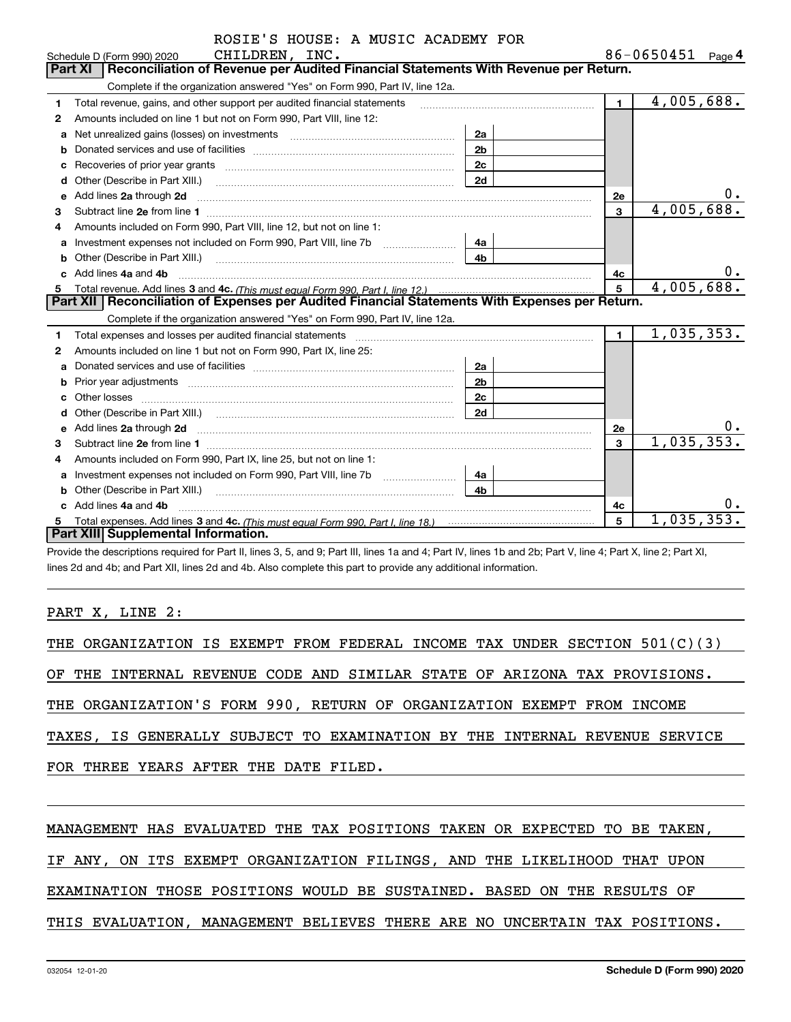|    | ROSIE'S HOUSE: A MUSIC ACADEMY FOR                                                                                                                                                                                                            |                |                |                         |
|----|-----------------------------------------------------------------------------------------------------------------------------------------------------------------------------------------------------------------------------------------------|----------------|----------------|-------------------------|
|    | CHILDREN, INC.<br>Schedule D (Form 990) 2020                                                                                                                                                                                                  |                |                | 86-0650451 $_{Page}$ 4  |
|    | Reconciliation of Revenue per Audited Financial Statements With Revenue per Return.<br><b>Part XI</b>                                                                                                                                         |                |                |                         |
|    | Complete if the organization answered "Yes" on Form 990, Part IV, line 12a.                                                                                                                                                                   |                |                |                         |
| 1  | Total revenue, gains, and other support per audited financial statements                                                                                                                                                                      |                | $\blacksquare$ | 4,005,688.              |
| 2  | Amounts included on line 1 but not on Form 990, Part VIII, line 12:                                                                                                                                                                           |                |                |                         |
| a  |                                                                                                                                                                                                                                               | 2a             |                |                         |
|    |                                                                                                                                                                                                                                               | 2 <sub>b</sub> |                |                         |
|    |                                                                                                                                                                                                                                               | 2c             |                |                         |
| d  | Other (Describe in Part XIII.) <b>COLOGIST: (2014)</b> (2014) <b>COLOGIST: (2014)</b> (2014) <b>COLOGIST: (2014)</b> (2014) (2014) (2014) (2014) (2014) (2014) (2014) (2014) (2014) (2014) (2014) (2014) (2014) (2014) (2014) (2014) (2014) ( | 2d             |                |                         |
| е  | Add lines 2a through 2d                                                                                                                                                                                                                       |                | 2е             | 0.                      |
| з  |                                                                                                                                                                                                                                               |                | 3              | 4,005,688.              |
| 4  | Amounts included on Form 990, Part VIII, line 12, but not on line 1:                                                                                                                                                                          |                |                |                         |
| a  |                                                                                                                                                                                                                                               | 4a             |                |                         |
| b  | Other (Describe in Part XIII.) <b>Construction Contract Construction</b> Chern Construction Construction Construction                                                                                                                         | 4b             |                |                         |
|    | Add lines 4a and 4b                                                                                                                                                                                                                           |                | 4с             | $0 \cdot$               |
| 5  |                                                                                                                                                                                                                                               |                | 5              | 4,005,688.              |
|    | Part XII   Reconciliation of Expenses per Audited Financial Statements With Expenses per Return.                                                                                                                                              |                |                |                         |
|    | Complete if the organization answered "Yes" on Form 990, Part IV, line 12a.                                                                                                                                                                   |                |                |                         |
| 1  |                                                                                                                                                                                                                                               |                | $\blacksquare$ | $\overline{1,035},353.$ |
| 2  | Amounts included on line 1 but not on Form 990, Part IX, line 25:                                                                                                                                                                             |                |                |                         |
| a  |                                                                                                                                                                                                                                               | 2a             |                |                         |
| b  | Prior year adjustments <i>www.www.www.www.www.www.www.www.www.</i> ww.                                                                                                                                                                        | 2 <sub>b</sub> |                |                         |
|    | Other losses                                                                                                                                                                                                                                  | 2c             |                |                         |
| d  |                                                                                                                                                                                                                                               | 2d             |                |                         |
| e  | Add lines 2a through 2d <b>contained a contained a contained a contained a</b> contained a contained a contained a contained a contained a contained a contained a contained a contained a contained a contained a contained a cont           |                | <b>2e</b>      |                         |
| 3  |                                                                                                                                                                                                                                               |                | 3              | 1,035,353.              |
| 4  | Amounts included on Form 990, Part IX, line 25, but not on line 1:                                                                                                                                                                            |                |                |                         |
| a  |                                                                                                                                                                                                                                               | 4a             |                |                         |
|    |                                                                                                                                                                                                                                               | 4 <sub>b</sub> |                |                         |
|    | Add lines 4a and 4b                                                                                                                                                                                                                           |                | 4c             |                         |
| 5. |                                                                                                                                                                                                                                               |                | 5              | 1,035,353.              |
|    | Part XIII Supplemental Information.                                                                                                                                                                                                           |                |                |                         |

Provide the descriptions required for Part II, lines 3, 5, and 9; Part III, lines 1a and 4; Part IV, lines 1b and 2b; Part V, line 4; Part X, line 2; Part XI, lines 2d and 4b; and Part XII, lines 2d and 4b. Also complete this part to provide any additional information.

## PART X, LINE 2:

|  |                                       |  |  |  |  | THE ORGANIZATION IS EXEMPT FROM FEDERAL INCOME TAX UNDER SECTION 501(C)(3) |  |                                                                            |
|--|---------------------------------------|--|--|--|--|----------------------------------------------------------------------------|--|----------------------------------------------------------------------------|
|  |                                       |  |  |  |  | OF THE INTERNAL REVENUE CODE AND SIMILAR STATE OF ARIZONA TAX PROVISIONS.  |  |                                                                            |
|  |                                       |  |  |  |  | THE ORGANIZATION'S FORM 990, RETURN OF ORGANIZATION EXEMPT FROM INCOME     |  |                                                                            |
|  |                                       |  |  |  |  |                                                                            |  | TAXES, IS GENERALLY SUBJECT TO EXAMINATION BY THE INTERNAL REVENUE SERVICE |
|  | FOR THREE YEARS AFTER THE DATE FILED. |  |  |  |  |                                                                            |  |                                                                            |
|  |                                       |  |  |  |  |                                                                            |  |                                                                            |

# MANAGEMENT HAS EVALUATED THE TAX POSITIONS TAKEN OR EXPECTED TO BE TAKEN,

IF ANY, ON ITS EXEMPT ORGANIZATION FILINGS, AND THE LIKELIHOOD THAT UPON

EXAMINATION THOSE POSITIONS WOULD BE SUSTAINED. BASED ON THE RESULTS OF

## THIS EVALUATION, MANAGEMENT BELIEVES THERE ARE NO UNCERTAIN TAX POSITIONS.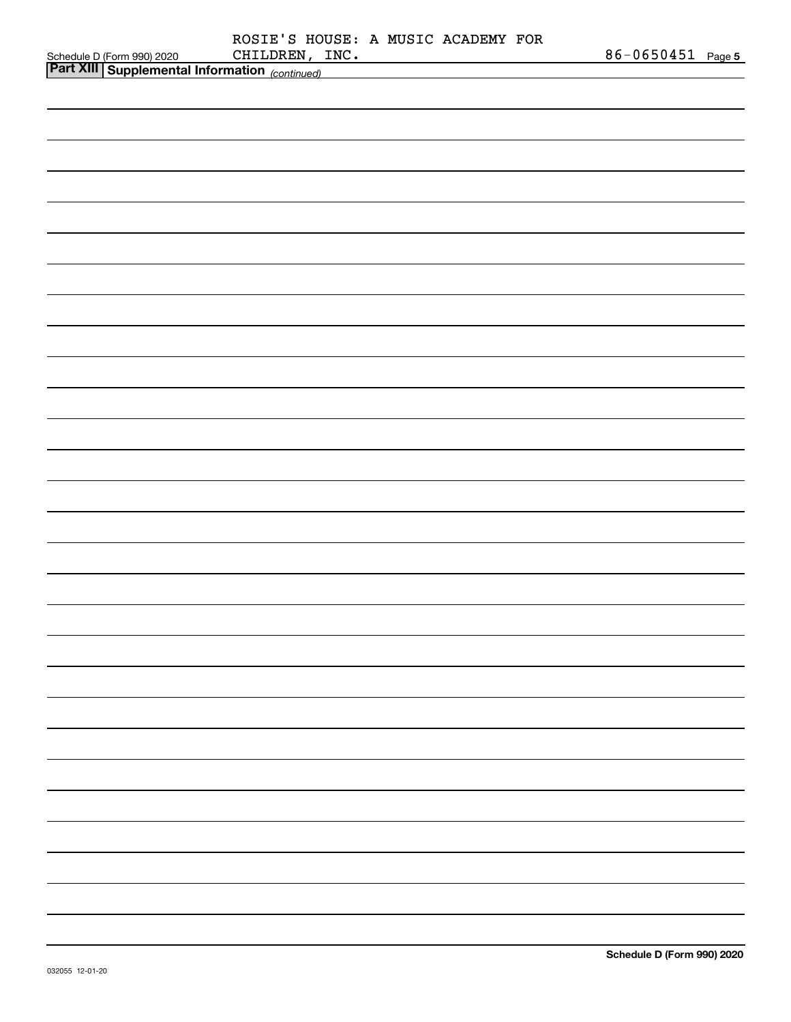|                                                                                             |                | ROSIE'S HOUSE: A MUSIC ACADEMY FOR |                   |
|---------------------------------------------------------------------------------------------|----------------|------------------------------------|-------------------|
| Schedule D (Form 990) 2020 CHILDREN, I.<br>Part XIII   Supplemental Information (continued) | CHILDREN, INC. |                                    | 86-0650451 Page 5 |
|                                                                                             |                |                                    |                   |
|                                                                                             |                |                                    |                   |
|                                                                                             |                |                                    |                   |
|                                                                                             |                |                                    |                   |
|                                                                                             |                |                                    |                   |
|                                                                                             |                |                                    |                   |
|                                                                                             |                |                                    |                   |
|                                                                                             |                |                                    |                   |
|                                                                                             |                |                                    |                   |
|                                                                                             |                |                                    |                   |
|                                                                                             |                |                                    |                   |
|                                                                                             |                |                                    |                   |
|                                                                                             |                |                                    |                   |
|                                                                                             |                |                                    |                   |
|                                                                                             |                |                                    |                   |
|                                                                                             |                |                                    |                   |
|                                                                                             |                |                                    |                   |
|                                                                                             |                |                                    |                   |
|                                                                                             |                |                                    |                   |
|                                                                                             |                |                                    |                   |
|                                                                                             |                |                                    |                   |
|                                                                                             |                |                                    |                   |
|                                                                                             |                |                                    |                   |
|                                                                                             |                |                                    |                   |
|                                                                                             |                |                                    |                   |
|                                                                                             |                |                                    |                   |
|                                                                                             |                |                                    |                   |
|                                                                                             |                |                                    |                   |
|                                                                                             |                |                                    |                   |
|                                                                                             |                |                                    |                   |
|                                                                                             |                |                                    |                   |
|                                                                                             |                |                                    |                   |
|                                                                                             |                |                                    |                   |
|                                                                                             |                |                                    |                   |
|                                                                                             |                |                                    |                   |
|                                                                                             |                |                                    |                   |
|                                                                                             |                |                                    |                   |
|                                                                                             |                |                                    |                   |
|                                                                                             |                |                                    |                   |
|                                                                                             |                |                                    |                   |
|                                                                                             |                |                                    |                   |
|                                                                                             |                |                                    |                   |
|                                                                                             |                |                                    |                   |
|                                                                                             |                |                                    |                   |
|                                                                                             |                |                                    |                   |
|                                                                                             |                |                                    |                   |
|                                                                                             |                |                                    |                   |
|                                                                                             |                |                                    |                   |
|                                                                                             |                |                                    |                   |
|                                                                                             |                |                                    |                   |
|                                                                                             |                |                                    |                   |
|                                                                                             |                |                                    |                   |
|                                                                                             |                |                                    |                   |
|                                                                                             |                |                                    |                   |
|                                                                                             |                |                                    |                   |
|                                                                                             |                |                                    |                   |
|                                                                                             |                |                                    |                   |
|                                                                                             |                |                                    |                   |
|                                                                                             |                |                                    |                   |
|                                                                                             |                |                                    |                   |
|                                                                                             |                |                                    |                   |
|                                                                                             |                |                                    |                   |
|                                                                                             |                |                                    |                   |
|                                                                                             |                |                                    |                   |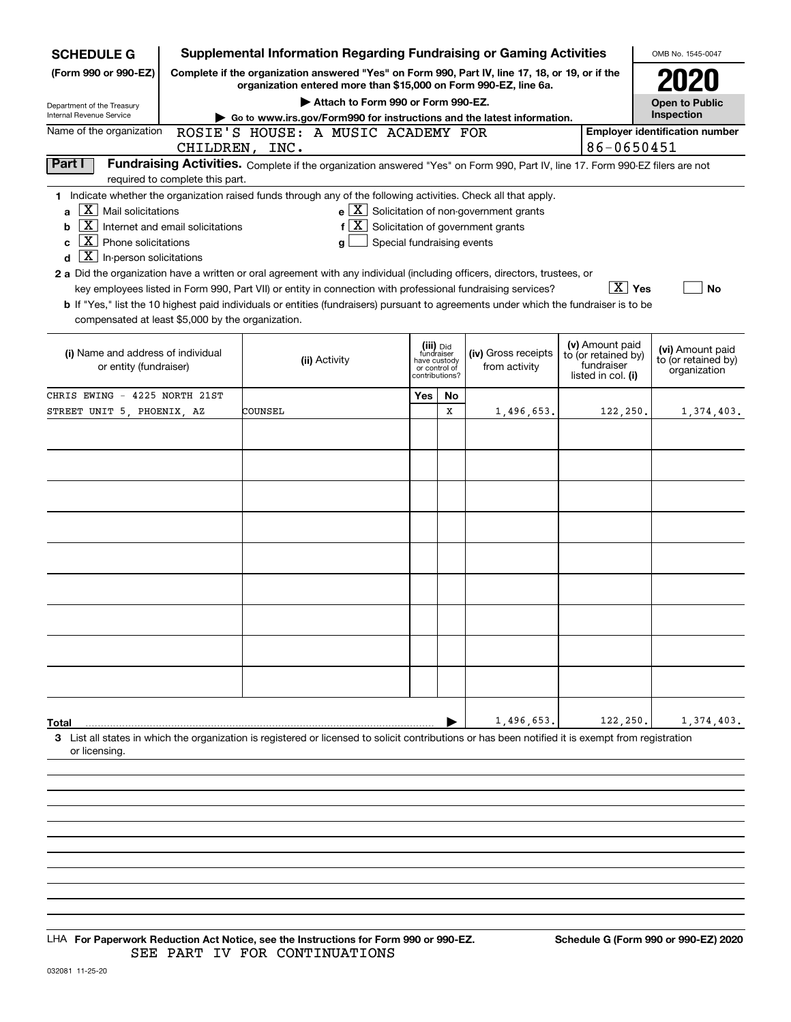| <b>SCHEDULE G</b>                                                                                                                                                                                                                                                                                                                                                                                                                                                                                                                 |                                                                                      |         |               |                                                                            |    | <b>Supplemental Information Regarding Fundraising or Gaming Activities</b>                                                                                                                                                                              |  |                                                                            | OMB No. 1545-0047                                       |
|-----------------------------------------------------------------------------------------------------------------------------------------------------------------------------------------------------------------------------------------------------------------------------------------------------------------------------------------------------------------------------------------------------------------------------------------------------------------------------------------------------------------------------------|--------------------------------------------------------------------------------------|---------|---------------|----------------------------------------------------------------------------|----|---------------------------------------------------------------------------------------------------------------------------------------------------------------------------------------------------------------------------------------------------------|--|----------------------------------------------------------------------------|---------------------------------------------------------|
| (Form 990 or 990-EZ)                                                                                                                                                                                                                                                                                                                                                                                                                                                                                                              |                                                                                      |         |               |                                                                            |    | Complete if the organization answered "Yes" on Form 990, Part IV, line 17, 18, or 19, or if the<br>organization entered more than \$15,000 on Form 990-EZ, line 6a.                                                                                     |  |                                                                            |                                                         |
| Department of the Treasury                                                                                                                                                                                                                                                                                                                                                                                                                                                                                                        | Attach to Form 990 or Form 990-EZ.<br><b>Open to Public</b>                          |         |               |                                                                            |    |                                                                                                                                                                                                                                                         |  |                                                                            |                                                         |
| Internal Revenue Service                                                                                                                                                                                                                                                                                                                                                                                                                                                                                                          | Inspection<br>Go to www.irs.gov/Form990 for instructions and the latest information. |         |               |                                                                            |    |                                                                                                                                                                                                                                                         |  |                                                                            |                                                         |
| Name of the organization<br><b>Employer identification number</b><br>ROSIE'S HOUSE: A MUSIC ACADEMY FOR                                                                                                                                                                                                                                                                                                                                                                                                                           |                                                                                      |         |               |                                                                            |    |                                                                                                                                                                                                                                                         |  |                                                                            |                                                         |
|                                                                                                                                                                                                                                                                                                                                                                                                                                                                                                                                   | CHILDREN, INC.                                                                       |         |               |                                                                            |    |                                                                                                                                                                                                                                                         |  | 86-0650451                                                                 |                                                         |
| Part I                                                                                                                                                                                                                                                                                                                                                                                                                                                                                                                            | required to complete this part.                                                      |         |               |                                                                            |    | Fundraising Activities. Complete if the organization answered "Yes" on Form 990, Part IV, line 17. Form 990-EZ filers are not                                                                                                                           |  |                                                                            |                                                         |
| 1 Indicate whether the organization raised funds through any of the following activities. Check all that apply.<br>$\overline{X}$ Mail solicitations<br>$X \mid$<br>b<br>$\mathbf{X}$ Phone solicitations<br>C<br>$X \mid$<br>In-person solicitations<br>d<br>2 a Did the organization have a written or oral agreement with any individual (including officers, directors, trustees, or<br>b If "Yes," list the 10 highest paid individuals or entities (fundraisers) pursuant to agreements under which the fundraiser is to be | Internet and email solicitations                                                     |         | g             | Special fundraising events                                                 |    | $\mathbf{e}$ $\boxed{\mathbf{X}}$ Solicitation of non-government grants<br>$f\left[\frac{X}{X}\right]$ Solicitation of government grants<br>key employees listed in Form 990, Part VII) or entity in connection with professional fundraising services? |  | $\boxed{\text{X}}$ Yes                                                     | No                                                      |
| compensated at least \$5,000 by the organization.<br>(i) Name and address of individual<br>or entity (fundraiser)                                                                                                                                                                                                                                                                                                                                                                                                                 |                                                                                      |         | (ii) Activity | (iii) Did<br>fundraiser<br>have custody<br>or control of<br>contributions? |    | (iv) Gross receipts<br>from activity                                                                                                                                                                                                                    |  | (v) Amount paid<br>to (or retained by)<br>fundraiser<br>listed in col. (i) | (vi) Amount paid<br>to (or retained by)<br>organization |
| CHRIS EWING - 4225 NORTH 21ST                                                                                                                                                                                                                                                                                                                                                                                                                                                                                                     |                                                                                      |         |               | Yes                                                                        | No |                                                                                                                                                                                                                                                         |  |                                                                            |                                                         |
| STREET UNIT 5, PHOENIX, AZ                                                                                                                                                                                                                                                                                                                                                                                                                                                                                                        |                                                                                      | COUNSEL |               |                                                                            | X  | 1,496,653.                                                                                                                                                                                                                                              |  | 122,250.                                                                   | 1,374,403.                                              |
|                                                                                                                                                                                                                                                                                                                                                                                                                                                                                                                                   |                                                                                      |         |               |                                                                            |    |                                                                                                                                                                                                                                                         |  |                                                                            |                                                         |
| <b>Total</b><br>3 List all states in which the organization is registered or licensed to solicit contributions or has been notified it is exempt from registration                                                                                                                                                                                                                                                                                                                                                                |                                                                                      |         |               |                                                                            |    | 1,496,653.                                                                                                                                                                                                                                              |  | 122,250.                                                                   | 1,374,403.                                              |
| or licensing.                                                                                                                                                                                                                                                                                                                                                                                                                                                                                                                     |                                                                                      |         |               |                                                                            |    |                                                                                                                                                                                                                                                         |  |                                                                            |                                                         |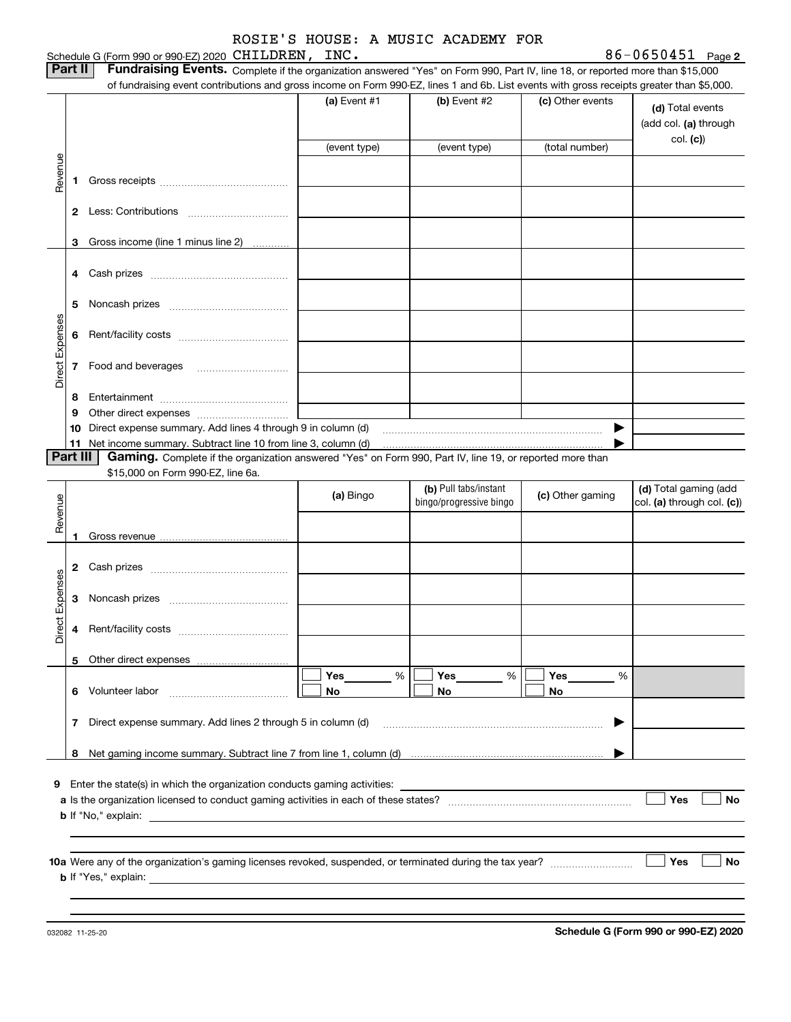Schedule G (Form 990 or 990-EZ) 2020 <code>CHILDREN</code> , <code>INC</code> . The contraction of the contraction of  $86-0650451$  Page

**2** CHILDREN, INC. 86-0650451

| Part II   Fundraising Events. Complete if the organization answered "Yes" on Form 990, Part IV, line 18, or reported more than \$15,000   |
|-------------------------------------------------------------------------------------------------------------------------------------------|
| of fundraising event contributions and gross income on Form 990-EZ, lines 1 and 6b. List events with gross receipts greater than \$5,000. |

| (a) Event $#1$<br>$(b)$ Event #2<br>(c) Other events<br>(d) Total events<br>(add col. (a) through<br>(total number)<br>(event type)<br>(event type)<br>Revenue<br>1.<br>Gross income (line 1 minus line 2)<br>3<br>5<br>Direct Expenses<br>7 Food and beverages<br>8<br>the contract of the contract of<br>9<br>10 Direct expense summary. Add lines 4 through 9 in column (d)<br>Part III<br>Gaming. Complete if the organization answered "Yes" on Form 990, Part IV, line 19, or reported more than<br>\$15,000 on Form 990-EZ, line 6a.<br>(b) Pull tabs/instant<br>(d) Total gaming (add<br>(a) Bingo<br>(c) Other gaming<br>Revenue<br>bingo/progressive bingo<br>col. (a) through col. (c))<br>Direct Expenses<br>Yes<br>Yes<br>%<br>%<br>Yes<br>%<br>Volunteer labor<br>No<br>No<br>No<br>6<br>Direct expense summary. Add lines 2 through 5 in column (d)<br>7 |
|-------------------------------------------------------------------------------------------------------------------------------------------------------------------------------------------------------------------------------------------------------------------------------------------------------------------------------------------------------------------------------------------------------------------------------------------------------------------------------------------------------------------------------------------------------------------------------------------------------------------------------------------------------------------------------------------------------------------------------------------------------------------------------------------------------------------------------------------------------------------------|
|                                                                                                                                                                                                                                                                                                                                                                                                                                                                                                                                                                                                                                                                                                                                                                                                                                                                         |
|                                                                                                                                                                                                                                                                                                                                                                                                                                                                                                                                                                                                                                                                                                                                                                                                                                                                         |
|                                                                                                                                                                                                                                                                                                                                                                                                                                                                                                                                                                                                                                                                                                                                                                                                                                                                         |
|                                                                                                                                                                                                                                                                                                                                                                                                                                                                                                                                                                                                                                                                                                                                                                                                                                                                         |
|                                                                                                                                                                                                                                                                                                                                                                                                                                                                                                                                                                                                                                                                                                                                                                                                                                                                         |
|                                                                                                                                                                                                                                                                                                                                                                                                                                                                                                                                                                                                                                                                                                                                                                                                                                                                         |
|                                                                                                                                                                                                                                                                                                                                                                                                                                                                                                                                                                                                                                                                                                                                                                                                                                                                         |
|                                                                                                                                                                                                                                                                                                                                                                                                                                                                                                                                                                                                                                                                                                                                                                                                                                                                         |
|                                                                                                                                                                                                                                                                                                                                                                                                                                                                                                                                                                                                                                                                                                                                                                                                                                                                         |
|                                                                                                                                                                                                                                                                                                                                                                                                                                                                                                                                                                                                                                                                                                                                                                                                                                                                         |
|                                                                                                                                                                                                                                                                                                                                                                                                                                                                                                                                                                                                                                                                                                                                                                                                                                                                         |
|                                                                                                                                                                                                                                                                                                                                                                                                                                                                                                                                                                                                                                                                                                                                                                                                                                                                         |
|                                                                                                                                                                                                                                                                                                                                                                                                                                                                                                                                                                                                                                                                                                                                                                                                                                                                         |
|                                                                                                                                                                                                                                                                                                                                                                                                                                                                                                                                                                                                                                                                                                                                                                                                                                                                         |
|                                                                                                                                                                                                                                                                                                                                                                                                                                                                                                                                                                                                                                                                                                                                                                                                                                                                         |
|                                                                                                                                                                                                                                                                                                                                                                                                                                                                                                                                                                                                                                                                                                                                                                                                                                                                         |
|                                                                                                                                                                                                                                                                                                                                                                                                                                                                                                                                                                                                                                                                                                                                                                                                                                                                         |
|                                                                                                                                                                                                                                                                                                                                                                                                                                                                                                                                                                                                                                                                                                                                                                                                                                                                         |
|                                                                                                                                                                                                                                                                                                                                                                                                                                                                                                                                                                                                                                                                                                                                                                                                                                                                         |
|                                                                                                                                                                                                                                                                                                                                                                                                                                                                                                                                                                                                                                                                                                                                                                                                                                                                         |
|                                                                                                                                                                                                                                                                                                                                                                                                                                                                                                                                                                                                                                                                                                                                                                                                                                                                         |
|                                                                                                                                                                                                                                                                                                                                                                                                                                                                                                                                                                                                                                                                                                                                                                                                                                                                         |
|                                                                                                                                                                                                                                                                                                                                                                                                                                                                                                                                                                                                                                                                                                                                                                                                                                                                         |
|                                                                                                                                                                                                                                                                                                                                                                                                                                                                                                                                                                                                                                                                                                                                                                                                                                                                         |
|                                                                                                                                                                                                                                                                                                                                                                                                                                                                                                                                                                                                                                                                                                                                                                                                                                                                         |
|                                                                                                                                                                                                                                                                                                                                                                                                                                                                                                                                                                                                                                                                                                                                                                                                                                                                         |
|                                                                                                                                                                                                                                                                                                                                                                                                                                                                                                                                                                                                                                                                                                                                                                                                                                                                         |
|                                                                                                                                                                                                                                                                                                                                                                                                                                                                                                                                                                                                                                                                                                                                                                                                                                                                         |
|                                                                                                                                                                                                                                                                                                                                                                                                                                                                                                                                                                                                                                                                                                                                                                                                                                                                         |
|                                                                                                                                                                                                                                                                                                                                                                                                                                                                                                                                                                                                                                                                                                                                                                                                                                                                         |
|                                                                                                                                                                                                                                                                                                                                                                                                                                                                                                                                                                                                                                                                                                                                                                                                                                                                         |
|                                                                                                                                                                                                                                                                                                                                                                                                                                                                                                                                                                                                                                                                                                                                                                                                                                                                         |
|                                                                                                                                                                                                                                                                                                                                                                                                                                                                                                                                                                                                                                                                                                                                                                                                                                                                         |
|                                                                                                                                                                                                                                                                                                                                                                                                                                                                                                                                                                                                                                                                                                                                                                                                                                                                         |
|                                                                                                                                                                                                                                                                                                                                                                                                                                                                                                                                                                                                                                                                                                                                                                                                                                                                         |
|                                                                                                                                                                                                                                                                                                                                                                                                                                                                                                                                                                                                                                                                                                                                                                                                                                                                         |
| 8                                                                                                                                                                                                                                                                                                                                                                                                                                                                                                                                                                                                                                                                                                                                                                                                                                                                       |
| <b>9</b> Enter the state(s) in which the organization conducts gaming activities:                                                                                                                                                                                                                                                                                                                                                                                                                                                                                                                                                                                                                                                                                                                                                                                       |
|                                                                                                                                                                                                                                                                                                                                                                                                                                                                                                                                                                                                                                                                                                                                                                                                                                                                         |
|                                                                                                                                                                                                                                                                                                                                                                                                                                                                                                                                                                                                                                                                                                                                                                                                                                                                         |
| <b>b</b> If "No," explain:                                                                                                                                                                                                                                                                                                                                                                                                                                                                                                                                                                                                                                                                                                                                                                                                                                              |
|                                                                                                                                                                                                                                                                                                                                                                                                                                                                                                                                                                                                                                                                                                                                                                                                                                                                         |
|                                                                                                                                                                                                                                                                                                                                                                                                                                                                                                                                                                                                                                                                                                                                                                                                                                                                         |
|                                                                                                                                                                                                                                                                                                                                                                                                                                                                                                                                                                                                                                                                                                                                                                                                                                                                         |
| <b>b</b> If "Yes," explain:                                                                                                                                                                                                                                                                                                                                                                                                                                                                                                                                                                                                                                                                                                                                                                                                                                             |

**Schedule G (Form 990 or 990-EZ) 2020**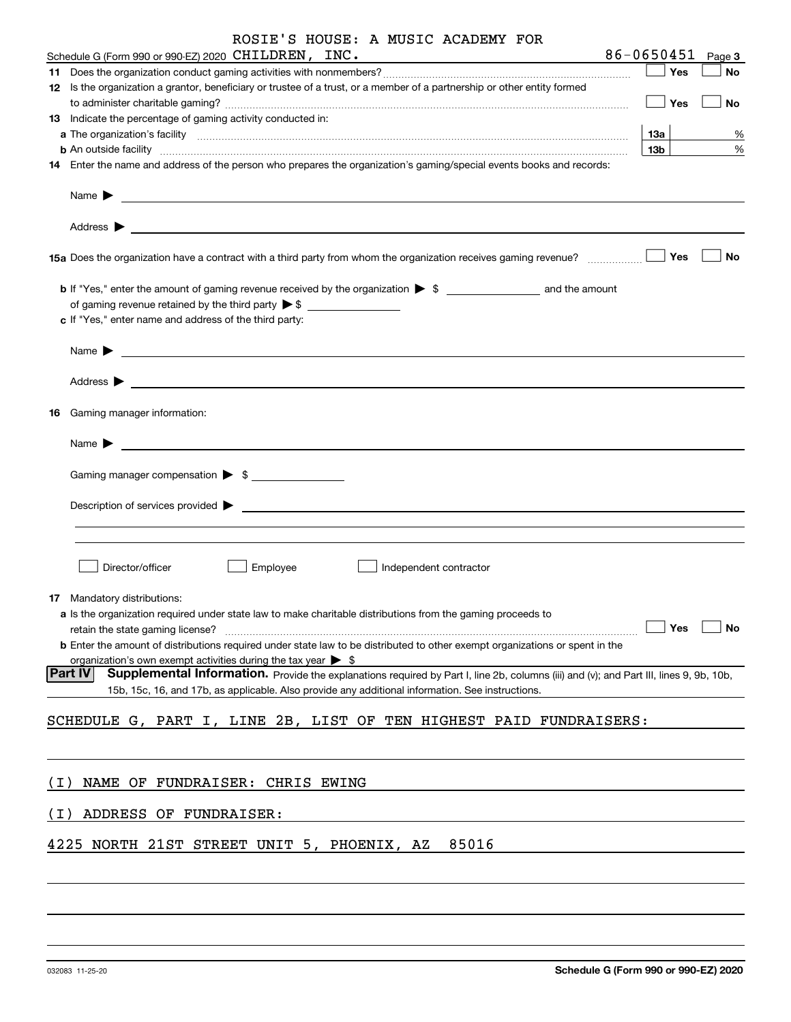|       | ROSIE'S HOUSE: A MUSIC ACADEMY FOR                                                                                                                                                                                                                                                                                                                    |                 |        |
|-------|-------------------------------------------------------------------------------------------------------------------------------------------------------------------------------------------------------------------------------------------------------------------------------------------------------------------------------------------------------|-----------------|--------|
|       | Schedule G (Form 990 or 990-EZ) 2020 CHILDREN, INC.                                                                                                                                                                                                                                                                                                   | 86-0650451      | Page 3 |
|       |                                                                                                                                                                                                                                                                                                                                                       | Yes             | No     |
|       | 12 Is the organization a grantor, beneficiary or trustee of a trust, or a member of a partnership or other entity formed                                                                                                                                                                                                                              | Yes             | No     |
|       | 13 Indicate the percentage of gaming activity conducted in:                                                                                                                                                                                                                                                                                           |                 |        |
|       |                                                                                                                                                                                                                                                                                                                                                       | 1За             | %      |
|       | <b>b</b> An outside facility <b>contained a contract and a contract of the contract of the contract of the contract of the contract of the contract of the contract of the contract of the contract of the contract of the contract o</b>                                                                                                             | 13 <sub>b</sub> | %      |
|       | 14 Enter the name and address of the person who prepares the organization's gaming/special events books and records:<br>Name > 2008 - 2009 - 2009 - 2009 - 2009 - 2009 - 2009 - 2009 - 2009 - 2009 - 2009 - 2009 - 2009 - 2009 - 2009 - 2009 - 2009 - 2009 - 2009 - 2009 - 2009 - 2009 - 2009 - 2009 - 2009 - 2009 - 2009 - 2009 - 2009 - 2009 - 2009 |                 |        |
|       |                                                                                                                                                                                                                                                                                                                                                       |                 |        |
|       | 15a Does the organization have a contract with a third party from whom the organization receives gaming revenue?                                                                                                                                                                                                                                      | Yes             | No     |
|       | <b>b</b> If "Yes," enter the amount of gaming revenue received by the organization $\triangleright$ \$ and the amount                                                                                                                                                                                                                                 |                 |        |
|       | of gaming revenue retained by the third party $\triangleright$ \$                                                                                                                                                                                                                                                                                     |                 |        |
|       | c If "Yes," enter name and address of the third party:                                                                                                                                                                                                                                                                                                |                 |        |
|       | <u> 1980 - Jan Sterling av den større og større og større og større og større og større og større og s</u><br>Name $\blacktriangleright$                                                                                                                                                                                                              |                 |        |
|       | Address $\begin{array}{c} \begin{array}{ccc} \text{\textcolor{blue}{\large\textbf{}}}\end{array} \end{array}$                                                                                                                                                                                                                                         |                 |        |
|       |                                                                                                                                                                                                                                                                                                                                                       |                 |        |
|       | <b>16</b> Gaming manager information:                                                                                                                                                                                                                                                                                                                 |                 |        |
|       | <u> 1989 - Andrea Stadt Britain, amerikansk politiker (</u><br>Name $\blacktriangleright$                                                                                                                                                                                                                                                             |                 |        |
|       | Gaming manager compensation > \$                                                                                                                                                                                                                                                                                                                      |                 |        |
|       | $\blacksquare$ Description of services provided $\blacktriangleright$                                                                                                                                                                                                                                                                                 |                 |        |
|       |                                                                                                                                                                                                                                                                                                                                                       |                 |        |
|       | Director/officer<br>Employee<br>Independent contractor                                                                                                                                                                                                                                                                                                |                 |        |
|       |                                                                                                                                                                                                                                                                                                                                                       |                 |        |
|       | <b>17</b> Mandatory distributions:<br>a Is the organization required under state law to make charitable distributions from the gaming proceeds to                                                                                                                                                                                                     |                 |        |
|       | retain the state gaming license?                                                                                                                                                                                                                                                                                                                      | Yes             | No     |
|       | <b>b</b> Enter the amount of distributions required under state law to be distributed to other exempt organizations or spent in the                                                                                                                                                                                                                   |                 |        |
|       | organization's own exempt activities during the tax year $\triangleright$ \$                                                                                                                                                                                                                                                                          |                 |        |
|       | <b>Part IV</b><br>Supplemental Information. Provide the explanations required by Part I, line 2b, columns (iii) and (v); and Part III, lines 9, 9b, 10b,<br>15b, 15c, 16, and 17b, as applicable. Also provide any additional information. See instructions.                                                                                          |                 |        |
|       | SCHEDULE G, PART I, LINE 2B, LIST OF TEN HIGHEST PAID FUNDRAISERS:                                                                                                                                                                                                                                                                                    |                 |        |
|       |                                                                                                                                                                                                                                                                                                                                                       |                 |        |
| ( I ) | NAME OF FUNDRAISER: CHRIS EWING                                                                                                                                                                                                                                                                                                                       |                 |        |
|       |                                                                                                                                                                                                                                                                                                                                                       |                 |        |
| (I)   | ADDRESS OF FUNDRAISER:                                                                                                                                                                                                                                                                                                                                |                 |        |
|       | 85016<br>4225<br>NORTH 21ST STREET UNIT 5, PHOENIX, AZ                                                                                                                                                                                                                                                                                                |                 |        |
|       |                                                                                                                                                                                                                                                                                                                                                       |                 |        |
|       |                                                                                                                                                                                                                                                                                                                                                       |                 |        |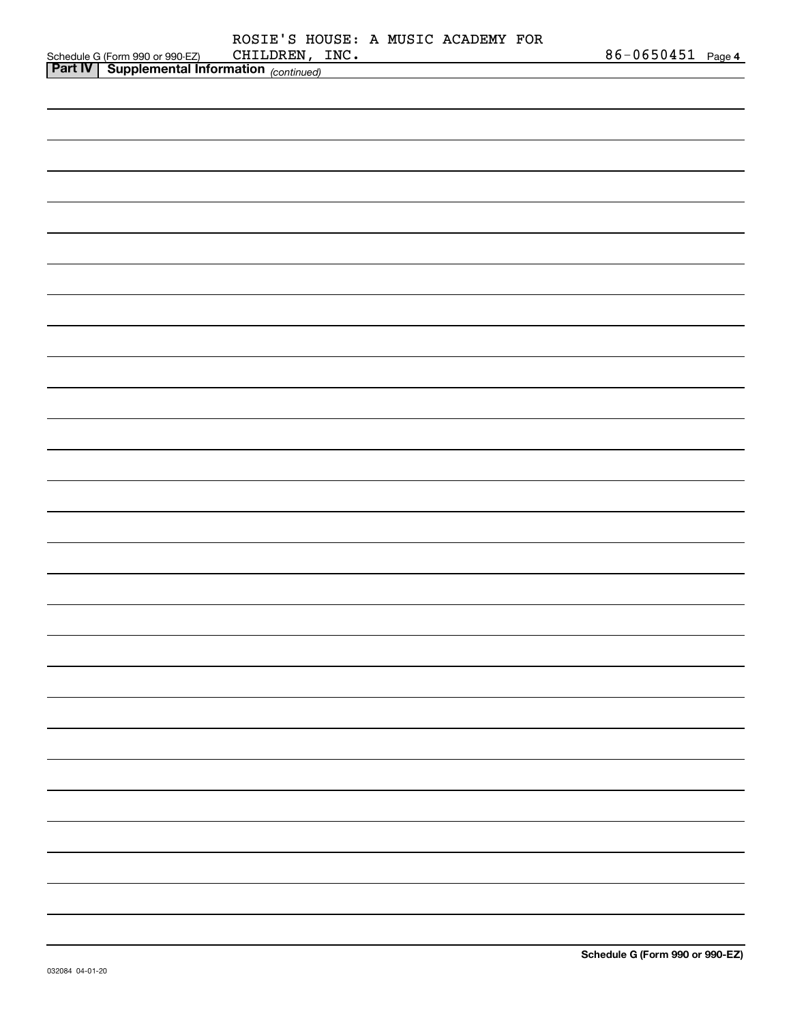|                                           |                |  | ROSIE'S HOUSE: A MUSIC ACADEMY FOR | 86-0650451 Page 4 |  |
|-------------------------------------------|----------------|--|------------------------------------|-------------------|--|
| Schedule G (Form 990 or 990-EZ) CHILDREN, | CHILDREN, INC. |  |                                    |                   |  |
|                                           |                |  |                                    |                   |  |
|                                           |                |  |                                    |                   |  |
|                                           |                |  |                                    |                   |  |
|                                           |                |  |                                    |                   |  |
|                                           |                |  |                                    |                   |  |
|                                           |                |  |                                    |                   |  |
|                                           |                |  |                                    |                   |  |
|                                           |                |  |                                    |                   |  |
|                                           |                |  |                                    |                   |  |
|                                           |                |  |                                    |                   |  |
|                                           |                |  |                                    |                   |  |
|                                           |                |  |                                    |                   |  |
|                                           |                |  |                                    |                   |  |
|                                           |                |  |                                    |                   |  |
|                                           |                |  |                                    |                   |  |
|                                           |                |  |                                    |                   |  |
|                                           |                |  |                                    |                   |  |
|                                           |                |  |                                    |                   |  |
|                                           |                |  |                                    |                   |  |
|                                           |                |  |                                    |                   |  |
|                                           |                |  |                                    |                   |  |
|                                           |                |  |                                    |                   |  |
|                                           |                |  |                                    |                   |  |
|                                           |                |  |                                    |                   |  |
|                                           |                |  |                                    |                   |  |
|                                           |                |  |                                    |                   |  |
|                                           |                |  |                                    |                   |  |
|                                           |                |  |                                    |                   |  |
|                                           |                |  |                                    |                   |  |
|                                           |                |  |                                    |                   |  |
|                                           |                |  |                                    |                   |  |
|                                           |                |  |                                    |                   |  |
|                                           |                |  |                                    |                   |  |
|                                           |                |  |                                    |                   |  |
|                                           |                |  |                                    |                   |  |
|                                           |                |  |                                    |                   |  |
|                                           |                |  |                                    |                   |  |
|                                           |                |  |                                    |                   |  |
|                                           |                |  |                                    |                   |  |
|                                           |                |  |                                    |                   |  |
|                                           |                |  |                                    |                   |  |
|                                           |                |  |                                    |                   |  |
|                                           |                |  |                                    |                   |  |
|                                           |                |  |                                    |                   |  |
|                                           |                |  |                                    |                   |  |
|                                           |                |  |                                    |                   |  |
|                                           |                |  |                                    |                   |  |
|                                           |                |  |                                    |                   |  |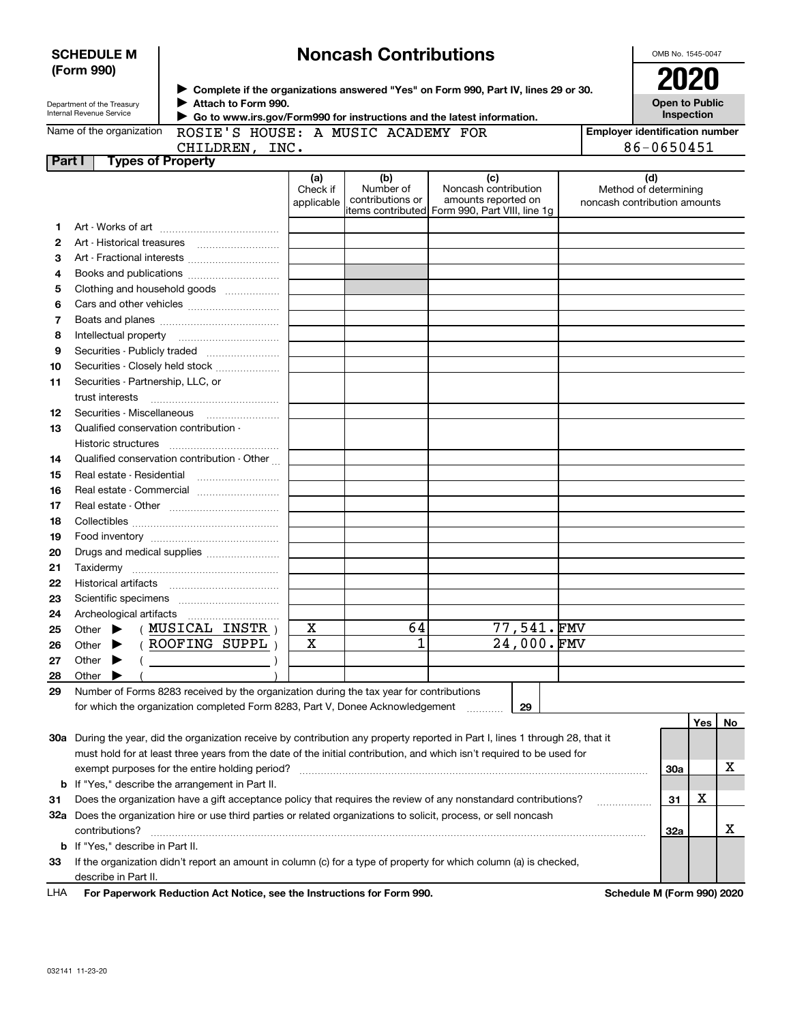|        | (Form 990)<br>2020                                           |                                                                                                                                |                               |                                      |                                                                                                                                                                |  |                                                              |     |    |
|--------|--------------------------------------------------------------|--------------------------------------------------------------------------------------------------------------------------------|-------------------------------|--------------------------------------|----------------------------------------------------------------------------------------------------------------------------------------------------------------|--|--------------------------------------------------------------|-----|----|
|        | Department of the Treasury<br>Internal Revenue Service       | Attach to Form 990.                                                                                                            |                               |                                      | ► Complete if the organizations answered "Yes" on Form 990, Part IV, lines 29 or 30.<br>Go to www.irs.gov/Form990 for instructions and the latest information. |  | <b>Open to Public</b><br>Inspection                          |     |    |
|        | Name of the organization                                     | ROSIE'S HOUSE: A MUSIC ACADEMY FOR                                                                                             |                               |                                      |                                                                                                                                                                |  | <b>Employer identification number</b>                        |     |    |
|        |                                                              | CHILDREN, INC.                                                                                                                 |                               |                                      |                                                                                                                                                                |  | 86-0650451                                                   |     |    |
| Part I |                                                              | <b>Types of Property</b>                                                                                                       |                               |                                      |                                                                                                                                                                |  |                                                              |     |    |
|        |                                                              |                                                                                                                                | (a)<br>Check if<br>applicable | (b)<br>Number of<br>contributions or | (c)<br>Noncash contribution<br>amounts reported on<br>items contributed Form 990, Part VIII, line 1g                                                           |  | (d)<br>Method of determining<br>noncash contribution amounts |     |    |
| 1      |                                                              |                                                                                                                                |                               |                                      |                                                                                                                                                                |  |                                                              |     |    |
| 2      |                                                              |                                                                                                                                |                               |                                      |                                                                                                                                                                |  |                                                              |     |    |
| 3      |                                                              | Art - Fractional interests                                                                                                     |                               |                                      |                                                                                                                                                                |  |                                                              |     |    |
| 4      |                                                              |                                                                                                                                |                               |                                      |                                                                                                                                                                |  |                                                              |     |    |
| 5      |                                                              | Clothing and household goods                                                                                                   |                               |                                      |                                                                                                                                                                |  |                                                              |     |    |
| 6      |                                                              |                                                                                                                                |                               |                                      |                                                                                                                                                                |  |                                                              |     |    |
| 7      |                                                              |                                                                                                                                |                               |                                      |                                                                                                                                                                |  |                                                              |     |    |
| 8      |                                                              |                                                                                                                                |                               |                                      |                                                                                                                                                                |  |                                                              |     |    |
| 9      |                                                              | Securities - Publicly traded                                                                                                   |                               |                                      |                                                                                                                                                                |  |                                                              |     |    |
| 10     |                                                              | Securities - Closely held stock                                                                                                |                               |                                      |                                                                                                                                                                |  |                                                              |     |    |
| 11     | Securities - Partnership, LLC, or                            |                                                                                                                                |                               |                                      |                                                                                                                                                                |  |                                                              |     |    |
|        | trust interests                                              |                                                                                                                                |                               |                                      |                                                                                                                                                                |  |                                                              |     |    |
| 12     |                                                              |                                                                                                                                |                               |                                      |                                                                                                                                                                |  |                                                              |     |    |
| 13     | Qualified conservation contribution -<br>Historic structures |                                                                                                                                |                               |                                      |                                                                                                                                                                |  |                                                              |     |    |
| 14     |                                                              | Qualified conservation contribution - Other                                                                                    |                               |                                      |                                                                                                                                                                |  |                                                              |     |    |
| 15     |                                                              |                                                                                                                                |                               |                                      |                                                                                                                                                                |  |                                                              |     |    |
| 16     |                                                              | Real estate - Commercial                                                                                                       |                               |                                      |                                                                                                                                                                |  |                                                              |     |    |
| 17     |                                                              |                                                                                                                                |                               |                                      |                                                                                                                                                                |  |                                                              |     |    |
| 18     |                                                              |                                                                                                                                |                               |                                      |                                                                                                                                                                |  |                                                              |     |    |
| 19     |                                                              |                                                                                                                                |                               |                                      |                                                                                                                                                                |  |                                                              |     |    |
| 20     |                                                              | Drugs and medical supplies                                                                                                     |                               |                                      |                                                                                                                                                                |  |                                                              |     |    |
| 21     |                                                              |                                                                                                                                |                               |                                      |                                                                                                                                                                |  |                                                              |     |    |
| 22     |                                                              |                                                                                                                                |                               |                                      |                                                                                                                                                                |  |                                                              |     |    |
| 23     |                                                              |                                                                                                                                |                               |                                      |                                                                                                                                                                |  |                                                              |     |    |
| 24     |                                                              |                                                                                                                                |                               |                                      |                                                                                                                                                                |  |                                                              |     |    |
| 25     |                                                              | Other $\blacktriangleright$ ( <b>MUSICAL INSTR</b> )                                                                           | X                             | 64                                   | 77,541.FMV                                                                                                                                                     |  |                                                              |     |    |
| 26     | Other                                                        | (ROOFING SUPPL)                                                                                                                | $\overline{\text{x}}$         | $\overline{1}$                       | 24,000.FMV                                                                                                                                                     |  |                                                              |     |    |
| 27     | Other                                                        |                                                                                                                                |                               |                                      |                                                                                                                                                                |  |                                                              |     |    |
| 28     | Other                                                        |                                                                                                                                |                               |                                      |                                                                                                                                                                |  |                                                              |     |    |
| 29     |                                                              | Number of Forms 8283 received by the organization during the tax year for contributions                                        |                               |                                      |                                                                                                                                                                |  |                                                              |     |    |
|        |                                                              | for which the organization completed Form 8283, Part V, Donee Acknowledgement                                                  |                               |                                      | 29                                                                                                                                                             |  |                                                              |     |    |
|        |                                                              |                                                                                                                                |                               |                                      |                                                                                                                                                                |  |                                                              | Yes | No |
|        |                                                              | 30a During the year, did the organization receive by contribution any property reported in Part I, lines 1 through 28, that it |                               |                                      |                                                                                                                                                                |  |                                                              |     |    |
|        |                                                              | must hold for at least three years from the date of the initial contribution, and which isn't required to be used for          |                               |                                      |                                                                                                                                                                |  |                                                              |     |    |
|        |                                                              | exempt purposes for the entire holding period?                                                                                 |                               |                                      |                                                                                                                                                                |  | <b>30a</b>                                                   |     | x  |
| b      |                                                              | If "Yes," describe the arrangement in Part II.                                                                                 |                               |                                      |                                                                                                                                                                |  |                                                              |     |    |
| 31     |                                                              | Does the organization have a gift acceptance policy that requires the review of any nonstandard contributions?                 |                               |                                      |                                                                                                                                                                |  | 31                                                           | х   |    |
|        |                                                              | 32a Does the organization hire or use third parties or related organizations to solicit, process, or sell noncash              |                               |                                      |                                                                                                                                                                |  |                                                              |     |    |
|        | contributions?                                               |                                                                                                                                |                               |                                      |                                                                                                                                                                |  | 32a                                                          |     | х  |
| b      | If "Yes," describe in Part II.                               |                                                                                                                                |                               |                                      |                                                                                                                                                                |  |                                                              |     |    |
| 33     |                                                              | If the organization didn't report an amount in column (c) for a type of property for which column (a) is checked,              |                               |                                      |                                                                                                                                                                |  |                                                              |     |    |
|        | describe in Part II.                                         |                                                                                                                                |                               |                                      |                                                                                                                                                                |  |                                                              |     |    |

**Noncash Contributions**

**For Paperwork Reduction Act Notice, see the Instructions for Form 990. Schedule M (Form 990) 2020** LHA

OMB No. 1545-0047

**SCHEDULE M**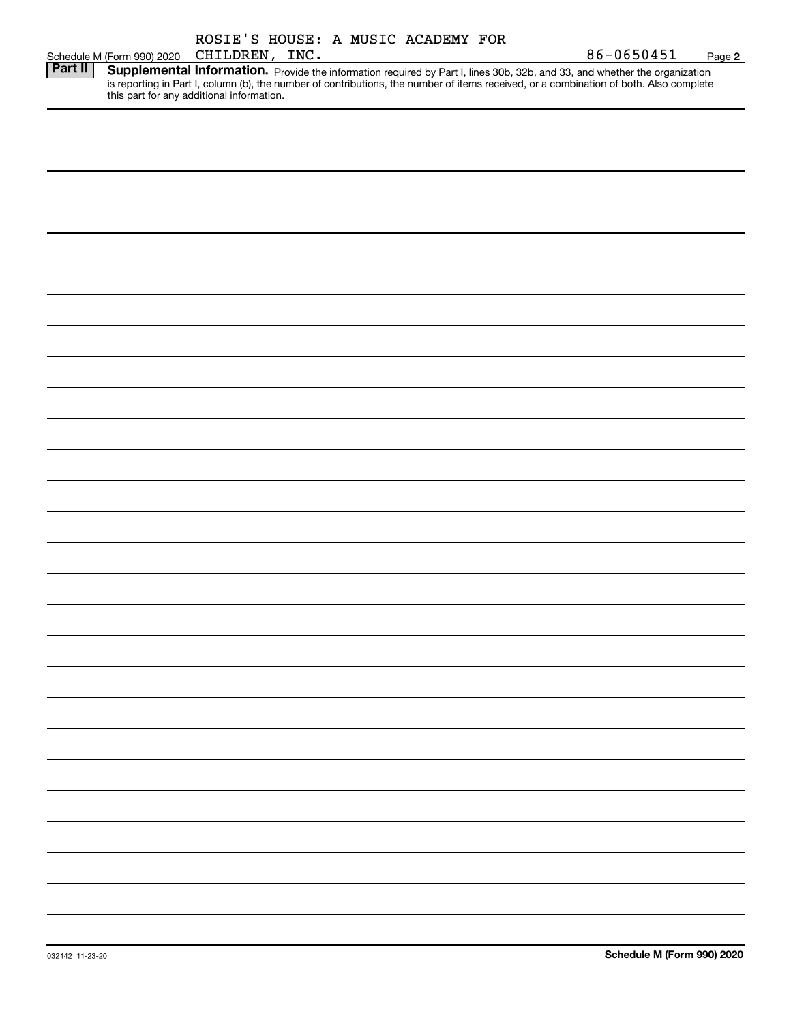| Schedule M (Form 990) 2020<br>Page 2<br>Part II<br>Supplemental Information. Provide the information required by Part I, lines 30b, 32b, and 33, and whether the organization<br>is reporting in Part I, column (b), the number of contributions, the number of items received, or a combination of both. Also complete<br>this part for any additional information. | ROSIE'S HOUSE: A MUSIC ACADEMY FOR |
|----------------------------------------------------------------------------------------------------------------------------------------------------------------------------------------------------------------------------------------------------------------------------------------------------------------------------------------------------------------------|------------------------------------|
|                                                                                                                                                                                                                                                                                                                                                                      | 86-0650451<br>CHILDREN, INC.       |
|                                                                                                                                                                                                                                                                                                                                                                      |                                    |
|                                                                                                                                                                                                                                                                                                                                                                      |                                    |
|                                                                                                                                                                                                                                                                                                                                                                      |                                    |
|                                                                                                                                                                                                                                                                                                                                                                      |                                    |
|                                                                                                                                                                                                                                                                                                                                                                      |                                    |
|                                                                                                                                                                                                                                                                                                                                                                      |                                    |
|                                                                                                                                                                                                                                                                                                                                                                      |                                    |
|                                                                                                                                                                                                                                                                                                                                                                      |                                    |
|                                                                                                                                                                                                                                                                                                                                                                      |                                    |
|                                                                                                                                                                                                                                                                                                                                                                      |                                    |
|                                                                                                                                                                                                                                                                                                                                                                      |                                    |
|                                                                                                                                                                                                                                                                                                                                                                      |                                    |
|                                                                                                                                                                                                                                                                                                                                                                      |                                    |
|                                                                                                                                                                                                                                                                                                                                                                      |                                    |
|                                                                                                                                                                                                                                                                                                                                                                      |                                    |
|                                                                                                                                                                                                                                                                                                                                                                      |                                    |
|                                                                                                                                                                                                                                                                                                                                                                      |                                    |
|                                                                                                                                                                                                                                                                                                                                                                      |                                    |
|                                                                                                                                                                                                                                                                                                                                                                      |                                    |
|                                                                                                                                                                                                                                                                                                                                                                      |                                    |
|                                                                                                                                                                                                                                                                                                                                                                      |                                    |
|                                                                                                                                                                                                                                                                                                                                                                      |                                    |
|                                                                                                                                                                                                                                                                                                                                                                      |                                    |
|                                                                                                                                                                                                                                                                                                                                                                      |                                    |
|                                                                                                                                                                                                                                                                                                                                                                      |                                    |
|                                                                                                                                                                                                                                                                                                                                                                      |                                    |
|                                                                                                                                                                                                                                                                                                                                                                      |                                    |
|                                                                                                                                                                                                                                                                                                                                                                      |                                    |
|                                                                                                                                                                                                                                                                                                                                                                      |                                    |
|                                                                                                                                                                                                                                                                                                                                                                      |                                    |